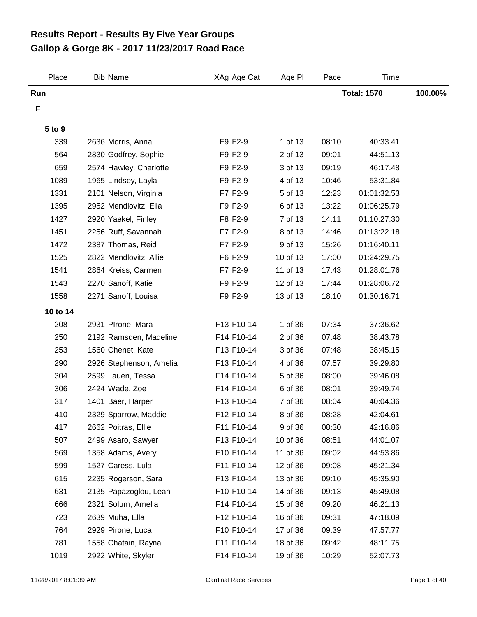## **Gallop & Gorge 8K - 2017 11/23/2017 Road Race Results Report - Results By Five Year Groups**

| Place    | <b>Bib Name</b>         | XAg Age Cat | Age PI   | Pace               | <b>Time</b> |         |
|----------|-------------------------|-------------|----------|--------------------|-------------|---------|
| Run      |                         |             |          | <b>Total: 1570</b> |             | 100.00% |
| F        |                         |             |          |                    |             |         |
| 5 to 9   |                         |             |          |                    |             |         |
| 339      | 2636 Morris, Anna       | F9 F2-9     | 1 of 13  | 08:10              | 40:33.41    |         |
| 564      | 2830 Godfrey, Sophie    | F9 F2-9     | 2 of 13  | 09:01              | 44:51.13    |         |
| 659      | 2574 Hawley, Charlotte  | F9 F2-9     | 3 of 13  | 09:19              | 46:17.48    |         |
| 1089     | 1965 Lindsey, Layla     | F9 F2-9     | 4 of 13  | 10:46              | 53:31.84    |         |
| 1331     | 2101 Nelson, Virginia   | F7 F2-9     | 5 of 13  | 12:23              | 01:01:32.53 |         |
| 1395     | 2952 Mendlovitz, Ella   | F9 F2-9     | 6 of 13  | 13:22              | 01:06:25.79 |         |
| 1427     | 2920 Yaekel, Finley     | F8 F2-9     | 7 of 13  | 14:11              | 01:10:27.30 |         |
| 1451     | 2256 Ruff, Savannah     | F7 F2-9     | 8 of 13  | 14:46              | 01:13:22.18 |         |
| 1472     | 2387 Thomas, Reid       | F7 F2-9     | 9 of 13  | 15:26              | 01:16:40.11 |         |
| 1525     | 2822 Mendlovitz, Allie  | F6 F2-9     | 10 of 13 | 17:00              | 01:24:29.75 |         |
| 1541     | 2864 Kreiss, Carmen     | F7 F2-9     | 11 of 13 | 17:43              | 01:28:01.76 |         |
| 1543     | 2270 Sanoff, Katie      | F9 F2-9     | 12 of 13 | 17:44              | 01:28:06.72 |         |
| 1558     | 2271 Sanoff, Louisa     | F9 F2-9     | 13 of 13 | 18:10              | 01:30:16.71 |         |
| 10 to 14 |                         |             |          |                    |             |         |
| 208      | 2931 PIrone, Mara       | F13 F10-14  | 1 of 36  | 07:34              | 37:36.62    |         |
| 250      | 2192 Ramsden, Madeline  | F14 F10-14  | 2 of 36  | 07:48              | 38:43.78    |         |
| 253      | 1560 Chenet, Kate       | F13 F10-14  | 3 of 36  | 07:48              | 38:45.15    |         |
| 290      | 2926 Stephenson, Amelia | F13 F10-14  | 4 of 36  | 07:57              | 39:29.80    |         |
| 304      | 2599 Lauen, Tessa       | F14 F10-14  | 5 of 36  | 08:00              | 39:46.08    |         |
| 306      | 2424 Wade, Zoe          | F14 F10-14  | 6 of 36  | 08:01              | 39:49.74    |         |
| 317      | 1401 Baer, Harper       | F13 F10-14  | 7 of 36  | 08:04              | 40:04.36    |         |
| 410      | 2329 Sparrow, Maddie    | F12 F10-14  | 8 of 36  | 08:28              | 42:04.61    |         |
| 417      | 2662 Poitras, Ellie     | F11 F10-14  | 9 of 36  | 08:30              | 42:16.86    |         |
| 507      | 2499 Asaro, Sawyer      | F13 F10-14  | 10 of 36 | 08:51              | 44:01.07    |         |
| 569      | 1358 Adams, Avery       | F10 F10-14  | 11 of 36 | 09:02              | 44:53.86    |         |
| 599      | 1527 Caress, Lula       | F11 F10-14  | 12 of 36 | 09:08              | 45:21.34    |         |
| 615      | 2235 Rogerson, Sara     | F13 F10-14  | 13 of 36 | 09:10              | 45:35.90    |         |
| 631      | 2135 Papazoglou, Leah   | F10 F10-14  | 14 of 36 | 09:13              | 45:49.08    |         |
| 666      | 2321 Solum, Amelia      | F14 F10-14  | 15 of 36 | 09:20              | 46:21.13    |         |
| 723      | 2639 Muha, Ella         | F12 F10-14  | 16 of 36 | 09:31              | 47:18.09    |         |
| 764      | 2929 Pirone, Luca       | F10 F10-14  | 17 of 36 | 09:39              | 47:57.77    |         |
| 781      | 1558 Chatain, Rayna     | F11 F10-14  | 18 of 36 | 09:42              | 48:11.75    |         |
| 1019     | 2922 White, Skyler      | F14 F10-14  | 19 of 36 | 10:29              | 52:07.73    |         |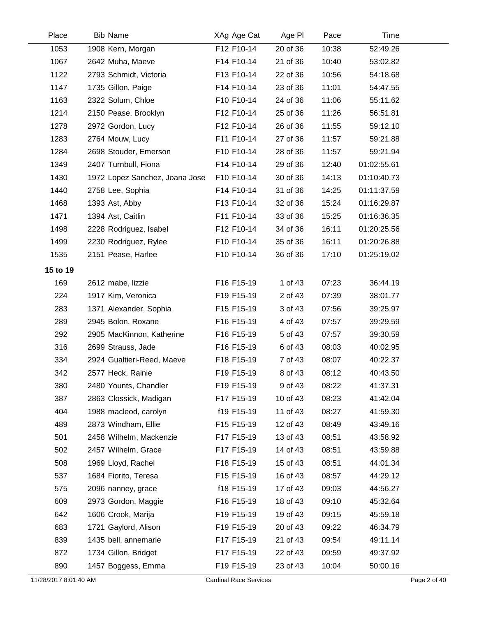| Place    | <b>Bib Name</b>                | XAg Age Cat | Age PI   | Pace  | Time        |  |
|----------|--------------------------------|-------------|----------|-------|-------------|--|
| 1053     | 1908 Kern, Morgan              | F12 F10-14  | 20 of 36 | 10:38 | 52:49.26    |  |
| 1067     | 2642 Muha, Maeve               | F14 F10-14  | 21 of 36 | 10:40 | 53:02.82    |  |
| 1122     | 2793 Schmidt, Victoria         | F13 F10-14  | 22 of 36 | 10:56 | 54:18.68    |  |
| 1147     | 1735 Gillon, Paige             | F14 F10-14  | 23 of 36 | 11:01 | 54:47.55    |  |
| 1163     | 2322 Solum, Chloe              | F10 F10-14  | 24 of 36 | 11:06 | 55:11.62    |  |
| 1214     | 2150 Pease, Brooklyn           | F12 F10-14  | 25 of 36 | 11:26 | 56:51.81    |  |
| 1278     | 2972 Gordon, Lucy              | F12 F10-14  | 26 of 36 | 11:55 | 59:12.10    |  |
| 1283     | 2764 Mouw, Lucy                | F11 F10-14  | 27 of 36 | 11:57 | 59:21.88    |  |
| 1284     | 2698 Stouder, Emerson          | F10 F10-14  | 28 of 36 | 11:57 | 59:21.94    |  |
| 1349     | 2407 Turnbull, Fiona           | F14 F10-14  | 29 of 36 | 12:40 | 01:02:55.61 |  |
| 1430     | 1972 Lopez Sanchez, Joana Jose | F10 F10-14  | 30 of 36 | 14:13 | 01:10:40.73 |  |
| 1440     | 2758 Lee, Sophia               | F14 F10-14  | 31 of 36 | 14:25 | 01:11:37.59 |  |
| 1468     | 1393 Ast, Abby                 | F13 F10-14  | 32 of 36 | 15:24 | 01:16:29.87 |  |
| 1471     | 1394 Ast, Caitlin              | F11 F10-14  | 33 of 36 | 15:25 | 01:16:36.35 |  |
| 1498     | 2228 Rodriguez, Isabel         | F12 F10-14  | 34 of 36 | 16:11 | 01:20:25.56 |  |
| 1499     | 2230 Rodriguez, Rylee          | F10 F10-14  | 35 of 36 | 16:11 | 01:20:26.88 |  |
| 1535     | 2151 Pease, Harlee             | F10 F10-14  | 36 of 36 | 17:10 | 01:25:19.02 |  |
| 15 to 19 |                                |             |          |       |             |  |
| 169      | 2612 mabe, lizzie              | F16 F15-19  | 1 of 43  | 07:23 | 36:44.19    |  |
| 224      | 1917 Kim, Veronica             | F19 F15-19  | 2 of 43  | 07:39 | 38:01.77    |  |
| 283      | 1371 Alexander, Sophia         | F15 F15-19  | 3 of 43  | 07:56 | 39:25.97    |  |
| 289      | 2945 Bolon, Roxane             | F16 F15-19  | 4 of 43  | 07:57 | 39:29.59    |  |
| 292      | 2905 MacKinnon, Katherine      | F16 F15-19  | 5 of 43  | 07:57 | 39:30.59    |  |
| 316      | 2699 Strauss, Jade             | F16 F15-19  | 6 of 43  | 08:03 | 40:02.95    |  |
| 334      | 2924 Gualtieri-Reed, Maeve     | F18 F15-19  | 7 of 43  | 08:07 | 40:22.37    |  |
| 342      | 2577 Heck, Rainie              | F19 F15-19  | 8 of 43  | 08:12 | 40:43.50    |  |
| 380      | 2480 Younts, Chandler          | F19 F15-19  | 9 of 43  | 08:22 | 41:37.31    |  |
| 387      | 2863 Clossick, Madigan         | F17 F15-19  | 10 of 43 | 08:23 | 41:42.04    |  |
| 404      | 1988 macleod, carolyn          | f19 F15-19  | 11 of 43 | 08:27 | 41:59.30    |  |
| 489      | 2873 Windham, Ellie            | F15 F15-19  | 12 of 43 | 08:49 | 43:49.16    |  |
| 501      | 2458 Wilhelm, Mackenzie        | F17 F15-19  | 13 of 43 | 08:51 | 43:58.92    |  |
| 502      | 2457 Wilhelm, Grace            | F17 F15-19  | 14 of 43 | 08:51 | 43:59.88    |  |
| 508      | 1969 Lloyd, Rachel             | F18 F15-19  | 15 of 43 | 08:51 | 44:01.34    |  |
| 537      | 1684 Fiorito, Teresa           | F15 F15-19  | 16 of 43 | 08:57 | 44:29.12    |  |
| 575      | 2096 nanney, grace             | f18 F15-19  | 17 of 43 | 09:03 | 44:56.27    |  |
| 609      | 2973 Gordon, Maggie            | F16 F15-19  | 18 of 43 | 09:10 | 45:32.64    |  |
| 642      | 1606 Crook, Marija             | F19 F15-19  | 19 of 43 | 09:15 | 45:59.18    |  |
| 683      | 1721 Gaylord, Alison           | F19 F15-19  | 20 of 43 | 09:22 | 46:34.79    |  |
| 839      | 1435 bell, annemarie           | F17 F15-19  | 21 of 43 | 09:54 | 49:11.14    |  |
| 872      | 1734 Gillon, Bridget           | F17 F15-19  | 22 of 43 | 09:59 | 49:37.92    |  |
| 890      | 1457 Boggess, Emma             | F19 F15-19  | 23 of 43 | 10:04 | 50:00.16    |  |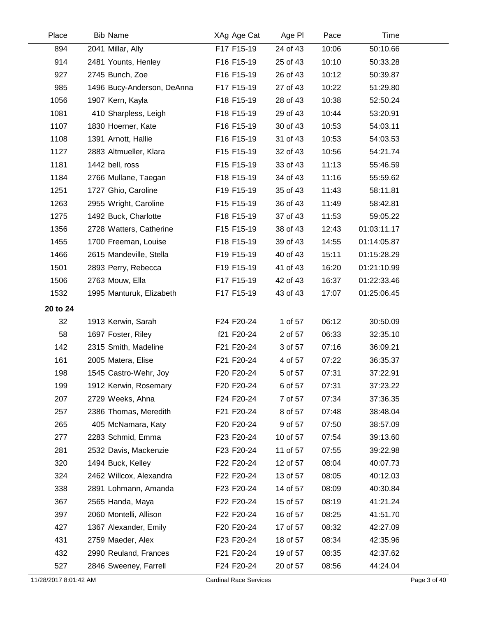| Place    | <b>Bib Name</b>            | XAg Age Cat | Age PI   | Pace  | Time        |  |
|----------|----------------------------|-------------|----------|-------|-------------|--|
| 894      | 2041 Millar, Ally          | F17 F15-19  | 24 of 43 | 10:06 | 50:10.66    |  |
| 914      | 2481 Younts, Henley        | F16 F15-19  | 25 of 43 | 10:10 | 50:33.28    |  |
| 927      | 2745 Bunch, Zoe            | F16 F15-19  | 26 of 43 | 10:12 | 50:39.87    |  |
| 985      | 1496 Bucy-Anderson, DeAnna | F17 F15-19  | 27 of 43 | 10:22 | 51:29.80    |  |
| 1056     | 1907 Kern, Kayla           | F18 F15-19  | 28 of 43 | 10:38 | 52:50.24    |  |
| 1081     | 410 Sharpless, Leigh       | F18 F15-19  | 29 of 43 | 10:44 | 53:20.91    |  |
| 1107     | 1830 Hoerner, Kate         | F16 F15-19  | 30 of 43 | 10:53 | 54:03.11    |  |
| 1108     | 1391 Arnott, Hallie        | F16 F15-19  | 31 of 43 | 10:53 | 54:03.53    |  |
| 1127     | 2883 Altmueller, Klara     | F15 F15-19  | 32 of 43 | 10:56 | 54:21.74    |  |
| 1181     | 1442 bell, ross            | F15 F15-19  | 33 of 43 | 11:13 | 55:46.59    |  |
| 1184     | 2766 Mullane, Taegan       | F18 F15-19  | 34 of 43 | 11:16 | 55:59.62    |  |
| 1251     | 1727 Ghio, Caroline        | F19 F15-19  | 35 of 43 | 11:43 | 58:11.81    |  |
| 1263     | 2955 Wright, Caroline      | F15 F15-19  | 36 of 43 | 11:49 | 58:42.81    |  |
| 1275     | 1492 Buck, Charlotte       | F18 F15-19  | 37 of 43 | 11:53 | 59:05.22    |  |
| 1356     | 2728 Watters, Catherine    | F15 F15-19  | 38 of 43 | 12:43 | 01:03:11.17 |  |
| 1455     | 1700 Freeman, Louise       | F18 F15-19  | 39 of 43 | 14:55 | 01:14:05.87 |  |
| 1466     | 2615 Mandeville, Stella    | F19 F15-19  | 40 of 43 | 15:11 | 01:15:28.29 |  |
| 1501     | 2893 Perry, Rebecca        | F19 F15-19  | 41 of 43 | 16:20 | 01:21:10.99 |  |
| 1506     | 2763 Mouw, Ella            | F17 F15-19  | 42 of 43 | 16:37 | 01:22:33.46 |  |
| 1532     | 1995 Manturuk, Elizabeth   | F17 F15-19  | 43 of 43 | 17:07 | 01:25:06.45 |  |
| 20 to 24 |                            |             |          |       |             |  |
| 32       | 1913 Kerwin, Sarah         | F24 F20-24  | 1 of 57  | 06:12 | 30:50.09    |  |
| 58       | 1697 Foster, Riley         | f21 F20-24  | 2 of 57  | 06:33 | 32:35.10    |  |
| 142      | 2315 Smith, Madeline       | F21 F20-24  | 3 of 57  | 07:16 | 36:09.21    |  |
| 161      | 2005 Matera, Elise         | F21 F20-24  | 4 of 57  | 07:22 | 36:35.37    |  |
| 198      | 1545 Castro-Wehr, Joy      | F20 F20-24  | 5 of 57  | 07:31 | 37:22.91    |  |
| 199      | 1912 Kerwin, Rosemary      | F20 F20-24  | 6 of 57  | 07:31 | 37:23.22    |  |
| 207      | 2729 Weeks, Ahna           | F24 F20-24  | 7 of 57  | 07:34 | 37:36.35    |  |
| 257      | 2386 Thomas, Meredith      | F21 F20-24  | 8 of 57  | 07:48 | 38:48.04    |  |
| 265      | 405 McNamara, Katy         | F20 F20-24  | 9 of 57  | 07:50 | 38:57.09    |  |
| 277      | 2283 Schmid, Emma          | F23 F20-24  | 10 of 57 | 07:54 | 39:13.60    |  |
| 281      | 2532 Davis, Mackenzie      | F23 F20-24  | 11 of 57 | 07:55 | 39:22.98    |  |
| 320      | 1494 Buck, Kelley          | F22 F20-24  | 12 of 57 | 08:04 | 40:07.73    |  |
| 324      | 2462 Willcox, Alexandra    | F22 F20-24  | 13 of 57 | 08:05 | 40:12.03    |  |
| 338      | 2891 Lohmann, Amanda       | F23 F20-24  | 14 of 57 | 08:09 | 40:30.84    |  |
| 367      | 2565 Handa, Maya           | F22 F20-24  | 15 of 57 | 08:19 | 41:21.24    |  |
| 397      | 2060 Montelli, Allison     | F22 F20-24  | 16 of 57 | 08:25 | 41:51.70    |  |
| 427      | 1367 Alexander, Emily      | F20 F20-24  | 17 of 57 | 08:32 | 42:27.09    |  |
| 431      | 2759 Maeder, Alex          | F23 F20-24  | 18 of 57 | 08:34 | 42:35.96    |  |
| 432      | 2990 Reuland, Frances      | F21 F20-24  | 19 of 57 | 08:35 | 42:37.62    |  |
| 527      | 2846 Sweeney, Farrell      | F24 F20-24  | 20 of 57 | 08:56 | 44:24.04    |  |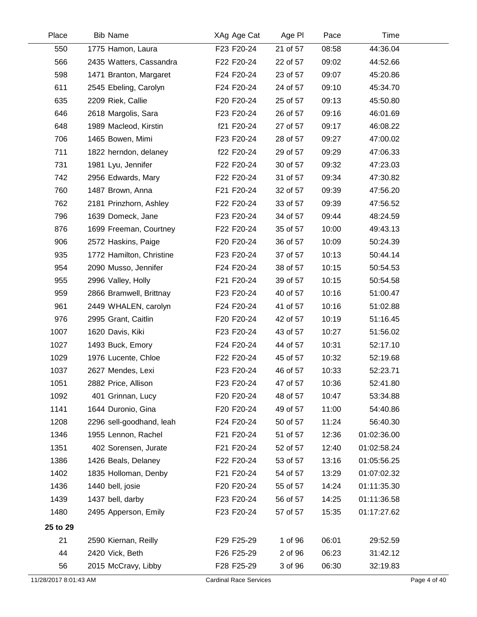| Place                 | <b>Bib Name</b>          | XAg Age Cat                   | Age PI   | Pace  | Time        |              |
|-----------------------|--------------------------|-------------------------------|----------|-------|-------------|--------------|
| 550                   | 1775 Hamon, Laura        | F23 F20-24                    | 21 of 57 | 08:58 | 44:36.04    |              |
| 566                   | 2435 Watters, Cassandra  | F22 F20-24                    | 22 of 57 | 09:02 | 44:52.66    |              |
| 598                   | 1471 Branton, Margaret   | F24 F20-24                    | 23 of 57 | 09:07 | 45:20.86    |              |
| 611                   | 2545 Ebeling, Carolyn    | F24 F20-24                    | 24 of 57 | 09:10 | 45:34.70    |              |
| 635                   | 2209 Riek, Callie        | F20 F20-24                    | 25 of 57 | 09:13 | 45:50.80    |              |
| 646                   | 2618 Margolis, Sara      | F23 F20-24                    | 26 of 57 | 09:16 | 46:01.69    |              |
| 648                   | 1989 Macleod, Kirstin    | f21 F20-24                    | 27 of 57 | 09:17 | 46:08.22    |              |
| 706                   | 1465 Bowen, Mimi         | F23 F20-24                    | 28 of 57 | 09:27 | 47:00.02    |              |
| 711                   | 1822 herndon, delaney    | f22 F20-24                    | 29 of 57 | 09:29 | 47:06.33    |              |
| 731                   | 1981 Lyu, Jennifer       | F22 F20-24                    | 30 of 57 | 09:32 | 47:23.03    |              |
| 742                   | 2956 Edwards, Mary       | F22 F20-24                    | 31 of 57 | 09:34 | 47:30.82    |              |
| 760                   | 1487 Brown, Anna         | F21 F20-24                    | 32 of 57 | 09:39 | 47:56.20    |              |
| 762                   | 2181 Prinzhorn, Ashley   | F22 F20-24                    | 33 of 57 | 09:39 | 47:56.52    |              |
| 796                   | 1639 Domeck, Jane        | F23 F20-24                    | 34 of 57 | 09:44 | 48:24.59    |              |
| 876                   | 1699 Freeman, Courtney   | F22 F20-24                    | 35 of 57 | 10:00 | 49:43.13    |              |
| 906                   | 2572 Haskins, Paige      | F20 F20-24                    | 36 of 57 | 10:09 | 50:24.39    |              |
| 935                   | 1772 Hamilton, Christine | F23 F20-24                    | 37 of 57 | 10:13 | 50:44.14    |              |
| 954                   | 2090 Musso, Jennifer     | F24 F20-24                    | 38 of 57 | 10:15 | 50:54.53    |              |
| 955                   | 2996 Valley, Holly       | F21 F20-24                    | 39 of 57 | 10:15 | 50:54.58    |              |
| 959                   | 2866 Bramwell, Brittnay  | F23 F20-24                    | 40 of 57 | 10:16 | 51:00.47    |              |
| 961                   | 2449 WHALEN, carolyn     | F24 F20-24                    | 41 of 57 | 10:16 | 51:02.88    |              |
| 976                   | 2995 Grant, Caitlin      | F20 F20-24                    | 42 of 57 | 10:19 | 51:16.45    |              |
| 1007                  | 1620 Davis, Kiki         | F23 F20-24                    | 43 of 57 | 10:27 | 51:56.02    |              |
| 1027                  | 1493 Buck, Emory         | F24 F20-24                    | 44 of 57 | 10:31 | 52:17.10    |              |
| 1029                  | 1976 Lucente, Chloe      | F22 F20-24                    | 45 of 57 | 10:32 | 52:19.68    |              |
| 1037                  | 2627 Mendes, Lexi        | F23 F20-24                    | 46 of 57 | 10:33 | 52:23.71    |              |
| 1051                  | 2882 Price, Allison      | F23 F20-24                    | 47 of 57 | 10:36 | 52:41.80    |              |
| 1092                  | 401 Grinnan, Lucy        | F20 F20-24                    | 48 of 57 | 10:47 | 53:34.88    |              |
| 1141                  | 1644 Duronio, Gina       | F20 F20-24                    | 49 of 57 | 11:00 | 54:40.86    |              |
| 1208                  | 2296 sell-goodhand, leah | F24 F20-24                    | 50 of 57 | 11:24 | 56:40.30    |              |
| 1346                  | 1955 Lennon, Rachel      | F21 F20-24                    | 51 of 57 | 12:36 | 01:02:36.00 |              |
| 1351                  | 402 Sorensen, Jurate     | F21 F20-24                    | 52 of 57 | 12:40 | 01:02:58.24 |              |
| 1386                  | 1426 Beals, Delaney      | F22 F20-24                    | 53 of 57 | 13:16 | 01:05:56.25 |              |
| 1402                  | 1835 Holloman, Denby     | F21 F20-24                    | 54 of 57 | 13:29 | 01:07:02.32 |              |
| 1436                  | 1440 bell, josie         | F20 F20-24                    | 55 of 57 | 14:24 | 01:11:35.30 |              |
| 1439                  | 1437 bell, darby         | F23 F20-24                    | 56 of 57 | 14:25 | 01:11:36.58 |              |
| 1480                  | 2495 Apperson, Emily     | F23 F20-24                    | 57 of 57 | 15:35 | 01:17:27.62 |              |
| 25 to 29              |                          |                               |          |       |             |              |
| 21                    | 2590 Kiernan, Reilly     | F29 F25-29                    | 1 of 96  | 06:01 | 29:52.59    |              |
| 44                    | 2420 Vick, Beth          | F26 F25-29                    | 2 of 96  | 06:23 | 31:42.12    |              |
| 56                    | 2015 McCravy, Libby      | F28 F25-29                    | 3 of 96  | 06:30 | 32:19.83    |              |
| 11/28/2017 8:01:43 AM |                          | <b>Cardinal Race Services</b> |          |       |             | Page 4 of 40 |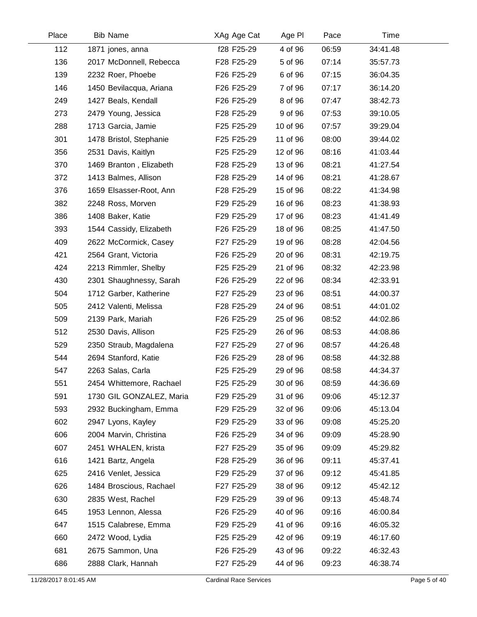| Place | <b>Bib Name</b>          | XAg Age Cat | Age PI   | Pace  | Time     |  |
|-------|--------------------------|-------------|----------|-------|----------|--|
| 112   | 1871 jones, anna         | f28 F25-29  | 4 of 96  | 06:59 | 34:41.48 |  |
| 136   | 2017 McDonnell, Rebecca  | F28 F25-29  | 5 of 96  | 07:14 | 35:57.73 |  |
| 139   | 2232 Roer, Phoebe        | F26 F25-29  | 6 of 96  | 07:15 | 36:04.35 |  |
| 146   | 1450 Bevilacqua, Ariana  | F26 F25-29  | 7 of 96  | 07:17 | 36:14.20 |  |
| 249   | 1427 Beals, Kendall      | F26 F25-29  | 8 of 96  | 07:47 | 38:42.73 |  |
| 273   | 2479 Young, Jessica      | F28 F25-29  | 9 of 96  | 07:53 | 39:10.05 |  |
| 288   | 1713 Garcia, Jamie       | F25 F25-29  | 10 of 96 | 07:57 | 39:29.04 |  |
| 301   | 1478 Bristol, Stephanie  | F25 F25-29  | 11 of 96 | 08:00 | 39:44.02 |  |
| 356   | 2531 Davis, Kaitlyn      | F25 F25-29  | 12 of 96 | 08:16 | 41:03.44 |  |
| 370   | 1469 Branton, Elizabeth  | F28 F25-29  | 13 of 96 | 08:21 | 41:27.54 |  |
| 372   | 1413 Balmes, Allison     | F28 F25-29  | 14 of 96 | 08:21 | 41:28.67 |  |
| 376   | 1659 Elsasser-Root, Ann  | F28 F25-29  | 15 of 96 | 08:22 | 41:34.98 |  |
| 382   | 2248 Ross, Morven        | F29 F25-29  | 16 of 96 | 08:23 | 41:38.93 |  |
| 386   | 1408 Baker, Katie        | F29 F25-29  | 17 of 96 | 08:23 | 41:41.49 |  |
| 393   | 1544 Cassidy, Elizabeth  | F26 F25-29  | 18 of 96 | 08:25 | 41:47.50 |  |
| 409   | 2622 McCormick, Casey    | F27 F25-29  | 19 of 96 | 08:28 | 42:04.56 |  |
| 421   | 2564 Grant, Victoria     | F26 F25-29  | 20 of 96 | 08:31 | 42:19.75 |  |
| 424   | 2213 Rimmler, Shelby     | F25 F25-29  | 21 of 96 | 08:32 | 42:23.98 |  |
| 430   | 2301 Shaughnessy, Sarah  | F26 F25-29  | 22 of 96 | 08:34 | 42:33.91 |  |
| 504   | 1712 Garber, Katherine   | F27 F25-29  | 23 of 96 | 08:51 | 44:00.37 |  |
| 505   | 2412 Valenti, Melissa    | F28 F25-29  | 24 of 96 | 08:51 | 44:01.02 |  |
| 509   | 2139 Park, Mariah        | F26 F25-29  | 25 of 96 | 08:52 | 44:02.86 |  |
| 512   | 2530 Davis, Allison      | F25 F25-29  | 26 of 96 | 08:53 | 44:08.86 |  |
| 529   | 2350 Straub, Magdalena   | F27 F25-29  | 27 of 96 | 08:57 | 44:26.48 |  |
| 544   | 2694 Stanford, Katie     | F26 F25-29  | 28 of 96 | 08:58 | 44:32.88 |  |
| 547   | 2263 Salas, Carla        | F25 F25-29  | 29 of 96 | 08:58 | 44:34.37 |  |
| 551   | 2454 Whittemore, Rachael | F25 F25-29  | 30 of 96 | 08:59 | 44:36.69 |  |
| 591   | 1730 GIL GONZALEZ, Maria | F29 F25-29  | 31 of 96 | 09:06 | 45:12.37 |  |
| 593   | 2932 Buckingham, Emma    | F29 F25-29  | 32 of 96 | 09:06 | 45:13.04 |  |
| 602   | 2947 Lyons, Kayley       | F29 F25-29  | 33 of 96 | 09:08 | 45:25.20 |  |
| 606   | 2004 Marvin, Christina   | F26 F25-29  | 34 of 96 | 09:09 | 45:28.90 |  |
| 607   | 2451 WHALEN, krista      | F27 F25-29  | 35 of 96 | 09:09 | 45:29.82 |  |
| 616   | 1421 Bartz, Angela       | F28 F25-29  | 36 of 96 | 09:11 | 45:37.41 |  |
| 625   | 2416 Venlet, Jessica     | F29 F25-29  | 37 of 96 | 09:12 | 45:41.85 |  |
| 626   | 1484 Broscious, Rachael  | F27 F25-29  | 38 of 96 | 09:12 | 45:42.12 |  |
| 630   | 2835 West, Rachel        | F29 F25-29  | 39 of 96 | 09:13 | 45:48.74 |  |
| 645   | 1953 Lennon, Alessa      | F26 F25-29  | 40 of 96 | 09:16 | 46:00.84 |  |
| 647   | 1515 Calabrese, Emma     | F29 F25-29  | 41 of 96 | 09:16 | 46:05.32 |  |
| 660   | 2472 Wood, Lydia         | F25 F25-29  | 42 of 96 | 09:19 | 46:17.60 |  |
| 681   | 2675 Sammon, Una         | F26 F25-29  | 43 of 96 | 09:22 | 46:32.43 |  |
| 686   | 2888 Clark, Hannah       | F27 F25-29  | 44 of 96 | 09:23 | 46:38.74 |  |
|       |                          |             |          |       |          |  |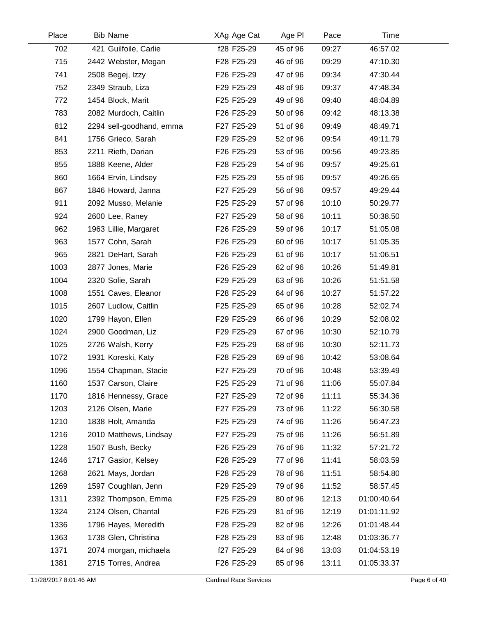| Place | <b>Bib Name</b>          | XAg Age Cat | Age PI   | Pace  | Time        |  |
|-------|--------------------------|-------------|----------|-------|-------------|--|
| 702   | 421 Guilfoile, Carlie    | f28 F25-29  | 45 of 96 | 09:27 | 46:57.02    |  |
| 715   | 2442 Webster, Megan      | F28 F25-29  | 46 of 96 | 09:29 | 47:10.30    |  |
| 741   | 2508 Begej, Izzy         | F26 F25-29  | 47 of 96 | 09:34 | 47:30.44    |  |
| 752   | 2349 Straub, Liza        | F29 F25-29  | 48 of 96 | 09:37 | 47:48.34    |  |
| 772   | 1454 Block, Marit        | F25 F25-29  | 49 of 96 | 09:40 | 48:04.89    |  |
| 783   | 2082 Murdoch, Caitlin    | F26 F25-29  | 50 of 96 | 09:42 | 48:13.38    |  |
| 812   | 2294 sell-goodhand, emma | F27 F25-29  | 51 of 96 | 09:49 | 48:49.71    |  |
| 841   | 1756 Grieco, Sarah       | F29 F25-29  | 52 of 96 | 09:54 | 49:11.79    |  |
| 853   | 2211 Rieth, Darian       | F26 F25-29  | 53 of 96 | 09:56 | 49:23.85    |  |
| 855   | 1888 Keene, Alder        | F28 F25-29  | 54 of 96 | 09:57 | 49:25.61    |  |
| 860   | 1664 Ervin, Lindsey      | F25 F25-29  | 55 of 96 | 09:57 | 49:26.65    |  |
| 867   | 1846 Howard, Janna       | F27 F25-29  | 56 of 96 | 09:57 | 49:29.44    |  |
| 911   | 2092 Musso, Melanie      | F25 F25-29  | 57 of 96 | 10:10 | 50:29.77    |  |
| 924   | 2600 Lee, Raney          | F27 F25-29  | 58 of 96 | 10:11 | 50:38.50    |  |
| 962   | 1963 Lillie, Margaret    | F26 F25-29  | 59 of 96 | 10:17 | 51:05.08    |  |
| 963   | 1577 Cohn, Sarah         | F26 F25-29  | 60 of 96 | 10:17 | 51:05.35    |  |
| 965   | 2821 DeHart, Sarah       | F26 F25-29  | 61 of 96 | 10:17 | 51:06.51    |  |
| 1003  | 2877 Jones, Marie        | F26 F25-29  | 62 of 96 | 10:26 | 51:49.81    |  |
| 1004  | 2320 Solie, Sarah        | F29 F25-29  | 63 of 96 | 10:26 | 51:51.58    |  |
| 1008  | 1551 Caves, Eleanor      | F28 F25-29  | 64 of 96 | 10:27 | 51:57.22    |  |
| 1015  | 2607 Ludlow, Caitlin     | F25 F25-29  | 65 of 96 | 10:28 | 52:02.74    |  |
| 1020  | 1799 Hayon, Ellen        | F29 F25-29  | 66 of 96 | 10:29 | 52:08.02    |  |
| 1024  | 2900 Goodman, Liz        | F29 F25-29  | 67 of 96 | 10:30 | 52:10.79    |  |
| 1025  | 2726 Walsh, Kerry        | F25 F25-29  | 68 of 96 | 10:30 | 52:11.73    |  |
| 1072  | 1931 Koreski, Katy       | F28 F25-29  | 69 of 96 | 10:42 | 53:08.64    |  |
| 1096  | 1554 Chapman, Stacie     | F27 F25-29  | 70 of 96 | 10:48 | 53:39.49    |  |
| 1160  | 1537 Carson, Claire      | F25 F25-29  | 71 of 96 | 11:06 | 55:07.84    |  |
| 1170  | 1816 Hennessy, Grace     | F27 F25-29  | 72 of 96 | 11:11 | 55:34.36    |  |
| 1203  | 2126 Olsen, Marie        | F27 F25-29  | 73 of 96 | 11:22 | 56:30.58    |  |
| 1210  | 1838 Holt, Amanda        | F25 F25-29  | 74 of 96 | 11:26 | 56:47.23    |  |
| 1216  | 2010 Matthews, Lindsay   | F27 F25-29  | 75 of 96 | 11:26 | 56:51.89    |  |
| 1228  | 1507 Bush, Becky         | F26 F25-29  | 76 of 96 | 11:32 | 57:21.72    |  |
| 1246  | 1717 Gasior, Kelsey      | F28 F25-29  | 77 of 96 | 11:41 | 58:03.59    |  |
| 1268  | 2621 Mays, Jordan        | F28 F25-29  | 78 of 96 | 11:51 | 58:54.80    |  |
| 1269  | 1597 Coughlan, Jenn      | F29 F25-29  | 79 of 96 | 11:52 | 58:57.45    |  |
| 1311  | 2392 Thompson, Emma      | F25 F25-29  | 80 of 96 | 12:13 | 01:00:40.64 |  |
| 1324  | 2124 Olsen, Chantal      | F26 F25-29  | 81 of 96 | 12:19 | 01:01:11.92 |  |
| 1336  | 1796 Hayes, Meredith     | F28 F25-29  | 82 of 96 | 12:26 | 01:01:48.44 |  |
| 1363  | 1738 Glen, Christina     | F28 F25-29  | 83 of 96 | 12:48 | 01:03:36.77 |  |
| 1371  | 2074 morgan, michaela    | f27 F25-29  | 84 of 96 | 13:03 | 01:04:53.19 |  |
| 1381  | 2715 Torres, Andrea      | F26 F25-29  | 85 of 96 | 13:11 | 01:05:33.37 |  |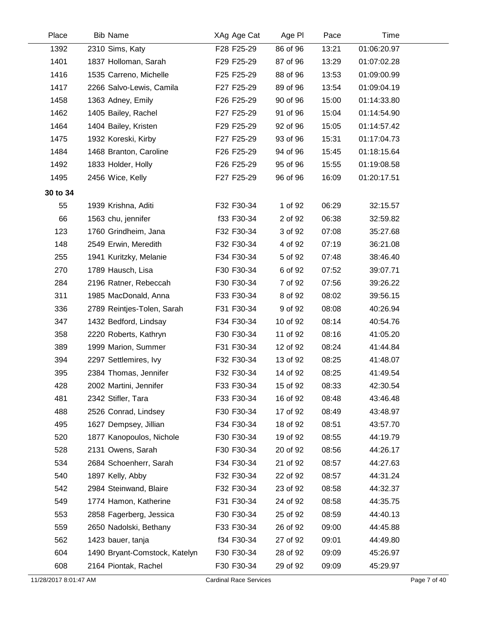| Place    | <b>Bib Name</b>               | XAg Age Cat | Age PI   | Pace  | Time        |  |
|----------|-------------------------------|-------------|----------|-------|-------------|--|
| 1392     | 2310 Sims, Katy               | F28 F25-29  | 86 of 96 | 13:21 | 01:06:20.97 |  |
| 1401     | 1837 Holloman, Sarah          | F29 F25-29  | 87 of 96 | 13:29 | 01:07:02.28 |  |
| 1416     | 1535 Carreno, Michelle        | F25 F25-29  | 88 of 96 | 13:53 | 01:09:00.99 |  |
| 1417     | 2266 Salvo-Lewis, Camila      | F27 F25-29  | 89 of 96 | 13:54 | 01:09:04.19 |  |
| 1458     | 1363 Adney, Emily             | F26 F25-29  | 90 of 96 | 15:00 | 01:14:33.80 |  |
| 1462     | 1405 Bailey, Rachel           | F27 F25-29  | 91 of 96 | 15:04 | 01:14:54.90 |  |
| 1464     | 1404 Bailey, Kristen          | F29 F25-29  | 92 of 96 | 15:05 | 01:14:57.42 |  |
| 1475     | 1932 Koreski, Kirby           | F27 F25-29  | 93 of 96 | 15:31 | 01:17:04.73 |  |
| 1484     | 1468 Branton, Caroline        | F26 F25-29  | 94 of 96 | 15:45 | 01:18:15.64 |  |
| 1492     | 1833 Holder, Holly            | F26 F25-29  | 95 of 96 | 15:55 | 01:19:08.58 |  |
| 1495     | 2456 Wice, Kelly              | F27 F25-29  | 96 of 96 | 16:09 | 01:20:17.51 |  |
| 30 to 34 |                               |             |          |       |             |  |
| 55       | 1939 Krishna, Aditi           | F32 F30-34  | 1 of 92  | 06:29 | 32:15.57    |  |
| 66       | 1563 chu, jennifer            | f33 F30-34  | 2 of 92  | 06:38 | 32:59.82    |  |
| 123      | 1760 Grindheim, Jana          | F32 F30-34  | 3 of 92  | 07:08 | 35:27.68    |  |
| 148      | 2549 Erwin, Meredith          | F32 F30-34  | 4 of 92  | 07:19 | 36:21.08    |  |
| 255      | 1941 Kuritzky, Melanie        | F34 F30-34  | 5 of 92  | 07:48 | 38:46.40    |  |
| 270      | 1789 Hausch, Lisa             | F30 F30-34  | 6 of 92  | 07:52 | 39:07.71    |  |
| 284      | 2196 Ratner, Rebeccah         | F30 F30-34  | 7 of 92  | 07:56 | 39:26.22    |  |
| 311      | 1985 MacDonald, Anna          | F33 F30-34  | 8 of 92  | 08:02 | 39:56.15    |  |
| 336      | 2789 Reintjes-Tolen, Sarah    | F31 F30-34  | 9 of 92  | 08:08 | 40:26.94    |  |
| 347      | 1432 Bedford, Lindsay         | F34 F30-34  | 10 of 92 | 08:14 | 40:54.76    |  |
| 358      | 2220 Roberts, Kathryn         | F30 F30-34  | 11 of 92 | 08:16 | 41:05.20    |  |
| 389      | 1999 Marion, Summer           | F31 F30-34  | 12 of 92 | 08:24 | 41:44.84    |  |
| 394      | 2297 Settlemires, Ivy         | F32 F30-34  | 13 of 92 | 08:25 | 41:48.07    |  |
| 395      | 2384 Thomas, Jennifer         | F32 F30-34  | 14 of 92 | 08:25 | 41:49.54    |  |
| 428      | 2002 Martini, Jennifer        | F33 F30-34  | 15 of 92 | 08:33 | 42:30.54    |  |
| 481      | 2342 Stifler, Tara            | F33 F30-34  | 16 of 92 | 08:48 | 43:46.48    |  |
| 488      | 2526 Conrad, Lindsey          | F30 F30-34  | 17 of 92 | 08:49 | 43:48.97    |  |
| 495      | 1627 Dempsey, Jillian         | F34 F30-34  | 18 of 92 | 08:51 | 43:57.70    |  |
| 520      | 1877 Kanopoulos, Nichole      | F30 F30-34  | 19 of 92 | 08:55 | 44:19.79    |  |
| 528      | 2131 Owens, Sarah             | F30 F30-34  | 20 of 92 | 08:56 | 44:26.17    |  |
| 534      | 2684 Schoenherr, Sarah        | F34 F30-34  | 21 of 92 | 08:57 | 44:27.63    |  |
| 540      | 1897 Kelly, Abby              | F32 F30-34  | 22 of 92 | 08:57 | 44:31.24    |  |
| 542      | 2984 Steinwand, Blaire        | F32 F30-34  | 23 of 92 | 08:58 | 44:32.37    |  |
| 549      | 1774 Hamon, Katherine         | F31 F30-34  | 24 of 92 | 08:58 | 44:35.75    |  |
| 553      | 2858 Fagerberg, Jessica       | F30 F30-34  | 25 of 92 | 08:59 | 44:40.13    |  |
| 559      | 2650 Nadolski, Bethany        | F33 F30-34  | 26 of 92 | 09:00 | 44:45.88    |  |
| 562      | 1423 bauer, tanja             | f34 F30-34  | 27 of 92 | 09:01 | 44:49.80    |  |
| 604      | 1490 Bryant-Comstock, Katelyn | F30 F30-34  | 28 of 92 | 09:09 | 45:26.97    |  |
| 608      | 2164 Piontak, Rachel          | F30 F30-34  | 29 of 92 | 09:09 | 45:29.97    |  |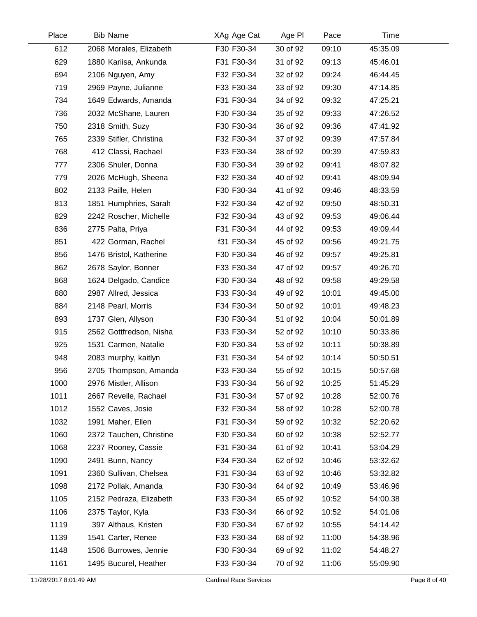| Place | <b>Bib Name</b>         | XAg Age Cat | Age PI   | Pace  | Time     |  |
|-------|-------------------------|-------------|----------|-------|----------|--|
| 612   | 2068 Morales, Elizabeth | F30 F30-34  | 30 of 92 | 09:10 | 45:35.09 |  |
| 629   | 1880 Kariisa, Ankunda   | F31 F30-34  | 31 of 92 | 09:13 | 45:46.01 |  |
| 694   | 2106 Nguyen, Amy        | F32 F30-34  | 32 of 92 | 09:24 | 46:44.45 |  |
| 719   | 2969 Payne, Julianne    | F33 F30-34  | 33 of 92 | 09:30 | 47:14.85 |  |
| 734   | 1649 Edwards, Amanda    | F31 F30-34  | 34 of 92 | 09:32 | 47:25.21 |  |
| 736   | 2032 McShane, Lauren    | F30 F30-34  | 35 of 92 | 09:33 | 47:26.52 |  |
| 750   | 2318 Smith, Suzy        | F30 F30-34  | 36 of 92 | 09:36 | 47:41.92 |  |
| 765   | 2339 Stifler, Christina | F32 F30-34  | 37 of 92 | 09:39 | 47:57.84 |  |
| 768   | 412 Classi, Rachael     | F33 F30-34  | 38 of 92 | 09:39 | 47:59.83 |  |
| 777   | 2306 Shuler, Donna      | F30 F30-34  | 39 of 92 | 09:41 | 48:07.82 |  |
| 779   | 2026 McHugh, Sheena     | F32 F30-34  | 40 of 92 | 09:41 | 48:09.94 |  |
| 802   | 2133 Paille, Helen      | F30 F30-34  | 41 of 92 | 09:46 | 48:33.59 |  |
| 813   | 1851 Humphries, Sarah   | F32 F30-34  | 42 of 92 | 09:50 | 48:50.31 |  |
| 829   | 2242 Roscher, Michelle  | F32 F30-34  | 43 of 92 | 09:53 | 49:06.44 |  |
| 836   | 2775 Palta, Priya       | F31 F30-34  | 44 of 92 | 09:53 | 49:09.44 |  |
| 851   | 422 Gorman, Rachel      | f31 F30-34  | 45 of 92 | 09:56 | 49:21.75 |  |
| 856   | 1476 Bristol, Katherine | F30 F30-34  | 46 of 92 | 09:57 | 49:25.81 |  |
| 862   | 2678 Saylor, Bonner     | F33 F30-34  | 47 of 92 | 09:57 | 49:26.70 |  |
| 868   | 1624 Delgado, Candice   | F30 F30-34  | 48 of 92 | 09:58 | 49:29.58 |  |
| 880   | 2987 Allred, Jessica    | F33 F30-34  | 49 of 92 | 10:01 | 49:45.00 |  |
| 884   | 2148 Pearl, Morris      | F34 F30-34  | 50 of 92 | 10:01 | 49:48.23 |  |
| 893   | 1737 Glen, Allyson      | F30 F30-34  | 51 of 92 | 10:04 | 50:01.89 |  |
| 915   | 2562 Gottfredson, Nisha | F33 F30-34  | 52 of 92 | 10:10 | 50:33.86 |  |
| 925   | 1531 Carmen, Natalie    | F30 F30-34  | 53 of 92 | 10:11 | 50:38.89 |  |
| 948   | 2083 murphy, kaitlyn    | F31 F30-34  | 54 of 92 | 10:14 | 50:50.51 |  |
| 956   | 2705 Thompson, Amanda   | F33 F30-34  | 55 of 92 | 10:15 | 50:57.68 |  |
| 1000  | 2976 Mistler, Allison   | F33 F30-34  | 56 of 92 | 10:25 | 51:45.29 |  |
| 1011  | 2667 Revelle, Rachael   | F31 F30-34  | 57 of 92 | 10:28 | 52:00.76 |  |
| 1012  | 1552 Caves, Josie       | F32 F30-34  | 58 of 92 | 10:28 | 52:00.78 |  |
| 1032  | 1991 Maher, Ellen       | F31 F30-34  | 59 of 92 | 10:32 | 52:20.62 |  |
| 1060  | 2372 Tauchen, Christine | F30 F30-34  | 60 of 92 | 10:38 | 52:52.77 |  |
| 1068  | 2237 Rooney, Cassie     | F31 F30-34  | 61 of 92 | 10:41 | 53:04.29 |  |
| 1090  | 2491 Bunn, Nancy        | F34 F30-34  | 62 of 92 | 10:46 | 53:32.62 |  |
| 1091  | 2360 Sullivan, Chelsea  | F31 F30-34  | 63 of 92 | 10:46 | 53:32.82 |  |
| 1098  | 2172 Pollak, Amanda     | F30 F30-34  | 64 of 92 | 10:49 | 53:46.96 |  |
| 1105  | 2152 Pedraza, Elizabeth | F33 F30-34  | 65 of 92 | 10:52 | 54:00.38 |  |
| 1106  | 2375 Taylor, Kyla       | F33 F30-34  | 66 of 92 | 10:52 | 54:01.06 |  |
| 1119  | 397 Althaus, Kristen    | F30 F30-34  | 67 of 92 | 10:55 | 54:14.42 |  |
| 1139  | 1541 Carter, Renee      | F33 F30-34  | 68 of 92 | 11:00 | 54:38.96 |  |
| 1148  | 1506 Burrowes, Jennie   | F30 F30-34  | 69 of 92 | 11:02 | 54:48.27 |  |
| 1161  | 1495 Bucurel, Heather   | F33 F30-34  | 70 of 92 | 11:06 | 55:09.90 |  |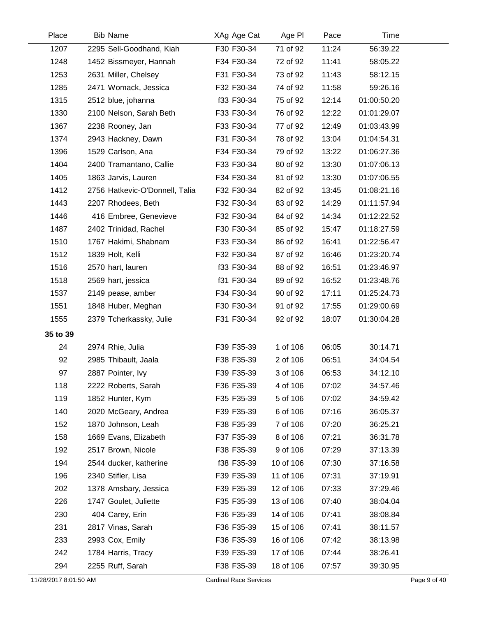| Place    | <b>Bib Name</b>                | XAg Age Cat | Age PI    | Pace  | Time        |  |
|----------|--------------------------------|-------------|-----------|-------|-------------|--|
| 1207     | 2295 Sell-Goodhand, Kiah       | F30 F30-34  | 71 of 92  | 11:24 | 56:39.22    |  |
| 1248     | 1452 Bissmeyer, Hannah         | F34 F30-34  | 72 of 92  | 11:41 | 58:05.22    |  |
| 1253     | 2631 Miller, Chelsey           | F31 F30-34  | 73 of 92  | 11:43 | 58:12.15    |  |
| 1285     | 2471 Womack, Jessica           | F32 F30-34  | 74 of 92  | 11:58 | 59:26.16    |  |
| 1315     | 2512 blue, johanna             | f33 F30-34  | 75 of 92  | 12:14 | 01:00:50.20 |  |
| 1330     | 2100 Nelson, Sarah Beth        | F33 F30-34  | 76 of 92  | 12:22 | 01:01:29.07 |  |
| 1367     | 2238 Rooney, Jan               | F33 F30-34  | 77 of 92  | 12:49 | 01:03:43.99 |  |
| 1374     | 2943 Hackney, Dawn             | F31 F30-34  | 78 of 92  | 13:04 | 01:04:54.31 |  |
| 1396     | 1529 Carlson, Ana              | F34 F30-34  | 79 of 92  | 13:22 | 01:06:27.36 |  |
| 1404     | 2400 Tramantano, Callie        | F33 F30-34  | 80 of 92  | 13:30 | 01:07:06.13 |  |
| 1405     | 1863 Jarvis, Lauren            | F34 F30-34  | 81 of 92  | 13:30 | 01:07:06.55 |  |
| 1412     | 2756 Hatkevic-O'Donnell, Talia | F32 F30-34  | 82 of 92  | 13:45 | 01:08:21.16 |  |
| 1443     | 2207 Rhodees, Beth             | F32 F30-34  | 83 of 92  | 14:29 | 01:11:57.94 |  |
| 1446     | 416 Embree, Genevieve          | F32 F30-34  | 84 of 92  | 14:34 | 01:12:22.52 |  |
| 1487     | 2402 Trinidad, Rachel          | F30 F30-34  | 85 of 92  | 15:47 | 01:18:27.59 |  |
| 1510     | 1767 Hakimi, Shabnam           | F33 F30-34  | 86 of 92  | 16:41 | 01:22:56.47 |  |
| 1512     | 1839 Holt, Kelli               | F32 F30-34  | 87 of 92  | 16:46 | 01:23:20.74 |  |
| 1516     | 2570 hart, lauren              | f33 F30-34  | 88 of 92  | 16:51 | 01:23:46.97 |  |
| 1518     | 2569 hart, jessica             | f31 F30-34  | 89 of 92  | 16:52 | 01:23:48.76 |  |
| 1537     | 2149 pease, amber              | F34 F30-34  | 90 of 92  | 17:11 | 01:25:24.73 |  |
| 1551     | 1848 Huber, Meghan             | F30 F30-34  | 91 of 92  | 17:55 | 01:29:00.69 |  |
| 1555     | 2379 Tcherkassky, Julie        | F31 F30-34  | 92 of 92  | 18:07 | 01:30:04.28 |  |
| 35 to 39 |                                |             |           |       |             |  |
| 24       | 2974 Rhie, Julia               | F39 F35-39  | 1 of 106  | 06:05 | 30:14.71    |  |
| 92       | 2985 Thibault, Jaala           | F38 F35-39  | 2 of 106  | 06:51 | 34:04.54    |  |
| 97       | 2887 Pointer, Ivy              | F39 F35-39  | 3 of 106  | 06:53 | 34:12.10    |  |
| 118      | 2222 Roberts, Sarah            | F36 F35-39  | 4 of 106  | 07:02 | 34:57.46    |  |
| 119      | 1852 Hunter, Kym               | F35 F35-39  | 5 of 106  | 07:02 | 34:59.42    |  |
| 140      | 2020 McGeary, Andrea           | F39 F35-39  | 6 of 106  | 07:16 | 36:05.37    |  |
| 152      | 1870 Johnson, Leah             | F38 F35-39  | 7 of 106  | 07:20 | 36:25.21    |  |
| 158      | 1669 Evans, Elizabeth          | F37 F35-39  | 8 of 106  | 07:21 | 36:31.78    |  |
| 192      | 2517 Brown, Nicole             | F38 F35-39  | 9 of 106  | 07:29 | 37:13.39    |  |
| 194      | 2544 ducker, katherine         | f38 F35-39  | 10 of 106 | 07:30 | 37:16.58    |  |
| 196      | 2340 Stifler, Lisa             | F39 F35-39  | 11 of 106 | 07:31 | 37:19.91    |  |
| 202      | 1378 Amsbary, Jessica          | F39 F35-39  | 12 of 106 | 07:33 | 37:29.46    |  |
| 226      | 1747 Goulet, Juliette          | F35 F35-39  | 13 of 106 | 07:40 | 38:04.04    |  |
| 230      | 404 Carey, Erin                | F36 F35-39  | 14 of 106 | 07:41 | 38:08.84    |  |
| 231      | 2817 Vinas, Sarah              | F36 F35-39  | 15 of 106 | 07:41 | 38:11.57    |  |
| 233      | 2993 Cox, Emily                | F36 F35-39  | 16 of 106 | 07:42 | 38:13.98    |  |
| 242      | 1784 Harris, Tracy             | F39 F35-39  | 17 of 106 | 07:44 | 38:26.41    |  |
| 294      | 2255 Ruff, Sarah               | F38 F35-39  | 18 of 106 | 07:57 | 39:30.95    |  |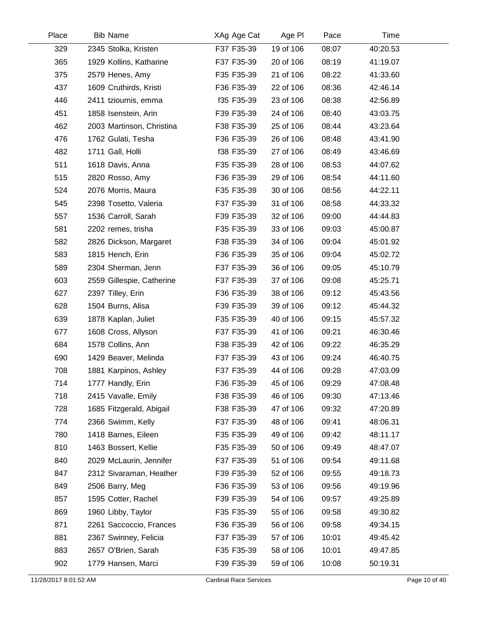| Place | <b>Bib Name</b>           | XAg Age Cat | Age PI    | Pace  | Time     |  |
|-------|---------------------------|-------------|-----------|-------|----------|--|
| 329   | 2345 Stolka, Kristen      | F37 F35-39  | 19 of 106 | 08:07 | 40:20.53 |  |
| 365   | 1929 Kollins, Katharine   | F37 F35-39  | 20 of 106 | 08:19 | 41:19.07 |  |
| 375   | 2579 Henes, Amy           | F35 F35-39  | 21 of 106 | 08:22 | 41:33.60 |  |
| 437   | 1609 Cruthirds, Kristi    | F36 F35-39  | 22 of 106 | 08:36 | 42:46.14 |  |
| 446   | 2411 tzioumis, emma       | f35 F35-39  | 23 of 106 | 08:38 | 42:56.89 |  |
| 451   | 1858 Isenstein, Arin      | F39 F35-39  | 24 of 106 | 08:40 | 43:03.75 |  |
| 462   | 2003 Martinson, Christina | F38 F35-39  | 25 of 106 | 08:44 | 43:23.64 |  |
| 476   | 1762 Gulati, Tesha        | F36 F35-39  | 26 of 106 | 08:48 | 43:41.90 |  |
| 482   | 1711 Gall, Holli          | f38 F35-39  | 27 of 106 | 08:49 | 43:46.69 |  |
| 511   | 1618 Davis, Anna          | F35 F35-39  | 28 of 106 | 08:53 | 44:07.62 |  |
| 515   | 2820 Rosso, Amy           | F36 F35-39  | 29 of 106 | 08:54 | 44:11.60 |  |
| 524   | 2076 Morris, Maura        | F35 F35-39  | 30 of 106 | 08:56 | 44:22.11 |  |
| 545   | 2398 Tosetto, Valeria     | F37 F35-39  | 31 of 106 | 08:58 | 44:33.32 |  |
| 557   | 1536 Carroll, Sarah       | F39 F35-39  | 32 of 106 | 09:00 | 44:44.83 |  |
| 581   | 2202 remes, trisha        | F35 F35-39  | 33 of 106 | 09:03 | 45:00.87 |  |
| 582   | 2826 Dickson, Margaret    | F38 F35-39  | 34 of 106 | 09:04 | 45:01.92 |  |
| 583   | 1815 Hench, Erin          | F36 F35-39  | 35 of 106 | 09:04 | 45:02.72 |  |
| 589   | 2304 Sherman, Jenn        | F37 F35-39  | 36 of 106 | 09:05 | 45:10.79 |  |
| 603   | 2559 Gillespie, Catherine | F37 F35-39  | 37 of 106 | 09:08 | 45:25.71 |  |
| 627   | 2397 Tilley, Erin         | F36 F35-39  | 38 of 106 | 09:12 | 45:43.56 |  |
| 628   | 1504 Burns, Alisa         | F39 F35-39  | 39 of 106 | 09:12 | 45:44.32 |  |
| 639   | 1878 Kaplan, Juliet       | F35 F35-39  | 40 of 106 | 09:15 | 45:57.32 |  |
| 677   | 1608 Cross, Allyson       | F37 F35-39  | 41 of 106 | 09:21 | 46:30.46 |  |
| 684   | 1578 Collins, Ann         | F38 F35-39  | 42 of 106 | 09:22 | 46:35.29 |  |
| 690   | 1429 Beaver, Melinda      | F37 F35-39  | 43 of 106 | 09:24 | 46:40.75 |  |
| 708   | 1881 Karpinos, Ashley     | F37 F35-39  | 44 of 106 | 09:28 | 47:03.09 |  |
| 714   | 1777 Handly, Erin         | F36 F35-39  | 45 of 106 | 09:29 | 47:08.48 |  |
| 718   | 2415 Vavalle, Emily       | F38 F35-39  | 46 of 106 | 09:30 | 47:13.46 |  |
| 728   | 1685 Fitzgerald, Abigail  | F38 F35-39  | 47 of 106 | 09:32 | 47:20.89 |  |
| 774   | 2366 Swimm, Kelly         | F37 F35-39  | 48 of 106 | 09:41 | 48:06.31 |  |
| 780   | 1418 Barnes, Eileen       | F35 F35-39  | 49 of 106 | 09:42 | 48:11.17 |  |
| 810   | 1463 Bossert, Kellie      | F35 F35-39  | 50 of 106 | 09:49 | 48:47.07 |  |
| 840   | 2029 McLaurin, Jennifer   | F37 F35-39  | 51 of 106 | 09:54 | 49:11.68 |  |
| 847   | 2312 Sivaraman, Heather   | F39 F35-39  | 52 of 106 | 09:55 | 49:18.73 |  |
| 849   | 2506 Barry, Meg           | F36 F35-39  | 53 of 106 | 09:56 | 49:19.96 |  |
| 857   | 1595 Cotter, Rachel       | F39 F35-39  | 54 of 106 | 09:57 | 49:25.89 |  |
| 869   | 1960 Libby, Taylor        | F35 F35-39  | 55 of 106 | 09:58 | 49:30.82 |  |
| 871   | 2261 Saccoccio, Frances   | F36 F35-39  | 56 of 106 | 09:58 | 49:34.15 |  |
| 881   | 2367 Swinney, Felicia     | F37 F35-39  | 57 of 106 | 10:01 | 49:45.42 |  |
| 883   | 2657 O'Brien, Sarah       | F35 F35-39  | 58 of 106 | 10:01 | 49:47.85 |  |
| 902   | 1779 Hansen, Marci        | F39 F35-39  | 59 of 106 | 10:08 | 50:19.31 |  |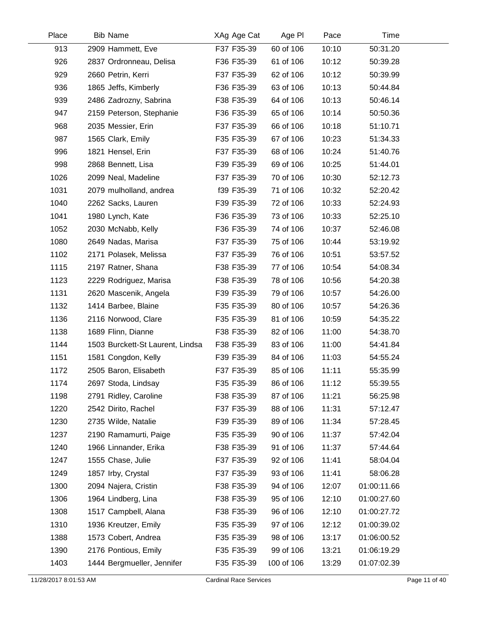| Place | <b>Bib Name</b>                  | XAg Age Cat | Age PI     | Pace  | Time        |  |
|-------|----------------------------------|-------------|------------|-------|-------------|--|
| 913   | 2909 Hammett, Eve                | F37 F35-39  | 60 of 106  | 10:10 | 50:31.20    |  |
| 926   | 2837 Ordronneau, Delisa          | F36 F35-39  | 61 of 106  | 10:12 | 50:39.28    |  |
| 929   | 2660 Petrin, Kerri               | F37 F35-39  | 62 of 106  | 10:12 | 50:39.99    |  |
| 936   | 1865 Jeffs, Kimberly             | F36 F35-39  | 63 of 106  | 10:13 | 50:44.84    |  |
| 939   | 2486 Zadrozny, Sabrina           | F38 F35-39  | 64 of 106  | 10:13 | 50:46.14    |  |
| 947   | 2159 Peterson, Stephanie         | F36 F35-39  | 65 of 106  | 10:14 | 50:50.36    |  |
| 968   | 2035 Messier, Erin               | F37 F35-39  | 66 of 106  | 10:18 | 51:10.71    |  |
| 987   | 1565 Clark, Emily                | F35 F35-39  | 67 of 106  | 10:23 | 51:34.33    |  |
| 996   | 1821 Hensel, Erin                | F37 F35-39  | 68 of 106  | 10:24 | 51:40.76    |  |
| 998   | 2868 Bennett, Lisa               | F39 F35-39  | 69 of 106  | 10:25 | 51:44.01    |  |
| 1026  | 2099 Neal, Madeline              | F37 F35-39  | 70 of 106  | 10:30 | 52:12.73    |  |
| 1031  | 2079 mulholland, andrea          | f39 F35-39  | 71 of 106  | 10:32 | 52:20.42    |  |
| 1040  | 2262 Sacks, Lauren               | F39 F35-39  | 72 of 106  | 10:33 | 52:24.93    |  |
| 1041  | 1980 Lynch, Kate                 | F36 F35-39  | 73 of 106  | 10:33 | 52:25.10    |  |
| 1052  | 2030 McNabb, Kelly               | F36 F35-39  | 74 of 106  | 10:37 | 52:46.08    |  |
| 1080  | 2649 Nadas, Marisa               | F37 F35-39  | 75 of 106  | 10:44 | 53:19.92    |  |
| 1102  | 2171 Polasek, Melissa            | F37 F35-39  | 76 of 106  | 10:51 | 53:57.52    |  |
| 1115  | 2197 Ratner, Shana               | F38 F35-39  | 77 of 106  | 10:54 | 54:08.34    |  |
| 1123  | 2229 Rodriguez, Marisa           | F38 F35-39  | 78 of 106  | 10:56 | 54:20.38    |  |
| 1131  | 2620 Mascenik, Angela            | F39 F35-39  | 79 of 106  | 10:57 | 54:26.00    |  |
| 1132  | 1414 Barbee, Blaine              | F35 F35-39  | 80 of 106  | 10:57 | 54:26.36    |  |
| 1136  | 2116 Norwood, Clare              | F35 F35-39  | 81 of 106  | 10:59 | 54:35.22    |  |
| 1138  | 1689 Flinn, Dianne               | F38 F35-39  | 82 of 106  | 11:00 | 54:38.70    |  |
| 1144  | 1503 Burckett-St Laurent, Lindsa | F38 F35-39  | 83 of 106  | 11:00 | 54:41.84    |  |
| 1151  | 1581 Congdon, Kelly              | F39 F35-39  | 84 of 106  | 11:03 | 54:55.24    |  |
| 1172  | 2505 Baron, Elisabeth            | F37 F35-39  | 85 of 106  | 11:11 | 55:35.99    |  |
| 1174  | 2697 Stoda, Lindsay              | F35 F35-39  | 86 of 106  | 11:12 | 55:39.55    |  |
| 1198  | 2791 Ridley, Caroline            | F38 F35-39  | 87 of 106  | 11:21 | 56:25.98    |  |
| 1220  | 2542 Dirito, Rachel              | F37 F35-39  | 88 of 106  | 11:31 | 57:12.47    |  |
| 1230  | 2735 Wilde, Natalie              | F39 F35-39  | 89 of 106  | 11:34 | 57:28.45    |  |
| 1237  | 2190 Ramamurti, Paige            | F35 F35-39  | 90 of 106  | 11:37 | 57:42.04    |  |
| 1240  | 1966 Linnander, Erika            | F38 F35-39  | 91 of 106  | 11:37 | 57:44.64    |  |
| 1247  | 1555 Chase, Julie                | F37 F35-39  | 92 of 106  | 11:41 | 58:04.04    |  |
| 1249  | 1857 Irby, Crystal               | F37 F35-39  | 93 of 106  | 11:41 | 58:06.28    |  |
| 1300  | 2094 Najera, Cristin             | F38 F35-39  | 94 of 106  | 12:07 | 01:00:11.66 |  |
| 1306  | 1964 Lindberg, Lina              | F38 F35-39  | 95 of 106  | 12:10 | 01:00:27.60 |  |
| 1308  | 1517 Campbell, Alana             | F38 F35-39  | 96 of 106  | 12:10 | 01:00:27.72 |  |
| 1310  | 1936 Kreutzer, Emily             | F35 F35-39  | 97 of 106  | 12:12 | 01:00:39.02 |  |
| 1388  | 1573 Cobert, Andrea              | F35 F35-39  | 98 of 106  | 13:17 | 01:06:00.52 |  |
| 1390  | 2176 Pontious, Emily             | F35 F35-39  | 99 of 106  | 13:21 | 01:06:19.29 |  |
| 1403  | 1444 Bergmueller, Jennifer       | F35 F35-39  | 100 of 106 | 13:29 | 01:07:02.39 |  |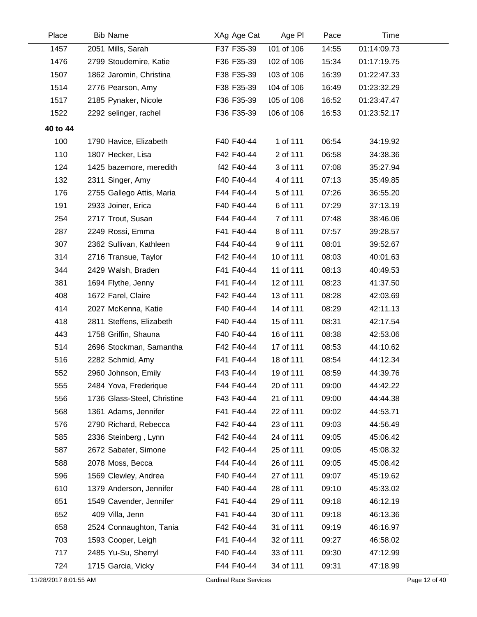| Place    | <b>Bib Name</b>             | XAg Age Cat | Age PI     | Pace  | Time        |  |
|----------|-----------------------------|-------------|------------|-------|-------------|--|
| 1457     | 2051 Mills, Sarah           | F37 F35-39  | 101 of 106 | 14:55 | 01:14:09.73 |  |
| 1476     | 2799 Stoudemire, Katie      | F36 F35-39  | 102 of 106 | 15:34 | 01:17:19.75 |  |
| 1507     | 1862 Jaromin, Christina     | F38 F35-39  | 103 of 106 | 16:39 | 01:22:47.33 |  |
| 1514     | 2776 Pearson, Amy           | F38 F35-39  | 104 of 106 | 16:49 | 01:23:32.29 |  |
| 1517     | 2185 Pynaker, Nicole        | F36 F35-39  | 105 of 106 | 16:52 | 01:23:47.47 |  |
| 1522     | 2292 selinger, rachel       | F36 F35-39  | 106 of 106 | 16:53 | 01:23:52.17 |  |
| 40 to 44 |                             |             |            |       |             |  |
| 100      | 1790 Havice, Elizabeth      | F40 F40-44  | 1 of 111   | 06:54 | 34:19.92    |  |
| 110      | 1807 Hecker, Lisa           | F42 F40-44  | 2 of 111   | 06:58 | 34:38.36    |  |
| 124      | 1425 bazemore, meredith     | f42 F40-44  | 3 of 111   | 07:08 | 35:27.94    |  |
| 132      | 2311 Singer, Amy            | F40 F40-44  | 4 of 111   | 07:13 | 35:49.85    |  |
| 176      | 2755 Gallego Attis, Maria   | F44 F40-44  | 5 of 111   | 07:26 | 36:55.20    |  |
| 191      | 2933 Joiner, Erica          | F40 F40-44  | 6 of 111   | 07:29 | 37:13.19    |  |
| 254      | 2717 Trout, Susan           | F44 F40-44  | 7 of 111   | 07:48 | 38:46.06    |  |
| 287      | 2249 Rossi, Emma            | F41 F40-44  | 8 of 111   | 07:57 | 39:28.57    |  |
| 307      | 2362 Sullivan, Kathleen     | F44 F40-44  | 9 of 111   | 08:01 | 39:52.67    |  |
| 314      | 2716 Transue, Taylor        | F42 F40-44  | 10 of 111  | 08:03 | 40:01.63    |  |
| 344      | 2429 Walsh, Braden          | F41 F40-44  | 11 of 111  | 08:13 | 40:49.53    |  |
| 381      | 1694 Flythe, Jenny          | F41 F40-44  | 12 of 111  | 08:23 | 41:37.50    |  |
| 408      | 1672 Farel, Claire          | F42 F40-44  | 13 of 111  | 08:28 | 42:03.69    |  |
| 414      | 2027 McKenna, Katie         | F40 F40-44  | 14 of 111  | 08:29 | 42:11.13    |  |
| 418      | 2811 Steffens, Elizabeth    | F40 F40-44  | 15 of 111  | 08:31 | 42:17.54    |  |
| 443      | 1758 Griffin, Shauna        | F40 F40-44  | 16 of 111  | 08:38 | 42:53.06    |  |
| 514      | 2696 Stockman, Samantha     | F42 F40-44  | 17 of 111  | 08:53 | 44:10.62    |  |
| 516      | 2282 Schmid, Amy            | F41 F40-44  | 18 of 111  | 08:54 | 44:12.34    |  |
| 552      | 2960 Johnson, Emily         | F43 F40-44  | 19 of 111  | 08:59 | 44:39.76    |  |
| 555      | 2484 Yova, Frederique       | F44 F40-44  | 20 of 111  | 09:00 | 44:42.22    |  |
| 556      | 1736 Glass-Steel, Christine | F43 F40-44  | 21 of 111  | 09:00 | 44:44.38    |  |
| 568      | 1361 Adams, Jennifer        | F41 F40-44  | 22 of 111  | 09:02 | 44:53.71    |  |
| 576      | 2790 Richard, Rebecca       | F42 F40-44  | 23 of 111  | 09:03 | 44:56.49    |  |
| 585      | 2336 Steinberg, Lynn        | F42 F40-44  | 24 of 111  | 09:05 | 45:06.42    |  |
| 587      | 2672 Sabater, Simone        | F42 F40-44  | 25 of 111  | 09:05 | 45:08.32    |  |
| 588      | 2078 Moss, Becca            | F44 F40-44  | 26 of 111  | 09:05 | 45:08.42    |  |
| 596      | 1569 Clewley, Andrea        | F40 F40-44  | 27 of 111  | 09:07 | 45:19.62    |  |
| 610      | 1379 Anderson, Jennifer     | F40 F40-44  | 28 of 111  | 09:10 | 45:33.02    |  |
| 651      | 1549 Cavender, Jennifer     | F41 F40-44  | 29 of 111  | 09:18 | 46:12.19    |  |
| 652      | 409 Villa, Jenn             | F41 F40-44  | 30 of 111  | 09:18 | 46:13.36    |  |
| 658      | 2524 Connaughton, Tania     | F42 F40-44  | 31 of 111  | 09:19 | 46:16.97    |  |
| 703      | 1593 Cooper, Leigh          | F41 F40-44  | 32 of 111  | 09:27 | 46:58.02    |  |
| 717      | 2485 Yu-Su, Sherryl         | F40 F40-44  | 33 of 111  | 09:30 | 47:12.99    |  |
| 724      | 1715 Garcia, Vicky          | F44 F40-44  | 34 of 111  | 09:31 | 47:18.99    |  |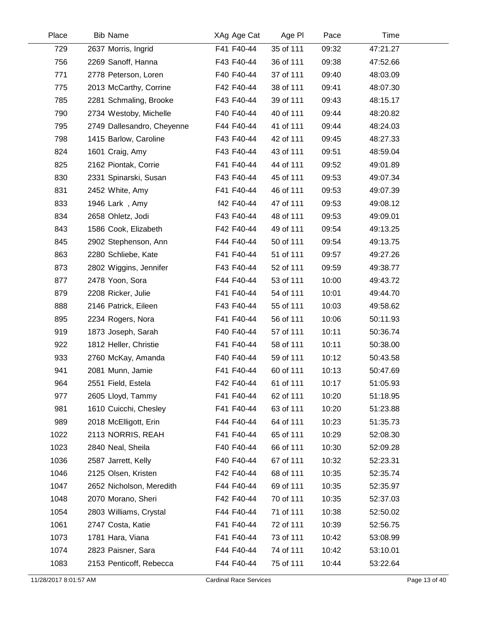| Place | <b>Bib Name</b>            | XAg Age Cat | Age PI    | Pace  | Time     |  |
|-------|----------------------------|-------------|-----------|-------|----------|--|
| 729   | 2637 Morris, Ingrid        | F41 F40-44  | 35 of 111 | 09:32 | 47:21.27 |  |
| 756   | 2269 Sanoff, Hanna         | F43 F40-44  | 36 of 111 | 09:38 | 47:52.66 |  |
| 771   | 2778 Peterson, Loren       | F40 F40-44  | 37 of 111 | 09:40 | 48:03.09 |  |
| 775   | 2013 McCarthy, Corrine     | F42 F40-44  | 38 of 111 | 09:41 | 48:07.30 |  |
| 785   | 2281 Schmaling, Brooke     | F43 F40-44  | 39 of 111 | 09:43 | 48:15.17 |  |
| 790   | 2734 Westoby, Michelle     | F40 F40-44  | 40 of 111 | 09:44 | 48:20.82 |  |
| 795   | 2749 Dallesandro, Cheyenne | F44 F40-44  | 41 of 111 | 09:44 | 48:24.03 |  |
| 798   | 1415 Barlow, Caroline      | F43 F40-44  | 42 of 111 | 09:45 | 48:27.33 |  |
| 824   | 1601 Craig, Amy            | F43 F40-44  | 43 of 111 | 09:51 | 48:59.04 |  |
| 825   | 2162 Piontak, Corrie       | F41 F40-44  | 44 of 111 | 09:52 | 49:01.89 |  |
| 830   | 2331 Spinarski, Susan      | F43 F40-44  | 45 of 111 | 09:53 | 49:07.34 |  |
| 831   | 2452 White, Amy            | F41 F40-44  | 46 of 111 | 09:53 | 49:07.39 |  |
| 833   | 1946 Lark, Amy             | f42 F40-44  | 47 of 111 | 09:53 | 49:08.12 |  |
| 834   | 2658 Ohletz, Jodi          | F43 F40-44  | 48 of 111 | 09:53 | 49:09.01 |  |
| 843   | 1586 Cook, Elizabeth       | F42 F40-44  | 49 of 111 | 09:54 | 49:13.25 |  |
| 845   | 2902 Stephenson, Ann       | F44 F40-44  | 50 of 111 | 09:54 | 49:13.75 |  |
| 863   | 2280 Schliebe, Kate        | F41 F40-44  | 51 of 111 | 09:57 | 49:27.26 |  |
| 873   | 2802 Wiggins, Jennifer     | F43 F40-44  | 52 of 111 | 09:59 | 49:38.77 |  |
| 877   | 2478 Yoon, Sora            | F44 F40-44  | 53 of 111 | 10:00 | 49:43.72 |  |
| 879   | 2208 Ricker, Julie         | F41 F40-44  | 54 of 111 | 10:01 | 49:44.70 |  |
| 888   | 2146 Patrick, Eileen       | F43 F40-44  | 55 of 111 | 10:03 | 49:58.62 |  |
| 895   | 2234 Rogers, Nora          | F41 F40-44  | 56 of 111 | 10:06 | 50:11.93 |  |
| 919   | 1873 Joseph, Sarah         | F40 F40-44  | 57 of 111 | 10:11 | 50:36.74 |  |
| 922   | 1812 Heller, Christie      | F41 F40-44  | 58 of 111 | 10:11 | 50:38.00 |  |
| 933   | 2760 McKay, Amanda         | F40 F40-44  | 59 of 111 | 10:12 | 50:43.58 |  |
| 941   | 2081 Munn, Jamie           | F41 F40-44  | 60 of 111 | 10:13 | 50:47.69 |  |
| 964   | 2551 Field, Estela         | F42 F40-44  | 61 of 111 | 10:17 | 51:05.93 |  |
| 977   | 2605 Lloyd, Tammy          | F41 F40-44  | 62 of 111 | 10:20 | 51:18.95 |  |
| 981   | 1610 Cuicchi, Chesley      | F41 F40-44  | 63 of 111 | 10:20 | 51:23.88 |  |
| 989   | 2018 McElligott, Erin      | F44 F40-44  | 64 of 111 | 10:23 | 51:35.73 |  |
| 1022  | 2113 NORRIS, REAH          | F41 F40-44  | 65 of 111 | 10:29 | 52:08.30 |  |
| 1023  | 2840 Neal, Sheila          | F40 F40-44  | 66 of 111 | 10:30 | 52:09.28 |  |
| 1036  | 2587 Jarrett, Kelly        | F40 F40-44  | 67 of 111 | 10:32 | 52:23.31 |  |
| 1046  | 2125 Olsen, Kristen        | F42 F40-44  | 68 of 111 | 10:35 | 52:35.74 |  |
| 1047  | 2652 Nicholson, Meredith   | F44 F40-44  | 69 of 111 | 10:35 | 52:35.97 |  |
| 1048  | 2070 Morano, Sheri         | F42 F40-44  | 70 of 111 | 10:35 | 52:37.03 |  |
| 1054  | 2803 Williams, Crystal     | F44 F40-44  | 71 of 111 | 10:38 | 52:50.02 |  |
| 1061  | 2747 Costa, Katie          | F41 F40-44  | 72 of 111 | 10:39 | 52:56.75 |  |
| 1073  | 1781 Hara, Viana           | F41 F40-44  | 73 of 111 | 10:42 | 53:08.99 |  |
| 1074  | 2823 Paisner, Sara         | F44 F40-44  | 74 of 111 | 10:42 | 53:10.01 |  |
| 1083  | 2153 Penticoff, Rebecca    | F44 F40-44  | 75 of 111 | 10:44 | 53:22.64 |  |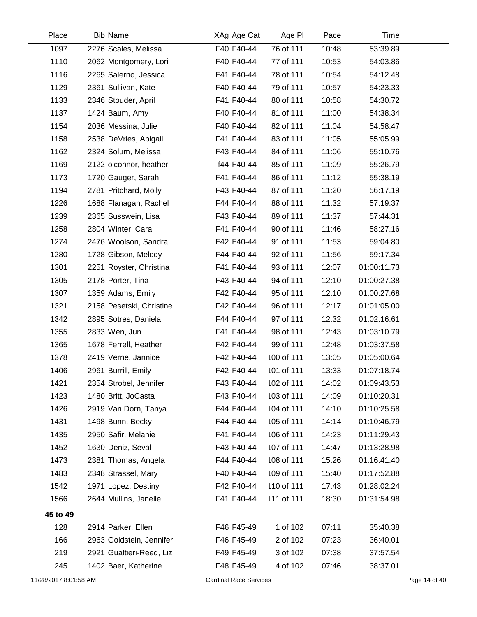| Place                 | <b>Bib Name</b>          | XAg Age Cat                   | Age PI     | Pace  | Time        |               |
|-----------------------|--------------------------|-------------------------------|------------|-------|-------------|---------------|
| 1097                  | 2276 Scales, Melissa     | F40 F40-44                    | 76 of 111  | 10:48 | 53:39.89    |               |
| 1110                  | 2062 Montgomery, Lori    | F40 F40-44                    | 77 of 111  | 10:53 | 54:03.86    |               |
| 1116                  | 2265 Salerno, Jessica    | F41 F40-44                    | 78 of 111  | 10:54 | 54:12.48    |               |
| 1129                  | 2361 Sullivan, Kate      | F40 F40-44                    | 79 of 111  | 10:57 | 54:23.33    |               |
| 1133                  | 2346 Stouder, April      | F41 F40-44                    | 80 of 111  | 10:58 | 54:30.72    |               |
| 1137                  | 1424 Baum, Amy           | F40 F40-44                    | 81 of 111  | 11:00 | 54:38.34    |               |
| 1154                  | 2036 Messina, Julie      | F40 F40-44                    | 82 of 111  | 11:04 | 54:58.47    |               |
| 1158                  | 2538 DeVries, Abigail    | F41 F40-44                    | 83 of 111  | 11:05 | 55:05.99    |               |
| 1162                  | 2324 Solum, Melissa      | F43 F40-44                    | 84 of 111  | 11:06 | 55:10.76    |               |
| 1169                  | 2122 o'connor, heather   | f44 F40-44                    | 85 of 111  | 11:09 | 55:26.79    |               |
| 1173                  | 1720 Gauger, Sarah       | F41 F40-44                    | 86 of 111  | 11:12 | 55:38.19    |               |
| 1194                  | 2781 Pritchard, Molly    | F43 F40-44                    | 87 of 111  | 11:20 | 56:17.19    |               |
| 1226                  | 1688 Flanagan, Rachel    | F44 F40-44                    | 88 of 111  | 11:32 | 57:19.37    |               |
| 1239                  | 2365 Susswein, Lisa      | F43 F40-44                    | 89 of 111  | 11:37 | 57:44.31    |               |
| 1258                  | 2804 Winter, Cara        | F41 F40-44                    | 90 of 111  | 11:46 | 58:27.16    |               |
| 1274                  | 2476 Woolson, Sandra     | F42 F40-44                    | 91 of 111  | 11:53 | 59:04.80    |               |
| 1280                  | 1728 Gibson, Melody      | F44 F40-44                    | 92 of 111  | 11:56 | 59:17.34    |               |
| 1301                  | 2251 Royster, Christina  | F41 F40-44                    | 93 of 111  | 12:07 | 01:00:11.73 |               |
| 1305                  | 2178 Porter, Tina        | F43 F40-44                    | 94 of 111  | 12:10 | 01:00:27.38 |               |
| 1307                  | 1359 Adams, Emily        | F42 F40-44                    | 95 of 111  | 12:10 | 01:00:27.68 |               |
| 1321                  | 2158 Pesetski, Christine | F42 F40-44                    | 96 of 111  | 12:17 | 01:01:05.00 |               |
| 1342                  | 2895 Sotres, Daniela     | F44 F40-44                    | 97 of 111  | 12:32 | 01:02:16.61 |               |
| 1355                  | 2833 Wen, Jun            | F41 F40-44                    | 98 of 111  | 12:43 | 01:03:10.79 |               |
| 1365                  | 1678 Ferrell, Heather    | F42 F40-44                    | 99 of 111  | 12:48 | 01:03:37.58 |               |
| 1378                  | 2419 Verne, Jannice      | F42 F40-44                    | 100 of 111 | 13:05 | 01:05:00.64 |               |
| 1406                  | 2961 Burrill, Emily      | F42 F40-44                    | 101 of 111 | 13:33 | 01:07:18.74 |               |
| 1421                  | 2354 Strobel, Jennifer   | F43 F40-44                    | 102 of 111 | 14:02 | 01:09:43.53 |               |
| 1423                  | 1480 Britt, JoCasta      | F43 F40-44                    | 103 of 111 | 14:09 | 01:10:20.31 |               |
| 1426                  | 2919 Van Dorn, Tanya     | F44 F40-44                    | 104 of 111 | 14:10 | 01:10:25.58 |               |
| 1431                  | 1498 Bunn, Becky         | F44 F40-44                    | 105 of 111 | 14:14 | 01:10:46.79 |               |
| 1435                  | 2950 Safir, Melanie      | F41 F40-44                    | 106 of 111 | 14:23 | 01:11:29.43 |               |
| 1452                  | 1630 Deniz, Seval        | F43 F40-44                    | 107 of 111 | 14:47 | 01:13:28.98 |               |
| 1473                  | 2381 Thomas, Angela      | F44 F40-44                    | 108 of 111 | 15:26 | 01:16:41.40 |               |
| 1483                  | 2348 Strassel, Mary      | F40 F40-44                    | 109 of 111 | 15:40 | 01:17:52.88 |               |
| 1542                  | 1971 Lopez, Destiny      | F42 F40-44                    | 110 of 111 | 17:43 | 01:28:02.24 |               |
| 1566                  | 2644 Mullins, Janelle    | F41 F40-44                    | 111 of 111 | 18:30 | 01:31:54.98 |               |
| 45 to 49              |                          |                               |            |       |             |               |
| 128                   | 2914 Parker, Ellen       | F46 F45-49                    | 1 of 102   | 07:11 | 35:40.38    |               |
| 166                   | 2963 Goldstein, Jennifer | F46 F45-49                    | 2 of 102   | 07:23 | 36:40.01    |               |
| 219                   | 2921 Gualtieri-Reed, Liz | F49 F45-49                    | 3 of 102   | 07:38 | 37:57.54    |               |
| 245                   | 1402 Baer, Katherine     | F48 F45-49                    | 4 of 102   | 07:46 | 38:37.01    |               |
| 11/28/2017 8:01:58 AM |                          | <b>Cardinal Race Services</b> |            |       |             | Page 14 of 40 |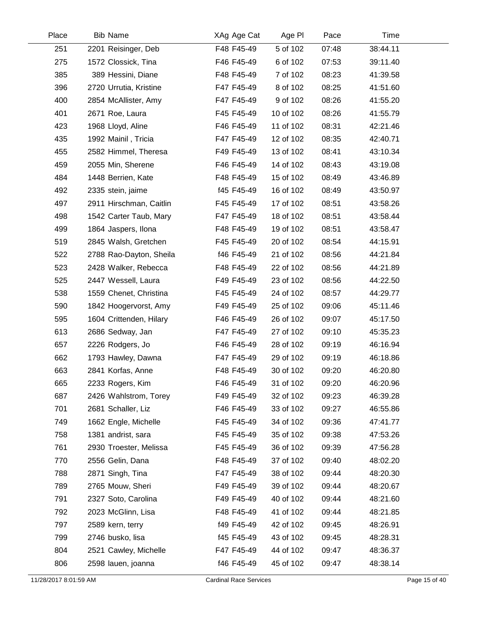| Place | <b>Bib Name</b>         | XAg Age Cat | Age PI    | Pace  | Time     |  |
|-------|-------------------------|-------------|-----------|-------|----------|--|
| 251   | 2201 Reisinger, Deb     | F48 F45-49  | 5 of 102  | 07:48 | 38:44.11 |  |
| 275   | 1572 Clossick, Tina     | F46 F45-49  | 6 of 102  | 07:53 | 39:11.40 |  |
| 385   | 389 Hessini, Diane      | F48 F45-49  | 7 of 102  | 08:23 | 41:39.58 |  |
| 396   | 2720 Urrutia, Kristine  | F47 F45-49  | 8 of 102  | 08:25 | 41:51.60 |  |
| 400   | 2854 McAllister, Amy    | F47 F45-49  | 9 of 102  | 08:26 | 41:55.20 |  |
| 401   | 2671 Roe, Laura         | F45 F45-49  | 10 of 102 | 08:26 | 41:55.79 |  |
| 423   | 1968 Lloyd, Aline       | F46 F45-49  | 11 of 102 | 08:31 | 42:21.46 |  |
| 435   | 1992 Mainil, Tricia     | F47 F45-49  | 12 of 102 | 08:35 | 42:40.71 |  |
| 455   | 2582 Himmel, Theresa    | F49 F45-49  | 13 of 102 | 08:41 | 43:10.34 |  |
| 459   | 2055 Min, Sherene       | F46 F45-49  | 14 of 102 | 08:43 | 43:19.08 |  |
| 484   | 1448 Berrien, Kate      | F48 F45-49  | 15 of 102 | 08:49 | 43:46.89 |  |
| 492   | 2335 stein, jaime       | f45 F45-49  | 16 of 102 | 08:49 | 43:50.97 |  |
| 497   | 2911 Hirschman, Caitlin | F45 F45-49  | 17 of 102 | 08:51 | 43:58.26 |  |
| 498   | 1542 Carter Taub, Mary  | F47 F45-49  | 18 of 102 | 08:51 | 43:58.44 |  |
| 499   | 1864 Jaspers, Ilona     | F48 F45-49  | 19 of 102 | 08:51 | 43:58.47 |  |
| 519   | 2845 Walsh, Gretchen    | F45 F45-49  | 20 of 102 | 08:54 | 44:15.91 |  |
| 522   | 2788 Rao-Dayton, Sheila | f46 F45-49  | 21 of 102 | 08:56 | 44:21.84 |  |
| 523   | 2428 Walker, Rebecca    | F48 F45-49  | 22 of 102 | 08:56 | 44:21.89 |  |
| 525   | 2447 Wessell, Laura     | F49 F45-49  | 23 of 102 | 08:56 | 44:22.50 |  |
| 538   | 1559 Chenet, Christina  | F45 F45-49  | 24 of 102 | 08:57 | 44:29.77 |  |
| 590   | 1842 Hoogervorst, Amy   | F49 F45-49  | 25 of 102 | 09:06 | 45:11.46 |  |
| 595   | 1604 Crittenden, Hilary | F46 F45-49  | 26 of 102 | 09:07 | 45:17.50 |  |
| 613   | 2686 Sedway, Jan        | F47 F45-49  | 27 of 102 | 09:10 | 45:35.23 |  |
| 657   | 2226 Rodgers, Jo        | F46 F45-49  | 28 of 102 | 09:19 | 46:16.94 |  |
| 662   | 1793 Hawley, Dawna      | F47 F45-49  | 29 of 102 | 09:19 | 46:18.86 |  |
| 663   | 2841 Korfas, Anne       | F48 F45-49  | 30 of 102 | 09:20 | 46:20.80 |  |
| 665   | 2233 Rogers, Kim        | F46 F45-49  | 31 of 102 | 09:20 | 46:20.96 |  |
| 687   | 2426 Wahlstrom, Torey   | F49 F45-49  | 32 of 102 | 09:23 | 46:39.28 |  |
| 701   | 2681 Schaller, Liz      | F46 F45-49  | 33 of 102 | 09:27 | 46:55.86 |  |
| 749   | 1662 Engle, Michelle    | F45 F45-49  | 34 of 102 | 09:36 | 47:41.77 |  |
| 758   | 1381 andrist, sara      | F45 F45-49  | 35 of 102 | 09:38 | 47:53.26 |  |
| 761   | 2930 Troester, Melissa  | F45 F45-49  | 36 of 102 | 09:39 | 47:56.28 |  |
| 770   | 2556 Gelin, Dana        | F48 F45-49  | 37 of 102 | 09:40 | 48:02.20 |  |
| 788   | 2871 Singh, Tina        | F47 F45-49  | 38 of 102 | 09:44 | 48:20.30 |  |
| 789   | 2765 Mouw, Sheri        | F49 F45-49  | 39 of 102 | 09:44 | 48:20.67 |  |
| 791   | 2327 Soto, Carolina     | F49 F45-49  | 40 of 102 | 09:44 | 48:21.60 |  |
| 792   | 2023 McGlinn, Lisa      | F48 F45-49  | 41 of 102 | 09:44 | 48:21.85 |  |
| 797   | 2589 kern, terry        | f49 F45-49  | 42 of 102 | 09:45 | 48:26.91 |  |
| 799   | 2746 busko, lisa        | f45 F45-49  | 43 of 102 | 09:45 | 48:28.31 |  |
| 804   | 2521 Cawley, Michelle   | F47 F45-49  | 44 of 102 | 09:47 | 48:36.37 |  |
| 806   | 2598 lauen, joanna      | f46 F45-49  | 45 of 102 | 09:47 | 48:38.14 |  |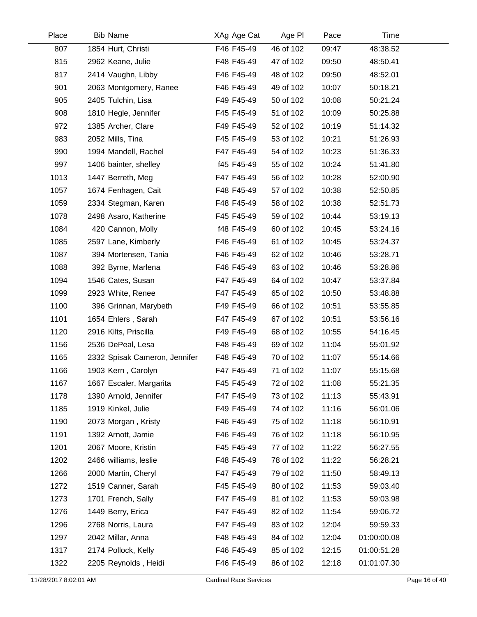| Place | <b>Bib Name</b>               | XAg Age Cat | Age PI    | Pace  | Time        |  |
|-------|-------------------------------|-------------|-----------|-------|-------------|--|
| 807   | 1854 Hurt, Christi            | F46 F45-49  | 46 of 102 | 09:47 | 48:38.52    |  |
| 815   | 2962 Keane, Julie             | F48 F45-49  | 47 of 102 | 09:50 | 48:50.41    |  |
| 817   | 2414 Vaughn, Libby            | F46 F45-49  | 48 of 102 | 09:50 | 48:52.01    |  |
| 901   | 2063 Montgomery, Ranee        | F46 F45-49  | 49 of 102 | 10:07 | 50:18.21    |  |
| 905   | 2405 Tulchin, Lisa            | F49 F45-49  | 50 of 102 | 10:08 | 50:21.24    |  |
| 908   | 1810 Hegle, Jennifer          | F45 F45-49  | 51 of 102 | 10:09 | 50:25.88    |  |
| 972   | 1385 Archer, Clare            | F49 F45-49  | 52 of 102 | 10:19 | 51:14.32    |  |
| 983   | 2052 Mills, Tina              | F45 F45-49  | 53 of 102 | 10:21 | 51:26.93    |  |
| 990   | 1994 Mandell, Rachel          | F47 F45-49  | 54 of 102 | 10:23 | 51:36.33    |  |
| 997   | 1406 bainter, shelley         | f45 F45-49  | 55 of 102 | 10:24 | 51:41.80    |  |
| 1013  | 1447 Berreth, Meg             | F47 F45-49  | 56 of 102 | 10:28 | 52:00.90    |  |
| 1057  | 1674 Fenhagen, Cait           | F48 F45-49  | 57 of 102 | 10:38 | 52:50.85    |  |
| 1059  | 2334 Stegman, Karen           | F48 F45-49  | 58 of 102 | 10:38 | 52:51.73    |  |
| 1078  | 2498 Asaro, Katherine         | F45 F45-49  | 59 of 102 | 10:44 | 53:19.13    |  |
| 1084  | 420 Cannon, Molly             | f48 F45-49  | 60 of 102 | 10:45 | 53:24.16    |  |
| 1085  | 2597 Lane, Kimberly           | F46 F45-49  | 61 of 102 | 10:45 | 53:24.37    |  |
| 1087  | 394 Mortensen, Tania          | F46 F45-49  | 62 of 102 | 10:46 | 53:28.71    |  |
| 1088  | 392 Byrne, Marlena            | F46 F45-49  | 63 of 102 | 10:46 | 53:28.86    |  |
| 1094  | 1546 Cates, Susan             | F47 F45-49  | 64 of 102 | 10:47 | 53:37.84    |  |
| 1099  | 2923 White, Renee             | F47 F45-49  | 65 of 102 | 10:50 | 53:48.88    |  |
| 1100  | 396 Grinnan, Marybeth         | F49 F45-49  | 66 of 102 | 10:51 | 53:55.85    |  |
| 1101  | 1654 Ehlers, Sarah            | F47 F45-49  | 67 of 102 | 10:51 | 53:56.16    |  |
| 1120  | 2916 Kilts, Priscilla         | F49 F45-49  | 68 of 102 | 10:55 | 54:16.45    |  |
| 1156  | 2536 DePeal, Lesa             | F48 F45-49  | 69 of 102 | 11:04 | 55:01.92    |  |
| 1165  | 2332 Spisak Cameron, Jennifer | F48 F45-49  | 70 of 102 | 11:07 | 55:14.66    |  |
| 1166  | 1903 Kern, Carolyn            | F47 F45-49  | 71 of 102 | 11:07 | 55:15.68    |  |
| 1167  | 1667 Escaler, Margarita       | F45 F45-49  | 72 of 102 | 11:08 | 55:21.35    |  |
| 1178  | 1390 Arnold, Jennifer         | F47 F45-49  | 73 of 102 | 11:13 | 55:43.91    |  |
| 1185  | 1919 Kinkel, Julie            | F49 F45-49  | 74 of 102 | 11:16 | 56:01.06    |  |
| 1190  | 2073 Morgan, Kristy           | F46 F45-49  | 75 of 102 | 11:18 | 56:10.91    |  |
| 1191  | 1392 Arnott, Jamie            | F46 F45-49  | 76 of 102 | 11:18 | 56:10.95    |  |
| 1201  | 2067 Moore, Kristin           | F45 F45-49  | 77 of 102 | 11:22 | 56:27.55    |  |
| 1202  | 2466 williams, leslie         | F48 F45-49  | 78 of 102 | 11:22 | 56:28.21    |  |
| 1266  | 2000 Martin, Cheryl           | F47 F45-49  | 79 of 102 | 11:50 | 58:49.13    |  |
| 1272  | 1519 Canner, Sarah            | F45 F45-49  | 80 of 102 | 11:53 | 59:03.40    |  |
| 1273  | 1701 French, Sally            | F47 F45-49  | 81 of 102 | 11:53 | 59:03.98    |  |
| 1276  | 1449 Berry, Erica             | F47 F45-49  | 82 of 102 | 11:54 | 59:06.72    |  |
| 1296  | 2768 Norris, Laura            | F47 F45-49  | 83 of 102 | 12:04 | 59:59.33    |  |
| 1297  | 2042 Millar, Anna             | F48 F45-49  | 84 of 102 | 12:04 | 01:00:00.08 |  |
| 1317  | 2174 Pollock, Kelly           | F46 F45-49  | 85 of 102 | 12:15 | 01:00:51.28 |  |
| 1322  | 2205 Reynolds, Heidi          | F46 F45-49  | 86 of 102 | 12:18 | 01:01:07.30 |  |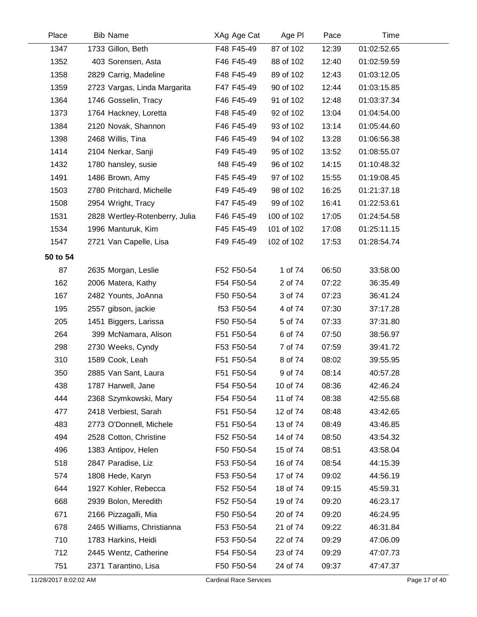| Place    | <b>Bib Name</b>                | XAg Age Cat | Age PI     | Pace  | Time        |  |
|----------|--------------------------------|-------------|------------|-------|-------------|--|
| 1347     | 1733 Gillon, Beth              | F48 F45-49  | 87 of 102  | 12:39 | 01:02:52.65 |  |
| 1352     | 403 Sorensen, Asta             | F46 F45-49  | 88 of 102  | 12:40 | 01:02:59.59 |  |
| 1358     | 2829 Carrig, Madeline          | F48 F45-49  | 89 of 102  | 12:43 | 01:03:12.05 |  |
| 1359     | 2723 Vargas, Linda Margarita   | F47 F45-49  | 90 of 102  | 12:44 | 01:03:15.85 |  |
| 1364     | 1746 Gosselin, Tracy           | F46 F45-49  | 91 of 102  | 12:48 | 01:03:37.34 |  |
| 1373     | 1764 Hackney, Loretta          | F48 F45-49  | 92 of 102  | 13:04 | 01:04:54.00 |  |
| 1384     | 2120 Novak, Shannon            | F46 F45-49  | 93 of 102  | 13:14 | 01:05:44.60 |  |
| 1398     | 2468 Willis, Tina              | F46 F45-49  | 94 of 102  | 13:28 | 01:06:56.38 |  |
| 1414     | 2104 Nerkar, Sanji             | F49 F45-49  | 95 of 102  | 13:52 | 01:08:55.07 |  |
| 1432     | 1780 hansley, susie            | f48 F45-49  | 96 of 102  | 14:15 | 01:10:48.32 |  |
| 1491     | 1486 Brown, Amy                | F45 F45-49  | 97 of 102  | 15:55 | 01:19:08.45 |  |
| 1503     | 2780 Pritchard, Michelle       | F49 F45-49  | 98 of 102  | 16:25 | 01:21:37.18 |  |
| 1508     | 2954 Wright, Tracy             | F47 F45-49  | 99 of 102  | 16:41 | 01:22:53.61 |  |
| 1531     | 2828 Wertley-Rotenberry, Julia | F46 F45-49  | 100 of 102 | 17:05 | 01:24:54.58 |  |
| 1534     | 1996 Manturuk, Kim             | F45 F45-49  | 101 of 102 | 17:08 | 01:25:11.15 |  |
| 1547     | 2721 Van Capelle, Lisa         | F49 F45-49  | 102 of 102 | 17:53 | 01:28:54.74 |  |
| 50 to 54 |                                |             |            |       |             |  |
| 87       | 2635 Morgan, Leslie            | F52 F50-54  | 1 of 74    | 06:50 | 33:58.00    |  |
| 162      | 2006 Matera, Kathy             | F54 F50-54  | 2 of 74    | 07:22 | 36:35.49    |  |
| 167      | 2482 Younts, JoAnna            | F50 F50-54  | 3 of 74    | 07:23 | 36:41.24    |  |
| 195      | 2557 gibson, jackie            | f53 F50-54  | 4 of 74    | 07:30 | 37:17.28    |  |
| 205      | 1451 Biggers, Larissa          | F50 F50-54  | 5 of 74    | 07:33 | 37:31.80    |  |
| 264      | 399 McNamara, Alison           | F51 F50-54  | 6 of 74    | 07:50 | 38:56.97    |  |
| 298      | 2730 Weeks, Cyndy              | F53 F50-54  | 7 of 74    | 07:59 | 39:41.72    |  |
| 310      | 1589 Cook, Leah                | F51 F50-54  | 8 of 74    | 08:02 | 39:55.95    |  |
| 350      | 2885 Van Sant, Laura           | F51 F50-54  | 9 of 74    | 08:14 | 40:57.28    |  |
| 438      | 1787 Harwell, Jane             | F54 F50-54  | 10 of 74   | 08:36 | 42:46.24    |  |
| 444      | 2368 Szymkowski, Mary          | F54 F50-54  | 11 of 74   | 08:38 | 42:55.68    |  |
| 477      | 2418 Verbiest, Sarah           | F51 F50-54  | 12 of 74   | 08:48 | 43:42.65    |  |
| 483      | 2773 O'Donnell, Michele        | F51 F50-54  | 13 of 74   | 08:49 | 43:46.85    |  |
| 494      | 2528 Cotton, Christine         | F52 F50-54  | 14 of 74   | 08:50 | 43:54.32    |  |
| 496      | 1383 Antipov, Helen            | F50 F50-54  | 15 of 74   | 08:51 | 43:58.04    |  |
| 518      | 2847 Paradise, Liz             | F53 F50-54  | 16 of 74   | 08:54 | 44:15.39    |  |
| 574      | 1808 Hede, Karyn               | F53 F50-54  | 17 of 74   | 09:02 | 44:56.19    |  |
| 644      | 1927 Kohler, Rebecca           | F52 F50-54  | 18 of 74   | 09:15 | 45:59.31    |  |
| 668      | 2939 Bolon, Meredith           | F52 F50-54  | 19 of 74   | 09:20 | 46:23.17    |  |
| 671      | 2166 Pizzagalli, Mia           | F50 F50-54  | 20 of 74   | 09:20 | 46:24.95    |  |
| 678      | 2465 Williams, Christianna     | F53 F50-54  | 21 of 74   | 09:22 | 46:31.84    |  |
| 710      | 1783 Harkins, Heidi            | F53 F50-54  | 22 of 74   | 09:29 | 47:06.09    |  |
| 712      | 2445 Wentz, Catherine          | F54 F50-54  | 23 of 74   | 09:29 | 47:07.73    |  |
| 751      | 2371 Tarantino, Lisa           | F50 F50-54  | 24 of 74   | 09:37 | 47:47.37    |  |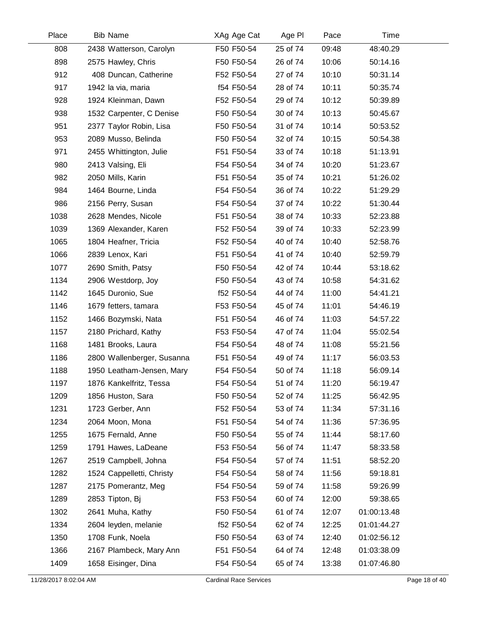| Place | <b>Bib Name</b>            | XAg Age Cat | Age PI   | Pace  | Time        |  |
|-------|----------------------------|-------------|----------|-------|-------------|--|
| 808   | 2438 Watterson, Carolyn    | F50 F50-54  | 25 of 74 | 09:48 | 48:40.29    |  |
| 898   | 2575 Hawley, Chris         | F50 F50-54  | 26 of 74 | 10:06 | 50:14.16    |  |
| 912   | 408 Duncan, Catherine      | F52 F50-54  | 27 of 74 | 10:10 | 50:31.14    |  |
| 917   | 1942 la via, maria         | f54 F50-54  | 28 of 74 | 10:11 | 50:35.74    |  |
| 928   | 1924 Kleinman, Dawn        | F52 F50-54  | 29 of 74 | 10:12 | 50:39.89    |  |
| 938   | 1532 Carpenter, C Denise   | F50 F50-54  | 30 of 74 | 10:13 | 50:45.67    |  |
| 951   | 2377 Taylor Robin, Lisa    | F50 F50-54  | 31 of 74 | 10:14 | 50:53.52    |  |
| 953   | 2089 Musso, Belinda        | F50 F50-54  | 32 of 74 | 10:15 | 50:54.38    |  |
| 971   | 2455 Whittington, Julie    | F51 F50-54  | 33 of 74 | 10:18 | 51:13.91    |  |
| 980   | 2413 Valsing, Eli          | F54 F50-54  | 34 of 74 | 10:20 | 51:23.67    |  |
| 982   | 2050 Mills, Karin          | F51 F50-54  | 35 of 74 | 10:21 | 51:26.02    |  |
| 984   | 1464 Bourne, Linda         | F54 F50-54  | 36 of 74 | 10:22 | 51:29.29    |  |
| 986   | 2156 Perry, Susan          | F54 F50-54  | 37 of 74 | 10:22 | 51:30.44    |  |
| 1038  | 2628 Mendes, Nicole        | F51 F50-54  | 38 of 74 | 10:33 | 52:23.88    |  |
| 1039  | 1369 Alexander, Karen      | F52 F50-54  | 39 of 74 | 10:33 | 52:23.99    |  |
| 1065  | 1804 Heafner, Tricia       | F52 F50-54  | 40 of 74 | 10:40 | 52:58.76    |  |
| 1066  | 2839 Lenox, Kari           | F51 F50-54  | 41 of 74 | 10:40 | 52:59.79    |  |
| 1077  | 2690 Smith, Patsy          | F50 F50-54  | 42 of 74 | 10:44 | 53:18.62    |  |
| 1134  | 2906 Westdorp, Joy         | F50 F50-54  | 43 of 74 | 10:58 | 54:31.62    |  |
| 1142  | 1645 Duronio, Sue          | f52 F50-54  | 44 of 74 | 11:00 | 54:41.21    |  |
| 1146  | 1679 fetters, tamara       | F53 F50-54  | 45 of 74 | 11:01 | 54:46.19    |  |
| 1152  | 1466 Bozymski, Nata        | F51 F50-54  | 46 of 74 | 11:03 | 54:57.22    |  |
| 1157  | 2180 Prichard, Kathy       | F53 F50-54  | 47 of 74 | 11:04 | 55:02.54    |  |
| 1168  | 1481 Brooks, Laura         | F54 F50-54  | 48 of 74 | 11:08 | 55:21.56    |  |
| 1186  | 2800 Wallenberger, Susanna | F51 F50-54  | 49 of 74 | 11:17 | 56:03.53    |  |
| 1188  | 1950 Leatham-Jensen, Mary  | F54 F50-54  | 50 of 74 | 11:18 | 56:09.14    |  |
| 1197  | 1876 Kankelfritz, Tessa    | F54 F50-54  | 51 of 74 | 11:20 | 56:19.47    |  |
| 1209  | 1856 Huston, Sara          | F50 F50-54  | 52 of 74 | 11:25 | 56:42.95    |  |
| 1231  | 1723 Gerber, Ann           | F52 F50-54  | 53 of 74 | 11:34 | 57:31.16    |  |
| 1234  | 2064 Moon, Mona            | F51 F50-54  | 54 of 74 | 11:36 | 57:36.95    |  |
| 1255  | 1675 Fernald, Anne         | F50 F50-54  | 55 of 74 | 11:44 | 58:17.60    |  |
| 1259  | 1791 Hawes, LaDeane        | F53 F50-54  | 56 of 74 | 11:47 | 58:33.58    |  |
| 1267  | 2519 Campbell, Johna       | F54 F50-54  | 57 of 74 | 11:51 | 58:52.20    |  |
| 1282  | 1524 Cappelletti, Christy  | F54 F50-54  | 58 of 74 | 11:56 | 59:18.81    |  |
| 1287  | 2175 Pomerantz, Meg        | F54 F50-54  | 59 of 74 | 11:58 | 59:26.99    |  |
| 1289  | 2853 Tipton, Bj            | F53 F50-54  | 60 of 74 | 12:00 | 59:38.65    |  |
| 1302  | 2641 Muha, Kathy           | F50 F50-54  | 61 of 74 | 12:07 | 01:00:13.48 |  |
| 1334  | 2604 leyden, melanie       | f52 F50-54  | 62 of 74 | 12:25 | 01:01:44.27 |  |
| 1350  | 1708 Funk, Noela           | F50 F50-54  | 63 of 74 | 12:40 | 01:02:56.12 |  |
| 1366  | 2167 Plambeck, Mary Ann    | F51 F50-54  | 64 of 74 | 12:48 | 01:03:38.09 |  |
| 1409  | 1658 Eisinger, Dina        | F54 F50-54  | 65 of 74 | 13:38 | 01:07:46.80 |  |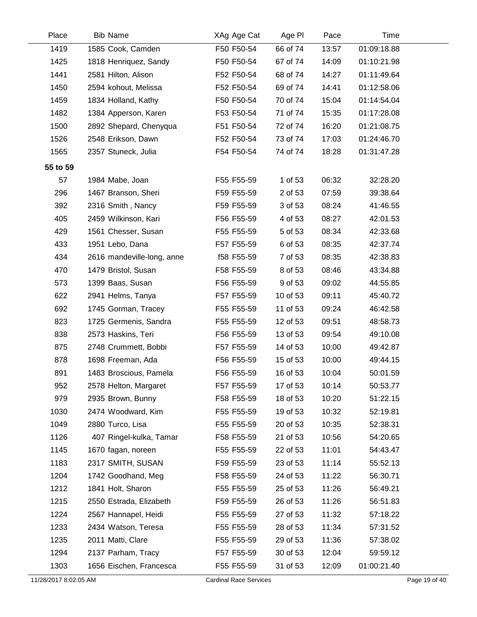| Place    | <b>Bib Name</b>            | XAg Age Cat | Age PI   | Pace  | Time        |
|----------|----------------------------|-------------|----------|-------|-------------|
| 1419     | 1585 Cook, Camden          | F50 F50-54  | 66 of 74 | 13:57 | 01:09:18.88 |
| 1425     | 1818 Henriquez, Sandy      | F50 F50-54  | 67 of 74 | 14:09 | 01:10:21.98 |
| 1441     | 2581 Hilton, Alison        | F52 F50-54  | 68 of 74 | 14:27 | 01:11:49.64 |
| 1450     | 2594 kohout, Melissa       | F52 F50-54  | 69 of 74 | 14:41 | 01:12:58.06 |
| 1459     | 1834 Holland, Kathy        | F50 F50-54  | 70 of 74 | 15:04 | 01:14:54.04 |
| 1482     | 1384 Apperson, Karen       | F53 F50-54  | 71 of 74 | 15:35 | 01:17:28.08 |
| 1500     | 2892 Shepard, Chenyqua     | F51 F50-54  | 72 of 74 | 16:20 | 01:21:08.75 |
| 1526     | 2548 Erikson, Dawn         | F52 F50-54  | 73 of 74 | 17:03 | 01:24:46.70 |
| 1565     | 2357 Stuneck, Julia        | F54 F50-54  | 74 of 74 | 18:28 | 01:31:47.28 |
| 55 to 59 |                            |             |          |       |             |
| 57       | 1984 Mabe, Joan            | F55 F55-59  | 1 of 53  | 06:32 | 32:28.20    |
| 296      | 1467 Branson, Sheri        | F59 F55-59  | 2 of 53  | 07:59 | 39:38.64    |
| 392      | 2316 Smith, Nancy          | F59 F55-59  | 3 of 53  | 08:24 | 41:46.55    |
| 405      | 2459 Wilkinson, Kari       | F56 F55-59  | 4 of 53  | 08:27 | 42:01.53    |
| 429      | 1561 Chesser, Susan        | F55 F55-59  | 5 of 53  | 08:34 | 42:33.68    |
| 433      | 1951 Lebo, Dana            | F57 F55-59  | 6 of 53  | 08:35 | 42:37.74    |
| 434      | 2616 mandeville-long, anne | f58 F55-59  | 7 of 53  | 08:35 | 42:38.83    |
| 470      | 1479 Bristol, Susan        | F58 F55-59  | 8 of 53  | 08:46 | 43:34.88    |
| 573      | 1399 Baas, Susan           | F56 F55-59  | 9 of 53  | 09:02 | 44:55.85    |
| 622      | 2941 Helms, Tanya          | F57 F55-59  | 10 of 53 | 09:11 | 45:40.72    |
| 692      | 1745 Gorman, Tracey        | F55 F55-59  | 11 of 53 | 09:24 | 46:42.58    |
| 823      | 1725 Germenis, Sandra      | F55 F55-59  | 12 of 53 | 09:51 | 48:58.73    |
| 838      | 2573 Haskins, Teri         | F56 F55-59  | 13 of 53 | 09:54 | 49:10.08    |
| 875      | 2748 Crummett, Bobbi       | F57 F55-59  | 14 of 53 | 10:00 | 49:42.87    |
| 878      | 1698 Freeman, Ada          | F56 F55-59  | 15 of 53 | 10:00 | 49:44.15    |
| 891      | 1483 Broscious, Pamela     | F56 F55-59  | 16 of 53 | 10:04 | 50:01.59    |
| 952      | 2578 Helton, Margaret      | F57 F55-59  | 17 of 53 | 10:14 | 50:53.77    |
| 979      | 2935 Brown, Bunny          | F58 F55-59  | 18 of 53 | 10:20 | 51:22.15    |
| 1030     | 2474 Woodward, Kim         | F55 F55-59  | 19 of 53 | 10:32 | 52:19.81    |
| 1049     | 2880 Turco, Lisa           | F55 F55-59  | 20 of 53 | 10:35 | 52:38.31    |
| 1126     | 407 Ringel-kulka, Tamar    | F58 F55-59  | 21 of 53 | 10:56 | 54:20.65    |
| 1145     | 1670 fagan, noreen         | F55 F55-59  | 22 of 53 | 11:01 | 54:43.47    |
| 1183     | 2317 SMITH, SUSAN          | F59 F55-59  | 23 of 53 | 11:14 | 55:52.13    |
| 1204     | 1742 Goodhand, Meg         | F58 F55-59  | 24 of 53 | 11:22 | 56:30.71    |
| 1212     | 1841 Holt, Sharon          | F55 F55-59  | 25 of 53 | 11:26 | 56:49.21    |
| 1215     | 2550 Estrada, Elizabeth    | F59 F55-59  | 26 of 53 | 11:26 | 56:51.83    |
| 1224     | 2567 Hannapel, Heidi       | F55 F55-59  | 27 of 53 | 11:32 | 57:18.22    |
| 1233     | 2434 Watson, Teresa        | F55 F55-59  | 28 of 53 | 11:34 | 57:31.52    |
| 1235     | 2011 Matti, Clare          | F55 F55-59  | 29 of 53 | 11:36 | 57:38.02    |
| 1294     | 2137 Parham, Tracy         | F57 F55-59  | 30 of 53 | 12:04 | 59:59.12    |
| 1303     | 1656 Eischen, Francesca    | F55 F55-59  | 31 of 53 | 12:09 | 01:00:21.40 |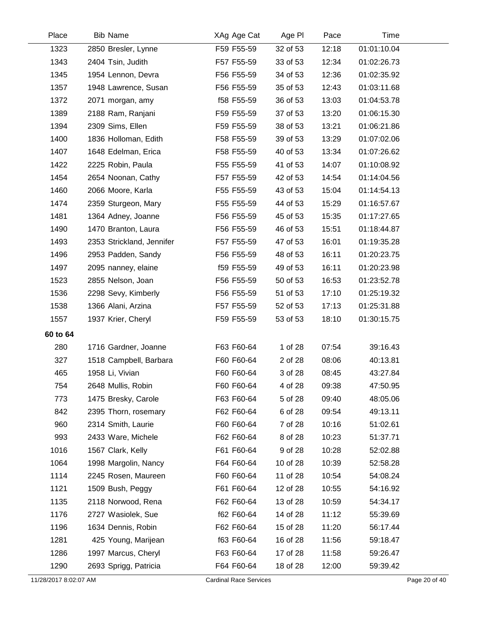| Place    | <b>Bib Name</b>           | XAg Age Cat | Age PI   | Pace  | Time        |
|----------|---------------------------|-------------|----------|-------|-------------|
| 1323     | 2850 Bresler, Lynne       | F59 F55-59  | 32 of 53 | 12:18 | 01:01:10.04 |
| 1343     | 2404 Tsin, Judith         | F57 F55-59  | 33 of 53 | 12:34 | 01:02:26.73 |
| 1345     | 1954 Lennon, Devra        | F56 F55-59  | 34 of 53 | 12:36 | 01:02:35.92 |
| 1357     | 1948 Lawrence, Susan      | F56 F55-59  | 35 of 53 | 12:43 | 01:03:11.68 |
| 1372     | 2071 morgan, amy          | f58 F55-59  | 36 of 53 | 13:03 | 01:04:53.78 |
| 1389     | 2188 Ram, Ranjani         | F59 F55-59  | 37 of 53 | 13:20 | 01:06:15.30 |
| 1394     | 2309 Sims, Ellen          | F59 F55-59  | 38 of 53 | 13:21 | 01:06:21.86 |
| 1400     | 1836 Holloman, Edith      | F58 F55-59  | 39 of 53 | 13:29 | 01:07:02.06 |
| 1407     | 1648 Edelman, Erica       | F58 F55-59  | 40 of 53 | 13:34 | 01:07:26.62 |
| 1422     | 2225 Robin, Paula         | F55 F55-59  | 41 of 53 | 14:07 | 01:10:08.92 |
| 1454     | 2654 Noonan, Cathy        | F57 F55-59  | 42 of 53 | 14:54 | 01:14:04.56 |
| 1460     | 2066 Moore, Karla         | F55 F55-59  | 43 of 53 | 15:04 | 01:14:54.13 |
| 1474     | 2359 Sturgeon, Mary       | F55 F55-59  | 44 of 53 | 15:29 | 01:16:57.67 |
| 1481     | 1364 Adney, Joanne        | F56 F55-59  | 45 of 53 | 15:35 | 01:17:27.65 |
| 1490     | 1470 Branton, Laura       | F56 F55-59  | 46 of 53 | 15:51 | 01:18:44.87 |
| 1493     | 2353 Strickland, Jennifer | F57 F55-59  | 47 of 53 | 16:01 | 01:19:35.28 |
| 1496     | 2953 Padden, Sandy        | F56 F55-59  | 48 of 53 | 16:11 | 01:20:23.75 |
| 1497     | 2095 nanney, elaine       | f59 F55-59  | 49 of 53 | 16:11 | 01:20:23.98 |
| 1523     | 2855 Nelson, Joan         | F56 F55-59  | 50 of 53 | 16:53 | 01:23:52.78 |
| 1536     | 2298 Sevy, Kimberly       | F56 F55-59  | 51 of 53 | 17:10 | 01:25:19.32 |
| 1538     | 1366 Alani, Arzina        | F57 F55-59  | 52 of 53 | 17:13 | 01:25:31.88 |
| 1557     | 1937 Krier, Cheryl        | F59 F55-59  | 53 of 53 | 18:10 | 01:30:15.75 |
| 60 to 64 |                           |             |          |       |             |
| 280      | 1716 Gardner, Joanne      | F63 F60-64  | 1 of 28  | 07:54 | 39:16.43    |
| 327      | 1518 Campbell, Barbara    | F60 F60-64  | 2 of 28  | 08:06 | 40:13.81    |
| 465      | 1958 Li, Vivian           | F60 F60-64  | 3 of 28  | 08:45 | 43:27.84    |
| 754      | 2648 Mullis, Robin        | F60 F60-64  | 4 of 28  | 09:38 | 47:50.95    |
| 773      | 1475 Bresky, Carole       | F63 F60-64  | 5 of 28  | 09:40 | 48:05.06    |
| 842      | 2395 Thorn, rosemary      | F62 F60-64  | 6 of 28  | 09:54 | 49:13.11    |
| 960      | 2314 Smith, Laurie        | F60 F60-64  | 7 of 28  | 10:16 | 51:02.61    |
| 993      | 2433 Ware, Michele        | F62 F60-64  | 8 of 28  | 10:23 | 51:37.71    |
| 1016     | 1567 Clark, Kelly         | F61 F60-64  | 9 of 28  | 10:28 | 52:02.88    |
| 1064     | 1998 Margolin, Nancy      | F64 F60-64  | 10 of 28 | 10:39 | 52:58.28    |
| 1114     | 2245 Rosen, Maureen       | F60 F60-64  | 11 of 28 | 10:54 | 54:08.24    |
| 1121     | 1509 Bush, Peggy          | F61 F60-64  | 12 of 28 | 10:55 | 54:16.92    |
| 1135     | 2118 Norwood, Rena        | F62 F60-64  | 13 of 28 | 10:59 | 54:34.17    |
| 1176     | 2727 Wasiolek, Sue        | f62 F60-64  | 14 of 28 | 11:12 | 55:39.69    |
| 1196     | 1634 Dennis, Robin        | F62 F60-64  | 15 of 28 | 11:20 | 56:17.44    |
| 1281     | 425 Young, Marijean       | f63 F60-64  | 16 of 28 | 11:56 | 59:18.47    |
| 1286     | 1997 Marcus, Cheryl       | F63 F60-64  | 17 of 28 | 11:58 | 59:26.47    |
| 1290     | 2693 Sprigg, Patricia     | F64 F60-64  | 18 of 28 | 12:00 | 59:39.42    |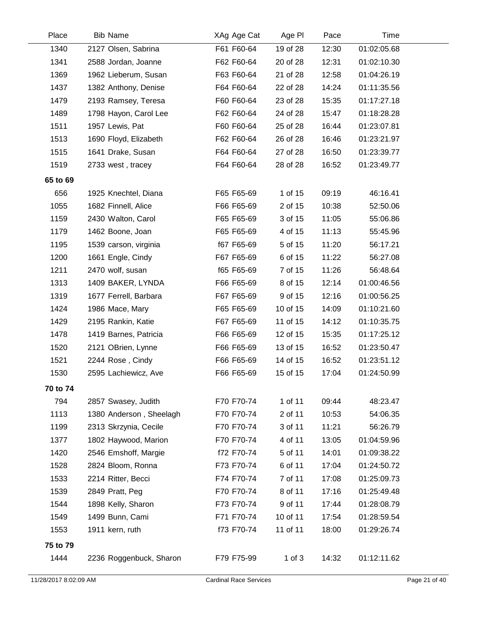| Place    | <b>Bib Name</b>         | XAg Age Cat | Age PI     | Pace  | Time        |  |
|----------|-------------------------|-------------|------------|-------|-------------|--|
| 1340     | 2127 Olsen, Sabrina     | F61 F60-64  | 19 of 28   | 12:30 | 01:02:05.68 |  |
| 1341     | 2588 Jordan, Joanne     | F62 F60-64  | 20 of 28   | 12:31 | 01:02:10.30 |  |
| 1369     | 1962 Lieberum, Susan    | F63 F60-64  | 21 of 28   | 12:58 | 01:04:26.19 |  |
| 1437     | 1382 Anthony, Denise    | F64 F60-64  | 22 of 28   | 14:24 | 01:11:35.56 |  |
| 1479     | 2193 Ramsey, Teresa     | F60 F60-64  | 23 of 28   | 15:35 | 01:17:27.18 |  |
| 1489     | 1798 Hayon, Carol Lee   | F62 F60-64  | 24 of 28   | 15:47 | 01:18:28.28 |  |
| 1511     | 1957 Lewis, Pat         | F60 F60-64  | 25 of 28   | 16:44 | 01:23:07.81 |  |
| 1513     | 1690 Floyd, Elizabeth   | F62 F60-64  | 26 of 28   | 16:46 | 01:23:21.97 |  |
| 1515     | 1641 Drake, Susan       | F64 F60-64  | 27 of 28   | 16:50 | 01:23:39.77 |  |
| 1519     | 2733 west, tracey       | F64 F60-64  | 28 of 28   | 16:52 | 01:23:49.77 |  |
| 65 to 69 |                         |             |            |       |             |  |
| 656      | 1925 Knechtel, Diana    | F65 F65-69  | 1 of 15    | 09:19 | 46:16.41    |  |
| 1055     | 1682 Finnell, Alice     | F66 F65-69  | 2 of 15    | 10:38 | 52:50.06    |  |
| 1159     | 2430 Walton, Carol      | F65 F65-69  | 3 of 15    | 11:05 | 55:06.86    |  |
| 1179     | 1462 Boone, Joan        | F65 F65-69  | 4 of 15    | 11:13 | 55:45.96    |  |
| 1195     | 1539 carson, virginia   | f67 F65-69  | 5 of 15    | 11:20 | 56:17.21    |  |
| 1200     | 1661 Engle, Cindy       | F67 F65-69  | 6 of 15    | 11:22 | 56:27.08    |  |
| 1211     | 2470 wolf, susan        | f65 F65-69  | 7 of 15    | 11:26 | 56:48.64    |  |
| 1313     | 1409 BAKER, LYNDA       | F66 F65-69  | 8 of 15    | 12:14 | 01:00:46.56 |  |
| 1319     | 1677 Ferrell, Barbara   | F67 F65-69  | 9 of 15    | 12:16 | 01:00:56.25 |  |
| 1424     | 1986 Mace, Mary         | F65 F65-69  | 10 of 15   | 14:09 | 01:10:21.60 |  |
| 1429     | 2195 Rankin, Katie      | F67 F65-69  | 11 of 15   | 14:12 | 01:10:35.75 |  |
| 1478     | 1419 Barnes, Patricia   | F66 F65-69  | 12 of 15   | 15:35 | 01:17:25.12 |  |
| 1520     | 2121 OBrien, Lynne      | F66 F65-69  | 13 of 15   | 16:52 | 01:23:50.47 |  |
| 1521     | 2244 Rose, Cindy        | F66 F65-69  | 14 of 15   | 16:52 | 01:23:51.12 |  |
| 1530     | 2595 Lachiewicz, Ave    | F66 F65-69  | 15 of 15   | 17:04 | 01:24:50.99 |  |
| 70 to 74 |                         |             |            |       |             |  |
| 794      | 2857 Swasey, Judith     | F70 F70-74  | 1 of 11    | 09:44 | 48:23.47    |  |
| 1113     | 1380 Anderson, Sheelagh | F70 F70-74  | 2 of 11    | 10:53 | 54:06.35    |  |
| 1199     | 2313 Skrzynia, Cecile   | F70 F70-74  | 3 of 11    | 11:21 | 56:26.79    |  |
| 1377     | 1802 Haywood, Marion    | F70 F70-74  | 4 of 11    | 13:05 | 01:04:59.96 |  |
| 1420     | 2546 Emshoff, Margie    | f72 F70-74  | 5 of 11    | 14:01 | 01:09:38.22 |  |
| 1528     | 2824 Bloom, Ronna       | F73 F70-74  | 6 of 11    | 17:04 | 01:24:50.72 |  |
| 1533     | 2214 Ritter, Becci      | F74 F70-74  | 7 of 11    | 17:08 | 01:25:09.73 |  |
| 1539     | 2849 Pratt, Peg         | F70 F70-74  | 8 of 11    | 17:16 | 01:25:49.48 |  |
| 1544     | 1898 Kelly, Sharon      | F73 F70-74  | 9 of 11    | 17:44 | 01:28:08.79 |  |
| 1549     | 1499 Bunn, Cami         | F71 F70-74  | 10 of 11   | 17:54 | 01:28:59.54 |  |
| 1553     | 1911 kern, ruth         | f73 F70-74  | 11 of 11   | 18:00 | 01:29:26.74 |  |
| 75 to 79 |                         |             |            |       |             |  |
| 1444     | 2236 Roggenbuck, Sharon | F79 F75-99  | $1$ of $3$ | 14:32 | 01:12:11.62 |  |
|          |                         |             |            |       |             |  |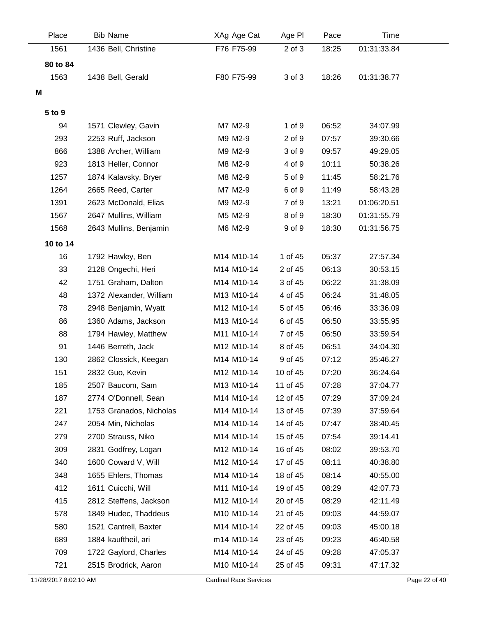| Place    | <b>Bib Name</b>         | XAg Age Cat | Age PI     | Pace  | Time        |  |
|----------|-------------------------|-------------|------------|-------|-------------|--|
| 1561     | 1436 Bell, Christine    | F76 F75-99  | $2$ of $3$ | 18:25 | 01:31:33.84 |  |
| 80 to 84 |                         |             |            |       |             |  |
| 1563     | 1438 Bell, Gerald       | F80 F75-99  | 3 of 3     | 18:26 | 01:31:38.77 |  |
| M        |                         |             |            |       |             |  |
|          |                         |             |            |       |             |  |
| 5 to 9   |                         |             |            |       |             |  |
| 94       | 1571 Clewley, Gavin     | M7 M2-9     | 1 of 9     | 06:52 | 34:07.99    |  |
| 293      | 2253 Ruff, Jackson      | M9 M2-9     | 2 of 9     | 07:57 | 39:30.66    |  |
| 866      | 1388 Archer, William    | M9 M2-9     | 3 of 9     | 09:57 | 49:29.05    |  |
| 923      | 1813 Heller, Connor     | M8 M2-9     | 4 of 9     | 10:11 | 50:38.26    |  |
| 1257     | 1874 Kalavsky, Bryer    | M8 M2-9     | 5 of 9     | 11:45 | 58:21.76    |  |
| 1264     | 2665 Reed, Carter       | M7 M2-9     | 6 of 9     | 11:49 | 58:43.28    |  |
| 1391     | 2623 McDonald, Elias    | M9 M2-9     | 7 of 9     | 13:21 | 01:06:20.51 |  |
| 1567     | 2647 Mullins, William   | M5 M2-9     | 8 of 9     | 18:30 | 01:31:55.79 |  |
| 1568     | 2643 Mullins, Benjamin  | M6 M2-9     | 9 of 9     | 18:30 | 01:31:56.75 |  |
| 10 to 14 |                         |             |            |       |             |  |
| 16       | 1792 Hawley, Ben        | M14 M10-14  | 1 of 45    | 05:37 | 27:57.34    |  |
| 33       | 2128 Ongechi, Heri      | M14 M10-14  | 2 of 45    | 06:13 | 30:53.15    |  |
| 42       | 1751 Graham, Dalton     | M14 M10-14  | 3 of 45    | 06:22 | 31:38.09    |  |
| 48       | 1372 Alexander, William | M13 M10-14  | 4 of 45    | 06:24 | 31:48.05    |  |
| 78       | 2948 Benjamin, Wyatt    | M12 M10-14  | 5 of 45    | 06:46 | 33:36.09    |  |
| 86       | 1360 Adams, Jackson     | M13 M10-14  | 6 of 45    | 06:50 | 33:55.95    |  |
| 88       | 1794 Hawley, Matthew    | M11 M10-14  | 7 of 45    | 06:50 | 33:59.54    |  |
| 91       | 1446 Berreth, Jack      | M12 M10-14  | 8 of 45    | 06:51 | 34:04.30    |  |
| 130      | 2862 Clossick, Keegan   | M14 M10-14  | 9 of 45    | 07:12 | 35:46.27    |  |
| 151      | 2832 Guo, Kevin         | M12 M10-14  | 10 of 45   | 07:20 | 36:24.64    |  |
| 185      | 2507 Baucom, Sam        | M13 M10-14  | 11 of 45   | 07:28 | 37:04.77    |  |
| 187      | 2774 O'Donnell, Sean    | M14 M10-14  | 12 of 45   | 07:29 | 37:09.24    |  |
| 221      | 1753 Granados, Nicholas | M14 M10-14  | 13 of 45   | 07:39 | 37:59.64    |  |
| 247      | 2054 Min, Nicholas      | M14 M10-14  | 14 of 45   | 07:47 | 38:40.45    |  |
| 279      | 2700 Strauss, Niko      | M14 M10-14  | 15 of 45   | 07:54 | 39:14.41    |  |
| 309      | 2831 Godfrey, Logan     | M12 M10-14  | 16 of 45   | 08:02 | 39:53.70    |  |
| 340      | 1600 Coward V, Will     | M12 M10-14  | 17 of 45   | 08:11 | 40:38.80    |  |
| 348      | 1655 Ehlers, Thomas     | M14 M10-14  | 18 of 45   | 08:14 | 40:55.00    |  |
| 412      | 1611 Cuicchi, Will      | M11 M10-14  | 19 of 45   | 08:29 | 42:07.73    |  |
| 415      | 2812 Steffens, Jackson  | M12 M10-14  | 20 of 45   | 08:29 | 42:11.49    |  |
| 578      | 1849 Hudec, Thaddeus    | M10 M10-14  | 21 of 45   | 09:03 | 44:59.07    |  |
| 580      | 1521 Cantrell, Baxter   | M14 M10-14  | 22 of 45   | 09:03 | 45:00.18    |  |
| 689      | 1884 kauftheil, ari     | m14 M10-14  | 23 of 45   | 09:23 | 46:40.58    |  |
| 709      | 1722 Gaylord, Charles   | M14 M10-14  | 24 of 45   | 09:28 | 47:05.37    |  |
| 721      | 2515 Brodrick, Aaron    | M10 M10-14  | 25 of 45   | 09:31 | 47:17.32    |  |
|          |                         |             |            |       |             |  |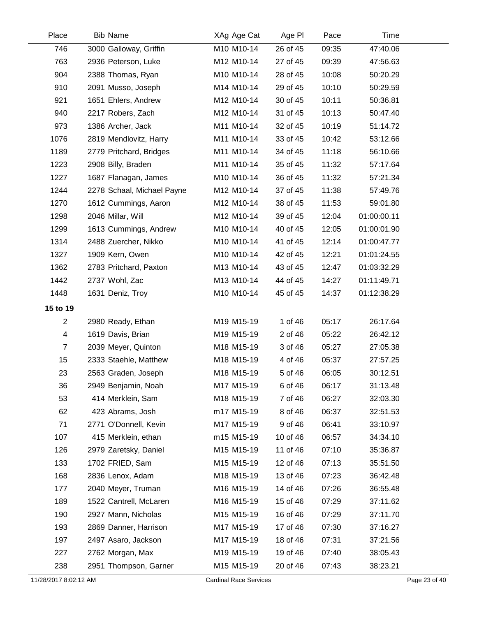| Place                    | <b>Bib Name</b>            | XAg Age Cat | Age PI   | Pace  | Time        |  |
|--------------------------|----------------------------|-------------|----------|-------|-------------|--|
| 746                      | 3000 Galloway, Griffin     | M10 M10-14  | 26 of 45 | 09:35 | 47:40.06    |  |
| 763                      | 2936 Peterson, Luke        | M12 M10-14  | 27 of 45 | 09:39 | 47:56.63    |  |
| 904                      | 2388 Thomas, Ryan          | M10 M10-14  | 28 of 45 | 10:08 | 50:20.29    |  |
| 910                      | 2091 Musso, Joseph         | M14 M10-14  | 29 of 45 | 10:10 | 50:29.59    |  |
| 921                      | 1651 Ehlers, Andrew        | M12 M10-14  | 30 of 45 | 10:11 | 50:36.81    |  |
| 940                      | 2217 Robers, Zach          | M12 M10-14  | 31 of 45 | 10:13 | 50:47.40    |  |
| 973                      | 1386 Archer, Jack          | M11 M10-14  | 32 of 45 | 10:19 | 51:14.72    |  |
| 1076                     | 2819 Mendlovitz, Harry     | M11 M10-14  | 33 of 45 | 10:42 | 53:12.66    |  |
| 1189                     | 2779 Pritchard, Bridges    | M11 M10-14  | 34 of 45 | 11:18 | 56:10.66    |  |
| 1223                     | 2908 Billy, Braden         | M11 M10-14  | 35 of 45 | 11:32 | 57:17.64    |  |
| 1227                     | 1687 Flanagan, James       | M10 M10-14  | 36 of 45 | 11:32 | 57:21.34    |  |
| 1244                     | 2278 Schaal, Michael Payne | M12 M10-14  | 37 of 45 | 11:38 | 57:49.76    |  |
| 1270                     | 1612 Cummings, Aaron       | M12 M10-14  | 38 of 45 | 11:53 | 59:01.80    |  |
| 1298                     | 2046 Millar, Will          | M12 M10-14  | 39 of 45 | 12:04 | 01:00:00.11 |  |
| 1299                     | 1613 Cummings, Andrew      | M10 M10-14  | 40 of 45 | 12:05 | 01:00:01.90 |  |
| 1314                     | 2488 Zuercher, Nikko       | M10 M10-14  | 41 of 45 | 12:14 | 01:00:47.77 |  |
| 1327                     | 1909 Kern, Owen            | M10 M10-14  | 42 of 45 | 12:21 | 01:01:24.55 |  |
| 1362                     | 2783 Pritchard, Paxton     | M13 M10-14  | 43 of 45 | 12:47 | 01:03:32.29 |  |
| 1442                     | 2737 Wohl, Zac             | M13 M10-14  | 44 of 45 | 14:27 | 01:11:49.71 |  |
| 1448                     | 1631 Deniz, Troy           | M10 M10-14  | 45 of 45 | 14:37 | 01:12:38.29 |  |
| 15 to 19                 |                            |             |          |       |             |  |
| $\overline{2}$           | 2980 Ready, Ethan          | M19 M15-19  | 1 of 46  | 05:17 | 26:17.64    |  |
| $\overline{\mathcal{A}}$ | 1619 Davis, Brian          | M19 M15-19  | 2 of 46  | 05:22 | 26:42.12    |  |
| $\overline{7}$           | 2039 Meyer, Quinton        | M18 M15-19  | 3 of 46  | 05:27 | 27:05.38    |  |
| 15                       | 2333 Staehle, Matthew      | M18 M15-19  | 4 of 46  | 05:37 | 27:57.25    |  |
| 23                       | 2563 Graden, Joseph        | M18 M15-19  | 5 of 46  | 06:05 | 30:12.51    |  |
| 36                       | 2949 Benjamin, Noah        | M17 M15-19  | 6 of 46  | 06:17 | 31:13.48    |  |
| 53                       | 414 Merklein, Sam          | M18 M15-19  | 7 of 46  | 06:27 | 32:03.30    |  |
| 62                       | 423 Abrams, Josh           | m17 M15-19  | 8 of 46  | 06:37 | 32:51.53    |  |
| 71                       | 2771 O'Donnell, Kevin      | M17 M15-19  | 9 of 46  | 06:41 | 33:10.97    |  |
| 107                      | 415 Merklein, ethan        | m15 M15-19  | 10 of 46 | 06:57 | 34:34.10    |  |
| 126                      | 2979 Zaretsky, Daniel      | M15 M15-19  | 11 of 46 | 07:10 | 35:36.87    |  |
| 133                      | 1702 FRIED, Sam            | M15 M15-19  | 12 of 46 | 07:13 | 35:51.50    |  |
| 168                      | 2836 Lenox, Adam           | M18 M15-19  | 13 of 46 | 07:23 | 36:42.48    |  |
| 177                      | 2040 Meyer, Truman         | M16 M15-19  | 14 of 46 | 07:26 | 36:55.48    |  |
| 189                      | 1522 Cantrell, McLaren     | M16 M15-19  | 15 of 46 | 07:29 | 37:11.62    |  |
| 190                      | 2927 Mann, Nicholas        | M15 M15-19  | 16 of 46 | 07:29 | 37:11.70    |  |
| 193                      | 2869 Danner, Harrison      | M17 M15-19  | 17 of 46 | 07:30 | 37:16.27    |  |
| 197                      | 2497 Asaro, Jackson        | M17 M15-19  | 18 of 46 | 07:31 | 37:21.56    |  |
| 227                      | 2762 Morgan, Max           | M19 M15-19  | 19 of 46 | 07:40 | 38:05.43    |  |
| 238                      | 2951 Thompson, Garner      | M15 M15-19  | 20 of 46 | 07:43 | 38:23.21    |  |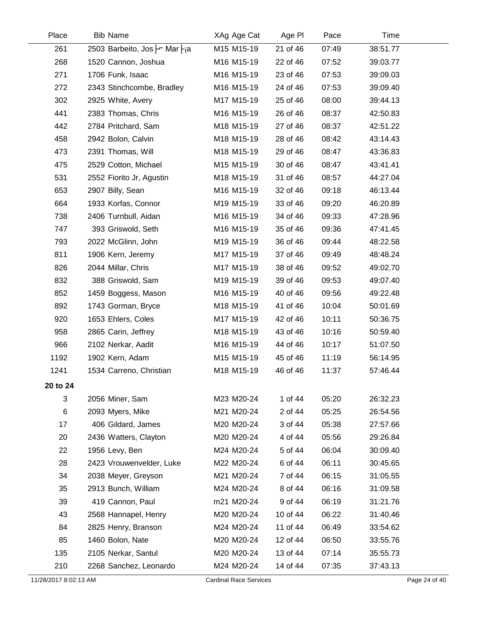| Place    | <b>Bib Name</b>              | XAg Age Cat | Age PI   | Pace  | Time     |  |
|----------|------------------------------|-------------|----------|-------|----------|--|
| 261      | 2503 Barbeito, Jos - Mar -ja | M15 M15-19  | 21 of 46 | 07:49 | 38:51.77 |  |
| 268      | 1520 Cannon, Joshua          | M16 M15-19  | 22 of 46 | 07:52 | 39:03.77 |  |
| 271      | 1706 Funk, Isaac             | M16 M15-19  | 23 of 46 | 07:53 | 39:09.03 |  |
| 272      | 2343 Stinchcombe, Bradley    | M16 M15-19  | 24 of 46 | 07:53 | 39:09.40 |  |
| 302      | 2925 White, Avery            | M17 M15-19  | 25 of 46 | 08:00 | 39:44.13 |  |
| 441      | 2383 Thomas, Chris           | M16 M15-19  | 26 of 46 | 08:37 | 42:50.83 |  |
| 442      | 2784 Pritchard, Sam          | M18 M15-19  | 27 of 46 | 08:37 | 42:51.22 |  |
| 458      | 2942 Bolon, Calvin           | M18 M15-19  | 28 of 46 | 08:42 | 43:14.43 |  |
| 473      | 2391 Thomas, Will            | M18 M15-19  | 29 of 46 | 08:47 | 43:36.83 |  |
| 475      | 2529 Cotton, Michael         | M15 M15-19  | 30 of 46 | 08:47 | 43:41.41 |  |
| 531      | 2552 Fiorito Jr, Agustin     | M18 M15-19  | 31 of 46 | 08:57 | 44:27.04 |  |
| 653      | 2907 Billy, Sean             | M16 M15-19  | 32 of 46 | 09:18 | 46:13.44 |  |
| 664      | 1933 Korfas, Connor          | M19 M15-19  | 33 of 46 | 09:20 | 46:20.89 |  |
| 738      | 2406 Turnbull, Aidan         | M16 M15-19  | 34 of 46 | 09:33 | 47:28.96 |  |
| 747      | 393 Griswold, Seth           | M16 M15-19  | 35 of 46 | 09:36 | 47:41.45 |  |
| 793      | 2022 McGlinn, John           | M19 M15-19  | 36 of 46 | 09:44 | 48:22.58 |  |
| 811      | 1906 Kern, Jeremy            | M17 M15-19  | 37 of 46 | 09:49 | 48:48.24 |  |
| 826      | 2044 Millar, Chris           | M17 M15-19  | 38 of 46 | 09:52 | 49:02.70 |  |
| 832      | 388 Griswold, Sam            | M19 M15-19  | 39 of 46 | 09:53 | 49:07.40 |  |
| 852      | 1459 Boggess, Mason          | M16 M15-19  | 40 of 46 | 09:56 | 49:22.48 |  |
| 892      | 1743 Gorman, Bryce           | M18 M15-19  | 41 of 46 | 10:04 | 50:01.69 |  |
| 920      | 1653 Ehlers, Coles           | M17 M15-19  | 42 of 46 | 10:11 | 50:36.75 |  |
| 958      | 2865 Carin, Jeffrey          | M18 M15-19  | 43 of 46 | 10:16 | 50:59.40 |  |
| 966      | 2102 Nerkar, Aadit           | M16 M15-19  | 44 of 46 | 10:17 | 51:07.50 |  |
| 1192     | 1902 Kern, Adam              | M15 M15-19  | 45 of 46 | 11:19 | 56:14.95 |  |
| 1241     | 1534 Carreno, Christian      | M18 M15-19  | 46 of 46 | 11:37 | 57:46.44 |  |
| 20 to 24 |                              |             |          |       |          |  |
| 3        | 2056 Miner, Sam              | M23 M20-24  | 1 of 44  | 05:20 | 26:32.23 |  |
| $\,6$    | 2093 Myers, Mike             | M21 M20-24  | 2 of 44  | 05:25 | 26:54.56 |  |
| 17       | 406 Gildard, James           | M20 M20-24  | 3 of 44  | 05:38 | 27:57.66 |  |
| 20       | 2436 Watters, Clayton        | M20 M20-24  | 4 of 44  | 05:56 | 29:26.84 |  |
| 22       | 1956 Levy, Ben               | M24 M20-24  | 5 of 44  | 06:04 | 30:09.40 |  |
| 28       | 2423 Vrouwenvelder, Luke     | M22 M20-24  | 6 of 44  | 06:11 | 30:45.65 |  |
| 34       | 2038 Meyer, Greyson          | M21 M20-24  | 7 of 44  | 06:15 | 31:05.55 |  |
| 35       | 2913 Bunch, William          | M24 M20-24  | 8 of 44  | 06:16 | 31:09.58 |  |
| 39       | 419 Cannon, Paul             | m21 M20-24  | 9 of 44  | 06:19 | 31:21.76 |  |
| 43       | 2568 Hannapel, Henry         | M20 M20-24  | 10 of 44 | 06:22 | 31:40.46 |  |
| 84       | 2825 Henry, Branson          | M24 M20-24  | 11 of 44 | 06:49 | 33:54.62 |  |
| 85       | 1460 Bolon, Nate             | M20 M20-24  | 12 of 44 | 06:50 | 33:55.76 |  |
| 135      | 2105 Nerkar, Santul          | M20 M20-24  | 13 of 44 | 07:14 | 35:55.73 |  |
| 210      | 2268 Sanchez, Leonardo       | M24 M20-24  | 14 of 44 | 07:35 | 37:43.13 |  |
|          |                              |             |          |       |          |  |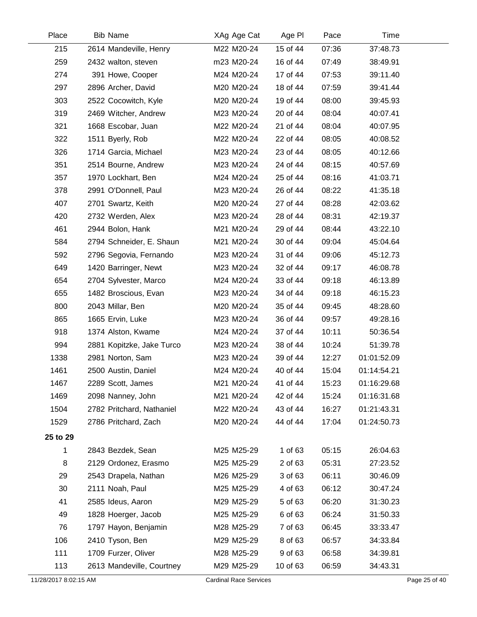| Place    | <b>Bib Name</b>           | XAg Age Cat | Age PI   | Pace  | Time        |  |
|----------|---------------------------|-------------|----------|-------|-------------|--|
| 215      | 2614 Mandeville, Henry    | M22 M20-24  | 15 of 44 | 07:36 | 37:48.73    |  |
| 259      | 2432 walton, steven       | m23 M20-24  | 16 of 44 | 07:49 | 38:49.91    |  |
| 274      | 391 Howe, Cooper          | M24 M20-24  | 17 of 44 | 07:53 | 39:11.40    |  |
| 297      | 2896 Archer, David        | M20 M20-24  | 18 of 44 | 07:59 | 39:41.44    |  |
| 303      | 2522 Cocowitch, Kyle      | M20 M20-24  | 19 of 44 | 08:00 | 39:45.93    |  |
| 319      | 2469 Witcher, Andrew      | M23 M20-24  | 20 of 44 | 08:04 | 40:07.41    |  |
| 321      | 1668 Escobar, Juan        | M22 M20-24  | 21 of 44 | 08:04 | 40:07.95    |  |
| 322      | 1511 Byerly, Rob          | M22 M20-24  | 22 of 44 | 08:05 | 40:08.52    |  |
| 326      | 1714 Garcia, Michael      | M23 M20-24  | 23 of 44 | 08:05 | 40:12.66    |  |
| 351      | 2514 Bourne, Andrew       | M23 M20-24  | 24 of 44 | 08:15 | 40:57.69    |  |
| 357      | 1970 Lockhart, Ben        | M24 M20-24  | 25 of 44 | 08:16 | 41:03.71    |  |
| 378      | 2991 O'Donnell, Paul      | M23 M20-24  | 26 of 44 | 08:22 | 41:35.18    |  |
| 407      | 2701 Swartz, Keith        | M20 M20-24  | 27 of 44 | 08:28 | 42:03.62    |  |
| 420      | 2732 Werden, Alex         | M23 M20-24  | 28 of 44 | 08:31 | 42:19.37    |  |
| 461      | 2944 Bolon, Hank          | M21 M20-24  | 29 of 44 | 08:44 | 43:22.10    |  |
| 584      | 2794 Schneider, E. Shaun  | M21 M20-24  | 30 of 44 | 09:04 | 45:04.64    |  |
| 592      | 2796 Segovia, Fernando    | M23 M20-24  | 31 of 44 | 09:06 | 45:12.73    |  |
| 649      | 1420 Barringer, Newt      | M23 M20-24  | 32 of 44 | 09:17 | 46:08.78    |  |
| 654      | 2704 Sylvester, Marco     | M24 M20-24  | 33 of 44 | 09:18 | 46:13.89    |  |
| 655      | 1482 Broscious, Evan      | M23 M20-24  | 34 of 44 | 09:18 | 46:15.23    |  |
| 800      | 2043 Millar, Ben          | M20 M20-24  | 35 of 44 | 09:45 | 48:28.60    |  |
| 865      | 1665 Ervin, Luke          | M23 M20-24  | 36 of 44 | 09:57 | 49:28.16    |  |
| 918      | 1374 Alston, Kwame        | M24 M20-24  | 37 of 44 | 10:11 | 50:36.54    |  |
| 994      | 2881 Kopitzke, Jake Turco | M23 M20-24  | 38 of 44 | 10:24 | 51:39.78    |  |
| 1338     | 2981 Norton, Sam          | M23 M20-24  | 39 of 44 | 12:27 | 01:01:52.09 |  |
| 1461     | 2500 Austin, Daniel       | M24 M20-24  | 40 of 44 | 15:04 | 01:14:54.21 |  |
| 1467     | 2289 Scott, James         | M21 M20-24  | 41 of 44 | 15:23 | 01:16:29.68 |  |
| 1469     | 2098 Nanney, John         | M21 M20-24  | 42 of 44 | 15:24 | 01:16:31.68 |  |
| 1504     | 2782 Pritchard, Nathaniel | M22 M20-24  | 43 of 44 | 16:27 | 01:21:43.31 |  |
| 1529     | 2786 Pritchard, Zach      | M20 M20-24  | 44 of 44 | 17:04 | 01:24:50.73 |  |
| 25 to 29 |                           |             |          |       |             |  |
| 1        | 2843 Bezdek, Sean         | M25 M25-29  | 1 of 63  | 05:15 | 26:04.63    |  |
| 8        | 2129 Ordonez, Erasmo      | M25 M25-29  | 2 of 63  | 05:31 | 27:23.52    |  |
| 29       | 2543 Drapela, Nathan      | M26 M25-29  | 3 of 63  | 06:11 | 30:46.09    |  |
| 30       | 2111 Noah, Paul           | M25 M25-29  | 4 of 63  | 06:12 | 30:47.24    |  |
| 41       | 2585 Ideus, Aaron         | M29 M25-29  | 5 of 63  | 06:20 | 31:30.23    |  |
| 49       | 1828 Hoerger, Jacob       | M25 M25-29  | 6 of 63  | 06:24 | 31:50.33    |  |
| 76       | 1797 Hayon, Benjamin      | M28 M25-29  | 7 of 63  | 06:45 | 33:33.47    |  |
| 106      | 2410 Tyson, Ben           | M29 M25-29  | 8 of 63  | 06:57 | 34:33.84    |  |
| 111      | 1709 Furzer, Oliver       | M28 M25-29  | 9 of 63  | 06:58 | 34:39.81    |  |
| 113      | 2613 Mandeville, Courtney | M29 M25-29  | 10 of 63 | 06:59 | 34:43.31    |  |
|          |                           |             |          |       |             |  |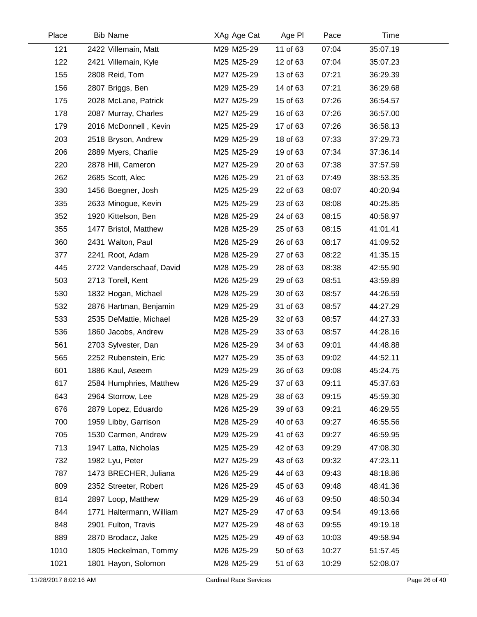| Place | <b>Bib Name</b>          | XAg Age Cat | Age PI   | Pace  | Time     |  |
|-------|--------------------------|-------------|----------|-------|----------|--|
| 121   | 2422 Villemain, Matt     | M29 M25-29  | 11 of 63 | 07:04 | 35:07.19 |  |
| 122   | 2421 Villemain, Kyle     | M25 M25-29  | 12 of 63 | 07:04 | 35:07.23 |  |
| 155   | 2808 Reid, Tom           | M27 M25-29  | 13 of 63 | 07:21 | 36:29.39 |  |
| 156   | 2807 Briggs, Ben         | M29 M25-29  | 14 of 63 | 07:21 | 36:29.68 |  |
| 175   | 2028 McLane, Patrick     | M27 M25-29  | 15 of 63 | 07:26 | 36:54.57 |  |
| 178   | 2087 Murray, Charles     | M27 M25-29  | 16 of 63 | 07:26 | 36:57.00 |  |
| 179   | 2016 McDonnell, Kevin    | M25 M25-29  | 17 of 63 | 07:26 | 36:58.13 |  |
| 203   | 2518 Bryson, Andrew      | M29 M25-29  | 18 of 63 | 07:33 | 37:29.73 |  |
| 206   | 2889 Myers, Charlie      | M25 M25-29  | 19 of 63 | 07:34 | 37:36.14 |  |
| 220   | 2878 Hill, Cameron       | M27 M25-29  | 20 of 63 | 07:38 | 37:57.59 |  |
| 262   | 2685 Scott, Alec         | M26 M25-29  | 21 of 63 | 07:49 | 38:53.35 |  |
| 330   | 1456 Boegner, Josh       | M25 M25-29  | 22 of 63 | 08:07 | 40:20.94 |  |
| 335   | 2633 Minogue, Kevin      | M25 M25-29  | 23 of 63 | 08:08 | 40:25.85 |  |
| 352   | 1920 Kittelson, Ben      | M28 M25-29  | 24 of 63 | 08:15 | 40:58.97 |  |
| 355   | 1477 Bristol, Matthew    | M28 M25-29  | 25 of 63 | 08:15 | 41:01.41 |  |
| 360   | 2431 Walton, Paul        | M28 M25-29  | 26 of 63 | 08:17 | 41:09.52 |  |
| 377   | 2241 Root, Adam          | M28 M25-29  | 27 of 63 | 08:22 | 41:35.15 |  |
| 445   | 2722 Vanderschaaf, David | M28 M25-29  | 28 of 63 | 08:38 | 42:55.90 |  |
| 503   | 2713 Torell, Kent        | M26 M25-29  | 29 of 63 | 08:51 | 43:59.89 |  |
| 530   | 1832 Hogan, Michael      | M28 M25-29  | 30 of 63 | 08:57 | 44:26.59 |  |
| 532   | 2876 Hartman, Benjamin   | M29 M25-29  | 31 of 63 | 08:57 | 44:27.29 |  |
| 533   | 2535 DeMattie, Michael   | M28 M25-29  | 32 of 63 | 08:57 | 44:27.33 |  |
| 536   | 1860 Jacobs, Andrew      | M28 M25-29  | 33 of 63 | 08:57 | 44:28.16 |  |
| 561   | 2703 Sylvester, Dan      | M26 M25-29  | 34 of 63 | 09:01 | 44:48.88 |  |
| 565   | 2252 Rubenstein, Eric    | M27 M25-29  | 35 of 63 | 09:02 | 44:52.11 |  |
| 601   | 1886 Kaul, Aseem         | M29 M25-29  | 36 of 63 | 09:08 | 45:24.75 |  |
| 617   | 2584 Humphries, Matthew  | M26 M25-29  | 37 of 63 | 09:11 | 45:37.63 |  |
| 643   | 2964 Storrow, Lee        | M28 M25-29  | 38 of 63 | 09:15 | 45:59.30 |  |
| 676   | 2879 Lopez, Eduardo      | M26 M25-29  | 39 of 63 | 09:21 | 46:29.55 |  |
| 700   | 1959 Libby, Garrison     | M28 M25-29  | 40 of 63 | 09:27 | 46:55.56 |  |
| 705   | 1530 Carmen, Andrew      | M29 M25-29  | 41 of 63 | 09:27 | 46:59.95 |  |
| 713   | 1947 Latta, Nicholas     | M25 M25-29  | 42 of 63 | 09:29 | 47:08.30 |  |
| 732   | 1982 Lyu, Peter          | M27 M25-29  | 43 of 63 | 09:32 | 47:23.11 |  |
| 787   | 1473 BRECHER, Juliana    | M26 M25-29  | 44 of 63 | 09:43 | 48:18.86 |  |
| 809   | 2352 Streeter, Robert    | M26 M25-29  | 45 of 63 | 09:48 | 48:41.36 |  |
| 814   | 2897 Loop, Matthew       | M29 M25-29  | 46 of 63 | 09:50 | 48:50.34 |  |
| 844   | 1771 Haltermann, William | M27 M25-29  | 47 of 63 | 09:54 | 49:13.66 |  |
| 848   | 2901 Fulton, Travis      | M27 M25-29  | 48 of 63 | 09:55 | 49:19.18 |  |
| 889   | 2870 Brodacz, Jake       | M25 M25-29  | 49 of 63 | 10:03 | 49:58.94 |  |
| 1010  | 1805 Heckelman, Tommy    | M26 M25-29  | 50 of 63 | 10:27 | 51:57.45 |  |
| 1021  | 1801 Hayon, Solomon      | M28 M25-29  | 51 of 63 | 10:29 | 52:08.07 |  |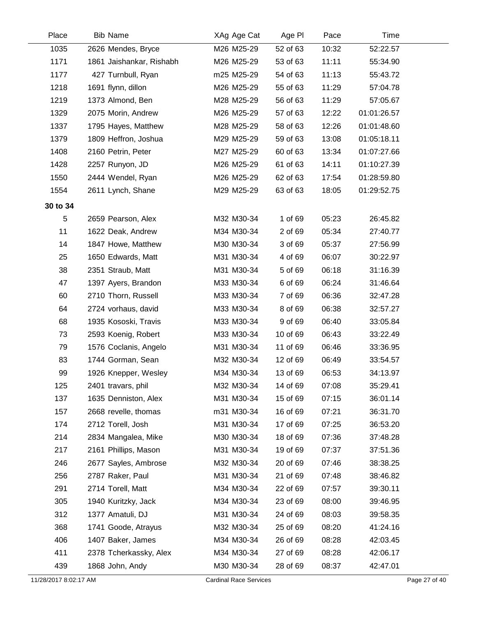| Place    | <b>Bib Name</b>          | XAg Age Cat | Age PI   | Pace  | Time        |
|----------|--------------------------|-------------|----------|-------|-------------|
| 1035     | 2626 Mendes, Bryce       | M26 M25-29  | 52 of 63 | 10:32 | 52:22.57    |
| 1171     | 1861 Jaishankar, Rishabh | M26 M25-29  | 53 of 63 | 11:11 | 55:34.90    |
| 1177     | 427 Turnbull, Ryan       | m25 M25-29  | 54 of 63 | 11:13 | 55:43.72    |
| 1218     | 1691 flynn, dillon       | M26 M25-29  | 55 of 63 | 11:29 | 57:04.78    |
| 1219     | 1373 Almond, Ben         | M28 M25-29  | 56 of 63 | 11:29 | 57:05.67    |
| 1329     | 2075 Morin, Andrew       | M26 M25-29  | 57 of 63 | 12:22 | 01:01:26.57 |
| 1337     | 1795 Hayes, Matthew      | M28 M25-29  | 58 of 63 | 12:26 | 01:01:48.60 |
| 1379     | 1809 Heffron, Joshua     | M29 M25-29  | 59 of 63 | 13:08 | 01:05:18.11 |
| 1408     | 2160 Petrin, Peter       | M27 M25-29  | 60 of 63 | 13:34 | 01:07:27.66 |
| 1428     | 2257 Runyon, JD          | M26 M25-29  | 61 of 63 | 14:11 | 01:10:27.39 |
| 1550     | 2444 Wendel, Ryan        | M26 M25-29  | 62 of 63 | 17:54 | 01:28:59.80 |
| 1554     | 2611 Lynch, Shane        | M29 M25-29  | 63 of 63 | 18:05 | 01:29:52.75 |
| 30 to 34 |                          |             |          |       |             |
| 5        | 2659 Pearson, Alex       | M32 M30-34  | 1 of 69  | 05:23 | 26:45.82    |
| 11       | 1622 Deak, Andrew        | M34 M30-34  | 2 of 69  | 05:34 | 27:40.77    |
| 14       | 1847 Howe, Matthew       | M30 M30-34  | 3 of 69  | 05:37 | 27:56.99    |
| 25       | 1650 Edwards, Matt       | M31 M30-34  | 4 of 69  | 06:07 | 30:22.97    |
| 38       | 2351 Straub, Matt        | M31 M30-34  | 5 of 69  | 06:18 | 31:16.39    |
| 47       | 1397 Ayers, Brandon      | M33 M30-34  | 6 of 69  | 06:24 | 31:46.64    |
| 60       | 2710 Thorn, Russell      | M33 M30-34  | 7 of 69  | 06:36 | 32:47.28    |
| 64       | 2724 vorhaus, david      | M33 M30-34  | 8 of 69  | 06:38 | 32:57.27    |
| 68       | 1935 Kososki, Travis     | M33 M30-34  | 9 of 69  | 06:40 | 33:05.84    |
| 73       | 2593 Koenig, Robert      | M33 M30-34  | 10 of 69 | 06:43 | 33:22.49    |
| 79       | 1576 Coclanis, Angelo    | M31 M30-34  | 11 of 69 | 06:46 | 33:36.95    |
| 83       | 1744 Gorman, Sean        | M32 M30-34  | 12 of 69 | 06:49 | 33:54.57    |
| 99       | 1926 Knepper, Wesley     | M34 M30-34  | 13 of 69 | 06:53 | 34:13.97    |
| 125      | 2401 travars, phil       | M32 M30-34  | 14 of 69 | 07:08 | 35:29.41    |
| 137      | 1635 Denniston, Alex     | M31 M30-34  | 15 of 69 | 07:15 | 36:01.14    |
| 157      | 2668 revelle, thomas     | m31 M30-34  | 16 of 69 | 07:21 | 36:31.70    |
| 174      | 2712 Torell, Josh        | M31 M30-34  | 17 of 69 | 07:25 | 36:53.20    |
| 214      | 2834 Mangalea, Mike      | M30 M30-34  | 18 of 69 | 07:36 | 37:48.28    |
| 217      | 2161 Phillips, Mason     | M31 M30-34  | 19 of 69 | 07:37 | 37:51.36    |
| 246      | 2677 Sayles, Ambrose     | M32 M30-34  | 20 of 69 | 07:46 | 38:38.25    |
| 256      | 2787 Raker, Paul         | M31 M30-34  | 21 of 69 | 07:48 | 38:46.82    |
| 291      | 2714 Torell, Matt        | M34 M30-34  | 22 of 69 | 07:57 | 39:30.11    |
| 305      | 1940 Kuritzky, Jack      | M34 M30-34  | 23 of 69 | 08:00 | 39:46.95    |
| 312      | 1377 Amatuli, DJ         | M31 M30-34  | 24 of 69 | 08:03 | 39:58.35    |
| 368      | 1741 Goode, Atrayus      | M32 M30-34  | 25 of 69 | 08:20 | 41:24.16    |
| 406      | 1407 Baker, James        | M34 M30-34  | 26 of 69 | 08:28 | 42:03.45    |
| 411      | 2378 Tcherkassky, Alex   | M34 M30-34  | 27 of 69 | 08:28 | 42:06.17    |
| 439      | 1868 John, Andy          | M30 M30-34  | 28 of 69 | 08:37 | 42:47.01    |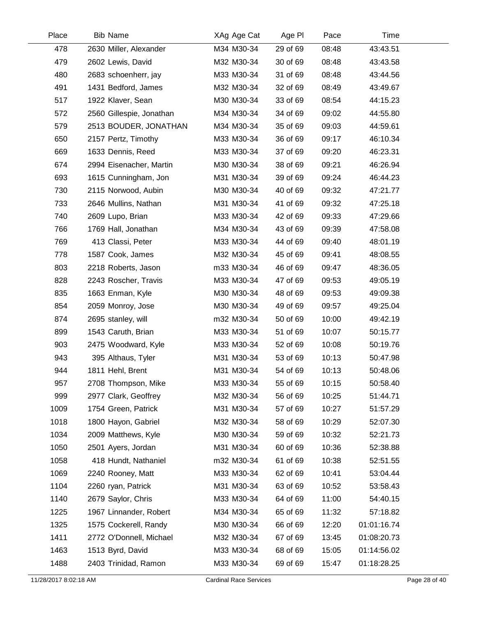| Place | <b>Bib Name</b>          | XAg Age Cat | Age PI   | Pace  | Time        |  |
|-------|--------------------------|-------------|----------|-------|-------------|--|
| 478   | 2630 Miller, Alexander   | M34 M30-34  | 29 of 69 | 08:48 | 43:43.51    |  |
| 479   | 2602 Lewis, David        | M32 M30-34  | 30 of 69 | 08:48 | 43:43.58    |  |
| 480   | 2683 schoenherr, jay     | M33 M30-34  | 31 of 69 | 08:48 | 43:44.56    |  |
| 491   | 1431 Bedford, James      | M32 M30-34  | 32 of 69 | 08:49 | 43:49.67    |  |
| 517   | 1922 Klaver, Sean        | M30 M30-34  | 33 of 69 | 08:54 | 44:15.23    |  |
| 572   | 2560 Gillespie, Jonathan | M34 M30-34  | 34 of 69 | 09:02 | 44:55.80    |  |
| 579   | 2513 BOUDER, JONATHAN    | M34 M30-34  | 35 of 69 | 09:03 | 44:59.61    |  |
| 650   | 2157 Pertz, Timothy      | M33 M30-34  | 36 of 69 | 09:17 | 46:10.34    |  |
| 669   | 1633 Dennis, Reed        | M33 M30-34  | 37 of 69 | 09:20 | 46:23.31    |  |
| 674   | 2994 Eisenacher, Martin  | M30 M30-34  | 38 of 69 | 09:21 | 46:26.94    |  |
| 693   | 1615 Cunningham, Jon     | M31 M30-34  | 39 of 69 | 09:24 | 46:44.23    |  |
| 730   | 2115 Norwood, Aubin      | M30 M30-34  | 40 of 69 | 09:32 | 47:21.77    |  |
| 733   | 2646 Mullins, Nathan     | M31 M30-34  | 41 of 69 | 09:32 | 47:25.18    |  |
| 740   | 2609 Lupo, Brian         | M33 M30-34  | 42 of 69 | 09:33 | 47:29.66    |  |
| 766   | 1769 Hall, Jonathan      | M34 M30-34  | 43 of 69 | 09:39 | 47:58.08    |  |
| 769   | 413 Classi, Peter        | M33 M30-34  | 44 of 69 | 09:40 | 48:01.19    |  |
| 778   | 1587 Cook, James         | M32 M30-34  | 45 of 69 | 09:41 | 48:08.55    |  |
| 803   | 2218 Roberts, Jason      | m33 M30-34  | 46 of 69 | 09:47 | 48:36.05    |  |
| 828   | 2243 Roscher, Travis     | M33 M30-34  | 47 of 69 | 09:53 | 49:05.19    |  |
| 835   | 1663 Enman, Kyle         | M30 M30-34  | 48 of 69 | 09:53 | 49:09.38    |  |
| 854   | 2059 Monroy, Jose        | M30 M30-34  | 49 of 69 | 09:57 | 49:25.04    |  |
| 874   | 2695 stanley, will       | m32 M30-34  | 50 of 69 | 10:00 | 49:42.19    |  |
| 899   | 1543 Caruth, Brian       | M33 M30-34  | 51 of 69 | 10:07 | 50:15.77    |  |
| 903   | 2475 Woodward, Kyle      | M33 M30-34  | 52 of 69 | 10:08 | 50:19.76    |  |
| 943   | 395 Althaus, Tyler       | M31 M30-34  | 53 of 69 | 10:13 | 50:47.98    |  |
| 944   | 1811 Hehl, Brent         | M31 M30-34  | 54 of 69 | 10:13 | 50:48.06    |  |
| 957   | 2708 Thompson, Mike      | M33 M30-34  | 55 of 69 | 10:15 | 50:58.40    |  |
| 999   | 2977 Clark, Geoffrey     | M32 M30-34  | 56 of 69 | 10:25 | 51:44.71    |  |
| 1009  | 1754 Green, Patrick      | M31 M30-34  | 57 of 69 | 10:27 | 51:57.29    |  |
| 1018  | 1800 Hayon, Gabriel      | M32 M30-34  | 58 of 69 | 10:29 | 52:07.30    |  |
| 1034  | 2009 Matthews, Kyle      | M30 M30-34  | 59 of 69 | 10:32 | 52:21.73    |  |
| 1050  | 2501 Ayers, Jordan       | M31 M30-34  | 60 of 69 | 10:36 | 52:38.88    |  |
| 1058  | 418 Hundt, Nathaniel     | m32 M30-34  | 61 of 69 | 10:38 | 52:51.55    |  |
| 1069  | 2240 Rooney, Matt        | M33 M30-34  | 62 of 69 | 10:41 | 53:04.44    |  |
| 1104  | 2260 ryan, Patrick       | M31 M30-34  | 63 of 69 | 10:52 | 53:58.43    |  |
| 1140  | 2679 Saylor, Chris       | M33 M30-34  | 64 of 69 | 11:00 | 54:40.15    |  |
| 1225  | 1967 Linnander, Robert   | M34 M30-34  | 65 of 69 | 11:32 | 57:18.82    |  |
| 1325  | 1575 Cockerell, Randy    | M30 M30-34  | 66 of 69 | 12:20 | 01:01:16.74 |  |
| 1411  | 2772 O'Donnell, Michael  | M32 M30-34  | 67 of 69 | 13:45 | 01:08:20.73 |  |
| 1463  | 1513 Byrd, David         | M33 M30-34  | 68 of 69 | 15:05 | 01:14:56.02 |  |
| 1488  | 2403 Trinidad, Ramon     | M33 M30-34  | 69 of 69 | 15:47 | 01:18:28.25 |  |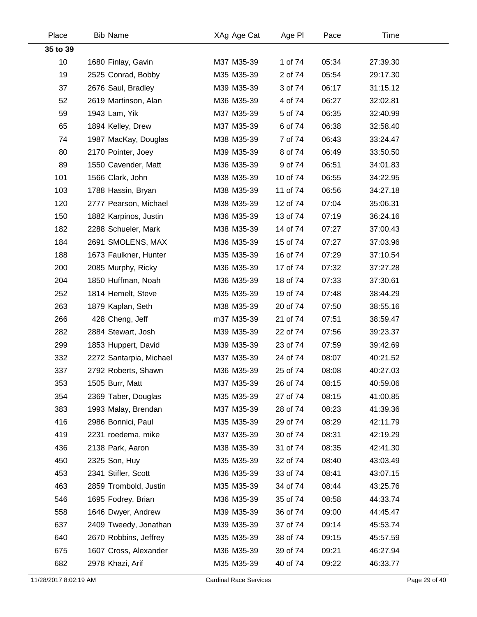| Place    | <b>Bib Name</b>         | XAg Age Cat | Age PI   | Pace  | Time     |  |
|----------|-------------------------|-------------|----------|-------|----------|--|
| 35 to 39 |                         |             |          |       |          |  |
| 10       | 1680 Finlay, Gavin      | M37 M35-39  | 1 of 74  | 05:34 | 27:39.30 |  |
| 19       | 2525 Conrad, Bobby      | M35 M35-39  | 2 of 74  | 05:54 | 29:17.30 |  |
| 37       | 2676 Saul, Bradley      | M39 M35-39  | 3 of 74  | 06:17 | 31:15.12 |  |
| 52       | 2619 Martinson, Alan    | M36 M35-39  | 4 of 74  | 06:27 | 32:02.81 |  |
| 59       | 1943 Lam, Yik           | M37 M35-39  | 5 of 74  | 06:35 | 32:40.99 |  |
| 65       | 1894 Kelley, Drew       | M37 M35-39  | 6 of 74  | 06:38 | 32:58.40 |  |
| 74       | 1987 MacKay, Douglas    | M38 M35-39  | 7 of 74  | 06:43 | 33:24.47 |  |
| 80       | 2170 Pointer, Joey      | M39 M35-39  | 8 of 74  | 06:49 | 33:50.50 |  |
| 89       | 1550 Cavender, Matt     | M36 M35-39  | 9 of 74  | 06:51 | 34:01.83 |  |
| 101      | 1566 Clark, John        | M38 M35-39  | 10 of 74 | 06:55 | 34:22.95 |  |
| 103      | 1788 Hassin, Bryan      | M38 M35-39  | 11 of 74 | 06:56 | 34:27.18 |  |
| 120      | 2777 Pearson, Michael   | M38 M35-39  | 12 of 74 | 07:04 | 35:06.31 |  |
| 150      | 1882 Karpinos, Justin   | M36 M35-39  | 13 of 74 | 07:19 | 36:24.16 |  |
| 182      | 2288 Schueler, Mark     | M38 M35-39  | 14 of 74 | 07:27 | 37:00.43 |  |
| 184      | 2691 SMOLENS, MAX       | M36 M35-39  | 15 of 74 | 07:27 | 37:03.96 |  |
| 188      | 1673 Faulkner, Hunter   | M35 M35-39  | 16 of 74 | 07:29 | 37:10.54 |  |
| 200      | 2085 Murphy, Ricky      | M36 M35-39  | 17 of 74 | 07:32 | 37:27.28 |  |
| 204      | 1850 Huffman, Noah      | M36 M35-39  | 18 of 74 | 07:33 | 37:30.61 |  |
| 252      | 1814 Hemelt, Steve      | M35 M35-39  | 19 of 74 | 07:48 | 38:44.29 |  |
| 263      | 1879 Kaplan, Seth       | M38 M35-39  | 20 of 74 | 07:50 | 38:55.16 |  |
| 266      | 428 Cheng, Jeff         | m37 M35-39  | 21 of 74 | 07:51 | 38:59.47 |  |
| 282      | 2884 Stewart, Josh      | M39 M35-39  | 22 of 74 | 07:56 | 39:23.37 |  |
| 299      | 1853 Huppert, David     | M39 M35-39  | 23 of 74 | 07:59 | 39:42.69 |  |
| 332      | 2272 Santarpia, Michael | M37 M35-39  | 24 of 74 | 08:07 | 40:21.52 |  |
| 337      | 2792 Roberts, Shawn     | M36 M35-39  | 25 of 74 | 08:08 | 40:27.03 |  |
| 353      | 1505 Burr, Matt         | M37 M35-39  | 26 of 74 | 08:15 | 40:59.06 |  |
| 354      | 2369 Taber, Douglas     | M35 M35-39  | 27 of 74 | 08:15 | 41:00.85 |  |
| 383      | 1993 Malay, Brendan     | M37 M35-39  | 28 of 74 | 08:23 | 41:39.36 |  |
| 416      | 2986 Bonnici, Paul      | M35 M35-39  | 29 of 74 | 08:29 | 42:11.79 |  |
| 419      | 2231 roedema, mike      | M37 M35-39  | 30 of 74 | 08:31 | 42:19.29 |  |
| 436      | 2138 Park, Aaron        | M38 M35-39  | 31 of 74 | 08:35 | 42:41.30 |  |
| 450      | 2325 Son, Huy           | M35 M35-39  | 32 of 74 | 08:40 | 43:03.49 |  |
| 453      | 2341 Stifler, Scott     | M36 M35-39  | 33 of 74 | 08:41 | 43:07.15 |  |
| 463      | 2859 Trombold, Justin   | M35 M35-39  | 34 of 74 | 08:44 | 43:25.76 |  |
| 546      | 1695 Fodrey, Brian      | M36 M35-39  | 35 of 74 | 08:58 | 44:33.74 |  |
| 558      | 1646 Dwyer, Andrew      | M39 M35-39  | 36 of 74 | 09:00 | 44:45.47 |  |
| 637      | 2409 Tweedy, Jonathan   | M39 M35-39  | 37 of 74 | 09:14 | 45:53.74 |  |
| 640      | 2670 Robbins, Jeffrey   | M35 M35-39  | 38 of 74 | 09:15 | 45:57.59 |  |
| 675      | 1607 Cross, Alexander   | M36 M35-39  | 39 of 74 | 09:21 | 46:27.94 |  |
| 682      | 2978 Khazi, Arif        | M35 M35-39  | 40 of 74 | 09:22 | 46:33.77 |  |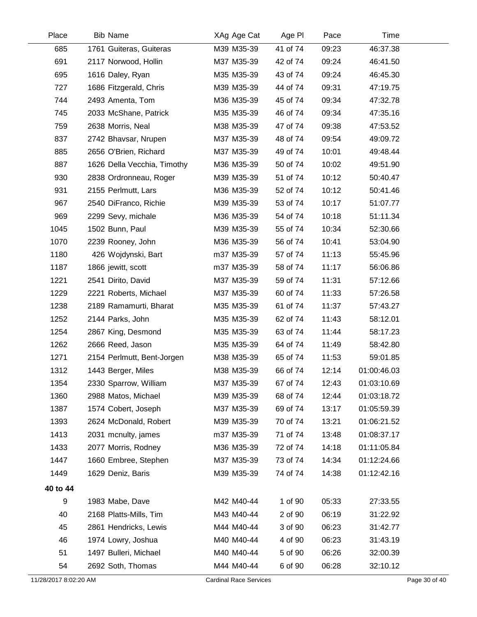| Place                 | <b>Bib Name</b>             | XAg Age Cat                   | Age PI   | Pace  | Time        |               |
|-----------------------|-----------------------------|-------------------------------|----------|-------|-------------|---------------|
| 685                   | 1761 Guiteras, Guiteras     | M39 M35-39                    | 41 of 74 | 09:23 | 46:37.38    |               |
| 691                   | 2117 Norwood, Hollin        | M37 M35-39                    | 42 of 74 | 09:24 | 46:41.50    |               |
| 695                   | 1616 Daley, Ryan            | M35 M35-39                    | 43 of 74 | 09:24 | 46:45.30    |               |
| 727                   | 1686 Fitzgerald, Chris      | M39 M35-39                    | 44 of 74 | 09:31 | 47:19.75    |               |
| 744                   | 2493 Amenta, Tom            | M36 M35-39                    | 45 of 74 | 09:34 | 47:32.78    |               |
| 745                   | 2033 McShane, Patrick       | M35 M35-39                    | 46 of 74 | 09:34 | 47:35.16    |               |
| 759                   | 2638 Morris, Neal           | M38 M35-39                    | 47 of 74 | 09:38 | 47:53.52    |               |
| 837                   | 2742 Bhavsar, Nrupen        | M37 M35-39                    | 48 of 74 | 09:54 | 49:09.72    |               |
| 885                   | 2656 O'Brien, Richard       | M37 M35-39                    | 49 of 74 | 10:01 | 49:48.44    |               |
| 887                   | 1626 Della Vecchia, Timothy | M36 M35-39                    | 50 of 74 | 10:02 | 49:51.90    |               |
| 930                   | 2838 Ordronneau, Roger      | M39 M35-39                    | 51 of 74 | 10:12 | 50:40.47    |               |
| 931                   | 2155 Perlmutt, Lars         | M36 M35-39                    | 52 of 74 | 10:12 | 50:41.46    |               |
| 967                   | 2540 DiFranco, Richie       | M39 M35-39                    | 53 of 74 | 10:17 | 51:07.77    |               |
| 969                   | 2299 Sevy, michale          | M36 M35-39                    | 54 of 74 | 10:18 | 51:11.34    |               |
| 1045                  | 1502 Bunn, Paul             | M39 M35-39                    | 55 of 74 | 10:34 | 52:30.66    |               |
| 1070                  | 2239 Rooney, John           | M36 M35-39                    | 56 of 74 | 10:41 | 53:04.90    |               |
| 1180                  | 426 Wojdynski, Bart         | m37 M35-39                    | 57 of 74 | 11:13 | 55:45.96    |               |
| 1187                  | 1866 jewitt, scott          | m37 M35-39                    | 58 of 74 | 11:17 | 56:06.86    |               |
| 1221                  | 2541 Dirito, David          | M37 M35-39                    | 59 of 74 | 11:31 | 57:12.66    |               |
| 1229                  | 2221 Roberts, Michael       | M37 M35-39                    | 60 of 74 | 11:33 | 57:26.58    |               |
| 1238                  | 2189 Ramamurti, Bharat      | M35 M35-39                    | 61 of 74 | 11:37 | 57:43.27    |               |
| 1252                  | 2144 Parks, John            | M35 M35-39                    | 62 of 74 | 11:43 | 58:12.01    |               |
| 1254                  | 2867 King, Desmond          | M35 M35-39                    | 63 of 74 | 11:44 | 58:17.23    |               |
| 1262                  | 2666 Reed, Jason            | M35 M35-39                    | 64 of 74 | 11:49 | 58:42.80    |               |
| 1271                  | 2154 Perlmutt, Bent-Jorgen  | M38 M35-39                    | 65 of 74 | 11:53 | 59:01.85    |               |
| 1312                  | 1443 Berger, Miles          | M38 M35-39                    | 66 of 74 | 12:14 | 01:00:46.03 |               |
| 1354                  | 2330 Sparrow, William       | M37 M35-39                    | 67 of 74 | 12:43 | 01:03:10.69 |               |
| 1360                  | 2988 Matos, Michael         | M39 M35-39                    | 68 of 74 | 12:44 | 01:03:18.72 |               |
| 1387                  | 1574 Cobert, Joseph         | M37 M35-39                    | 69 of 74 | 13:17 | 01:05:59.39 |               |
| 1393                  | 2624 McDonald, Robert       | M39 M35-39                    | 70 of 74 | 13:21 | 01:06:21.52 |               |
| 1413                  | 2031 mcnulty, james         | m37 M35-39                    | 71 of 74 | 13:48 | 01:08:37.17 |               |
| 1433                  | 2077 Morris, Rodney         | M36 M35-39                    | 72 of 74 | 14:18 | 01:11:05.84 |               |
| 1447                  | 1660 Embree, Stephen        | M37 M35-39                    | 73 of 74 | 14:34 | 01:12:24.66 |               |
| 1449                  | 1629 Deniz, Baris           | M39 M35-39                    | 74 of 74 | 14:38 | 01:12:42.16 |               |
| 40 to 44              |                             |                               |          |       |             |               |
| 9                     | 1983 Mabe, Dave             | M42 M40-44                    | 1 of 90  | 05:33 | 27:33.55    |               |
| 40                    | 2168 Platts-Mills, Tim      | M43 M40-44                    | 2 of 90  | 06:19 | 31:22.92    |               |
| 45                    | 2861 Hendricks, Lewis       | M44 M40-44                    | 3 of 90  | 06:23 | 31:42.77    |               |
| 46                    | 1974 Lowry, Joshua          | M40 M40-44                    | 4 of 90  | 06:23 | 31:43.19    |               |
| 51                    | 1497 Bulleri, Michael       | M40 M40-44                    | 5 of 90  | 06:26 | 32:00.39    |               |
| 54                    | 2692 Soth, Thomas           | M44 M40-44                    | 6 of 90  | 06:28 | 32:10.12    |               |
| 11/28/2017 8:02:20 AM |                             | <b>Cardinal Race Services</b> |          |       |             | Page 30 of 40 |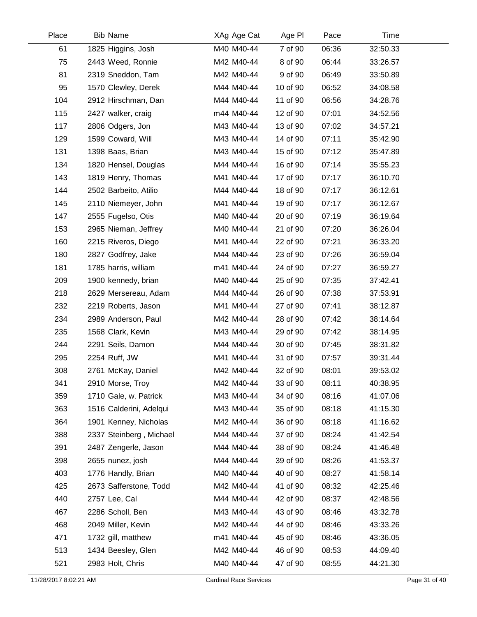| Place | <b>Bib Name</b>         | XAg Age Cat | Age PI   | Pace  | Time     |  |
|-------|-------------------------|-------------|----------|-------|----------|--|
| 61    | 1825 Higgins, Josh      | M40 M40-44  | 7 of 90  | 06:36 | 32:50.33 |  |
| 75    | 2443 Weed, Ronnie       | M42 M40-44  | 8 of 90  | 06:44 | 33:26.57 |  |
| 81    | 2319 Sneddon, Tam       | M42 M40-44  | 9 of 90  | 06:49 | 33:50.89 |  |
| 95    | 1570 Clewley, Derek     | M44 M40-44  | 10 of 90 | 06:52 | 34:08.58 |  |
| 104   | 2912 Hirschman, Dan     | M44 M40-44  | 11 of 90 | 06:56 | 34:28.76 |  |
| 115   | 2427 walker, craig      | m44 M40-44  | 12 of 90 | 07:01 | 34:52.56 |  |
| 117   | 2806 Odgers, Jon        | M43 M40-44  | 13 of 90 | 07:02 | 34:57.21 |  |
| 129   | 1599 Coward, Will       | M43 M40-44  | 14 of 90 | 07:11 | 35:42.90 |  |
| 131   | 1398 Baas, Brian        | M43 M40-44  | 15 of 90 | 07:12 | 35:47.89 |  |
| 134   | 1820 Hensel, Douglas    | M44 M40-44  | 16 of 90 | 07:14 | 35:55.23 |  |
| 143   | 1819 Henry, Thomas      | M41 M40-44  | 17 of 90 | 07:17 | 36:10.70 |  |
| 144   | 2502 Barbeito, Atilio   | M44 M40-44  | 18 of 90 | 07:17 | 36:12.61 |  |
| 145   | 2110 Niemeyer, John     | M41 M40-44  | 19 of 90 | 07:17 | 36:12.67 |  |
| 147   | 2555 Fugelso, Otis      | M40 M40-44  | 20 of 90 | 07:19 | 36:19.64 |  |
| 153   | 2965 Nieman, Jeffrey    | M40 M40-44  | 21 of 90 | 07:20 | 36:26.04 |  |
| 160   | 2215 Riveros, Diego     | M41 M40-44  | 22 of 90 | 07:21 | 36:33.20 |  |
| 180   | 2827 Godfrey, Jake      | M44 M40-44  | 23 of 90 | 07:26 | 36:59.04 |  |
| 181   | 1785 harris, william    | m41 M40-44  | 24 of 90 | 07:27 | 36:59.27 |  |
| 209   | 1900 kennedy, brian     | M40 M40-44  | 25 of 90 | 07:35 | 37:42.41 |  |
| 218   | 2629 Mersereau, Adam    | M44 M40-44  | 26 of 90 | 07:38 | 37:53.91 |  |
| 232   | 2219 Roberts, Jason     | M41 M40-44  | 27 of 90 | 07:41 | 38:12.87 |  |
| 234   | 2989 Anderson, Paul     | M42 M40-44  | 28 of 90 | 07:42 | 38:14.64 |  |
| 235   | 1568 Clark, Kevin       | M43 M40-44  | 29 of 90 | 07:42 | 38:14.95 |  |
| 244   | 2291 Seils, Damon       | M44 M40-44  | 30 of 90 | 07:45 | 38:31.82 |  |
| 295   | 2254 Ruff, JW           | M41 M40-44  | 31 of 90 | 07:57 | 39:31.44 |  |
| 308   | 2761 McKay, Daniel      | M42 M40-44  | 32 of 90 | 08:01 | 39:53.02 |  |
| 341   | 2910 Morse, Troy        | M42 M40-44  | 33 of 90 | 08:11 | 40:38.95 |  |
| 359   | 1710 Gale, w. Patrick   | M43 M40-44  | 34 of 90 | 08:16 | 41:07.06 |  |
| 363   | 1516 Calderini, Adelqui | M43 M40-44  | 35 of 90 | 08:18 | 41:15.30 |  |
| 364   | 1901 Kenney, Nicholas   | M42 M40-44  | 36 of 90 | 08:18 | 41:16.62 |  |
| 388   | 2337 Steinberg, Michael | M44 M40-44  | 37 of 90 | 08:24 | 41:42.54 |  |
| 391   | 2487 Zengerle, Jason    | M44 M40-44  | 38 of 90 | 08:24 | 41:46.48 |  |
| 398   | 2655 nunez, josh        | M44 M40-44  | 39 of 90 | 08:26 | 41:53.37 |  |
| 403   | 1776 Handly, Brian      | M40 M40-44  | 40 of 90 | 08:27 | 41:58.14 |  |
| 425   | 2673 Safferstone, Todd  | M42 M40-44  | 41 of 90 | 08:32 | 42:25.46 |  |
| 440   | 2757 Lee, Cal           | M44 M40-44  | 42 of 90 | 08:37 | 42:48.56 |  |
| 467   | 2286 Scholl, Ben        | M43 M40-44  | 43 of 90 | 08:46 | 43:32.78 |  |
| 468   | 2049 Miller, Kevin      | M42 M40-44  | 44 of 90 | 08:46 | 43:33.26 |  |
| 471   | 1732 gill, matthew      | m41 M40-44  | 45 of 90 | 08:46 | 43:36.05 |  |
| 513   | 1434 Beesley, Glen      | M42 M40-44  | 46 of 90 | 08:53 | 44:09.40 |  |
| 521   | 2983 Holt, Chris        | M40 M40-44  | 47 of 90 | 08:55 | 44:21.30 |  |
|       |                         |             |          |       |          |  |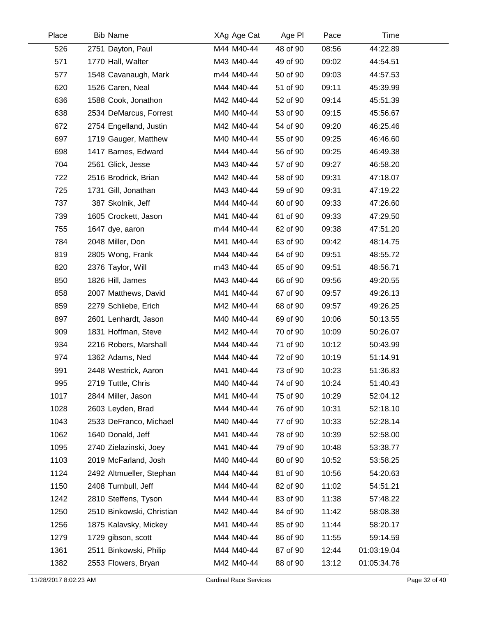| Place | <b>Bib Name</b>           | XAg Age Cat | Age PI   | Pace  | Time        |  |
|-------|---------------------------|-------------|----------|-------|-------------|--|
| 526   | 2751 Dayton, Paul         | M44 M40-44  | 48 of 90 | 08:56 | 44:22.89    |  |
| 571   | 1770 Hall, Walter         | M43 M40-44  | 49 of 90 | 09:02 | 44:54.51    |  |
| 577   | 1548 Cavanaugh, Mark      | m44 M40-44  | 50 of 90 | 09:03 | 44:57.53    |  |
| 620   | 1526 Caren, Neal          | M44 M40-44  | 51 of 90 | 09:11 | 45:39.99    |  |
| 636   | 1588 Cook, Jonathon       | M42 M40-44  | 52 of 90 | 09:14 | 45:51.39    |  |
| 638   | 2534 DeMarcus, Forrest    | M40 M40-44  | 53 of 90 | 09:15 | 45:56.67    |  |
| 672   | 2754 Engelland, Justin    | M42 M40-44  | 54 of 90 | 09:20 | 46:25.46    |  |
| 697   | 1719 Gauger, Matthew      | M40 M40-44  | 55 of 90 | 09:25 | 46:46.60    |  |
| 698   | 1417 Barnes, Edward       | M44 M40-44  | 56 of 90 | 09:25 | 46:49.38    |  |
| 704   | 2561 Glick, Jesse         | M43 M40-44  | 57 of 90 | 09:27 | 46:58.20    |  |
| 722   | 2516 Brodrick, Brian      | M42 M40-44  | 58 of 90 | 09:31 | 47:18.07    |  |
| 725   | 1731 Gill, Jonathan       | M43 M40-44  | 59 of 90 | 09:31 | 47:19.22    |  |
| 737   | 387 Skolnik, Jeff         | M44 M40-44  | 60 of 90 | 09:33 | 47:26.60    |  |
| 739   | 1605 Crockett, Jason      | M41 M40-44  | 61 of 90 | 09:33 | 47:29.50    |  |
| 755   | 1647 dye, aaron           | m44 M40-44  | 62 of 90 | 09:38 | 47:51.20    |  |
| 784   | 2048 Miller, Don          | M41 M40-44  | 63 of 90 | 09:42 | 48:14.75    |  |
| 819   | 2805 Wong, Frank          | M44 M40-44  | 64 of 90 | 09:51 | 48:55.72    |  |
| 820   | 2376 Taylor, Will         | m43 M40-44  | 65 of 90 | 09:51 | 48:56.71    |  |
| 850   | 1826 Hill, James          | M43 M40-44  | 66 of 90 | 09:56 | 49:20.55    |  |
| 858   | 2007 Matthews, David      | M41 M40-44  | 67 of 90 | 09:57 | 49:26.13    |  |
| 859   | 2279 Schliebe, Erich      | M42 M40-44  | 68 of 90 | 09:57 | 49:26.25    |  |
| 897   | 2601 Lenhardt, Jason      | M40 M40-44  | 69 of 90 | 10:06 | 50:13.55    |  |
| 909   | 1831 Hoffman, Steve       | M42 M40-44  | 70 of 90 | 10:09 | 50:26.07    |  |
| 934   | 2216 Robers, Marshall     | M44 M40-44  | 71 of 90 | 10:12 | 50:43.99    |  |
| 974   | 1362 Adams, Ned           | M44 M40-44  | 72 of 90 | 10:19 | 51:14.91    |  |
| 991   | 2448 Westrick, Aaron      | M41 M40-44  | 73 of 90 | 10:23 | 51:36.83    |  |
| 995   | 2719 Tuttle, Chris        | M40 M40-44  | 74 of 90 | 10:24 | 51:40.43    |  |
| 1017  | 2844 Miller, Jason        | M41 M40-44  | 75 of 90 | 10:29 | 52:04.12    |  |
| 1028  | 2603 Leyden, Brad         | M44 M40-44  | 76 of 90 | 10:31 | 52:18.10    |  |
| 1043  | 2533 DeFranco, Michael    | M40 M40-44  | 77 of 90 | 10:33 | 52:28.14    |  |
| 1062  | 1640 Donald, Jeff         | M41 M40-44  | 78 of 90 | 10:39 | 52:58.00    |  |
| 1095  | 2740 Zielazinski, Joey    | M41 M40-44  | 79 of 90 | 10:48 | 53:38.77    |  |
| 1103  | 2019 McFarland, Josh      | M40 M40-44  | 80 of 90 | 10:52 | 53:58.25    |  |
| 1124  | 2492 Altmueller, Stephan  | M44 M40-44  | 81 of 90 | 10:56 | 54:20.63    |  |
| 1150  | 2408 Turnbull, Jeff       | M44 M40-44  | 82 of 90 | 11:02 | 54:51.21    |  |
| 1242  | 2810 Steffens, Tyson      | M44 M40-44  | 83 of 90 | 11:38 | 57:48.22    |  |
| 1250  | 2510 Binkowski, Christian | M42 M40-44  | 84 of 90 | 11:42 | 58:08.38    |  |
| 1256  | 1875 Kalavsky, Mickey     | M41 M40-44  | 85 of 90 | 11:44 | 58:20.17    |  |
| 1279  | 1729 gibson, scott        | M44 M40-44  | 86 of 90 | 11:55 | 59:14.59    |  |
| 1361  | 2511 Binkowski, Philip    | M44 M40-44  | 87 of 90 | 12:44 | 01:03:19.04 |  |
| 1382  | 2553 Flowers, Bryan       | M42 M40-44  | 88 of 90 | 13:12 | 01:05:34.76 |  |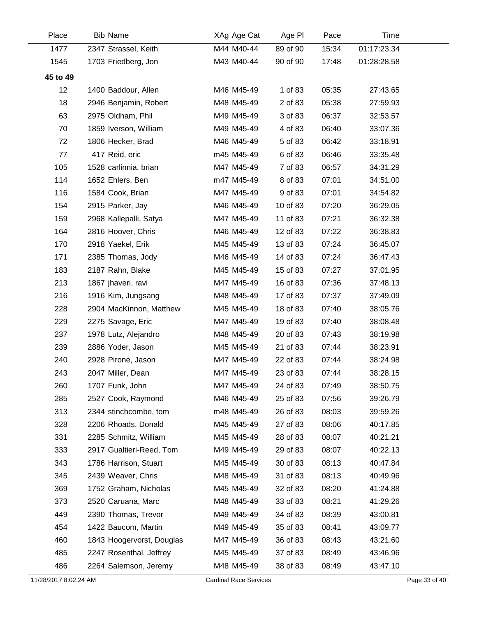| Place                 | <b>Bib Name</b>           | XAg Age Cat                   | Age PI   | Pace  | Time        |               |
|-----------------------|---------------------------|-------------------------------|----------|-------|-------------|---------------|
| 1477                  | 2347 Strassel, Keith      | M44 M40-44                    | 89 of 90 | 15:34 | 01:17:23.34 |               |
| 1545                  | 1703 Friedberg, Jon       | M43 M40-44                    | 90 of 90 | 17:48 | 01:28:28.58 |               |
| 45 to 49              |                           |                               |          |       |             |               |
| 12                    | 1400 Baddour, Allen       | M46 M45-49                    | 1 of 83  | 05:35 | 27:43.65    |               |
| 18                    | 2946 Benjamin, Robert     | M48 M45-49                    | 2 of 83  | 05:38 | 27:59.93    |               |
| 63                    | 2975 Oldham, Phil         | M49 M45-49                    | 3 of 83  | 06:37 | 32:53.57    |               |
| 70                    | 1859 Iverson, William     | M49 M45-49                    | 4 of 83  | 06:40 | 33:07.36    |               |
| 72                    | 1806 Hecker, Brad         | M46 M45-49                    | 5 of 83  | 06:42 | 33:18.91    |               |
| 77                    | 417 Reid, eric            | m45 M45-49                    | 6 of 83  | 06:46 | 33:35.48    |               |
| 105                   | 1528 carlinnia, brian     | M47 M45-49                    | 7 of 83  | 06:57 | 34:31.29    |               |
| 114                   | 1652 Ehlers, Ben          | m47 M45-49                    | 8 of 83  | 07:01 | 34:51.00    |               |
| 116                   | 1584 Cook, Brian          | M47 M45-49                    | 9 of 83  | 07:01 | 34:54.82    |               |
| 154                   | 2915 Parker, Jay          | M46 M45-49                    | 10 of 83 | 07:20 | 36:29.05    |               |
| 159                   | 2968 Kallepalli, Satya    | M47 M45-49                    | 11 of 83 | 07:21 | 36:32.38    |               |
| 164                   | 2816 Hoover, Chris        | M46 M45-49                    | 12 of 83 | 07:22 | 36:38.83    |               |
| 170                   | 2918 Yaekel, Erik         | M45 M45-49                    | 13 of 83 | 07:24 | 36:45.07    |               |
| 171                   | 2385 Thomas, Jody         | M46 M45-49                    | 14 of 83 | 07:24 | 36:47.43    |               |
| 183                   | 2187 Rahn, Blake          | M45 M45-49                    | 15 of 83 | 07:27 | 37:01.95    |               |
| 213                   | 1867 jhaveri, ravi        | M47 M45-49                    | 16 of 83 | 07:36 | 37:48.13    |               |
| 216                   | 1916 Kim, Jungsang        | M48 M45-49                    | 17 of 83 | 07:37 | 37:49.09    |               |
| 228                   | 2904 MacKinnon, Matthew   | M45 M45-49                    | 18 of 83 | 07:40 | 38:05.76    |               |
| 229                   | 2275 Savage, Eric         | M47 M45-49                    | 19 of 83 | 07:40 | 38:08.48    |               |
| 237                   | 1978 Lutz, Alejandro      | M48 M45-49                    | 20 of 83 | 07:43 | 38:19.98    |               |
| 239                   | 2886 Yoder, Jason         | M45 M45-49                    | 21 of 83 | 07:44 | 38:23.91    |               |
| 240                   | 2928 Pirone, Jason        | M47 M45-49                    | 22 of 83 | 07:44 | 38:24.98    |               |
| 243                   | 2047 Miller, Dean         | M47 M45-49                    | 23 of 83 | 07:44 | 38:28.15    |               |
| 260                   | 1707 Funk, John           | M47 M45-49                    | 24 of 83 | 07:49 | 38:50.75    |               |
| 285                   | 2527 Cook, Raymond        | M46 M45-49                    | 25 of 83 | 07:56 | 39:26.79    |               |
| 313                   | 2344 stinchcombe, tom     | m48 M45-49                    | 26 of 83 | 08:03 | 39:59.26    |               |
| 328                   | 2206 Rhoads, Donald       | M45 M45-49                    | 27 of 83 | 08:06 | 40:17.85    |               |
| 331                   | 2285 Schmitz, William     | M45 M45-49                    | 28 of 83 | 08:07 | 40:21.21    |               |
| 333                   | 2917 Gualtieri-Reed, Tom  | M49 M45-49                    | 29 of 83 | 08:07 | 40:22.13    |               |
| 343                   | 1786 Harrison, Stuart     | M45 M45-49                    | 30 of 83 | 08:13 | 40:47.84    |               |
| 345                   | 2439 Weaver, Chris        | M48 M45-49                    | 31 of 83 | 08:13 | 40:49.96    |               |
| 369                   | 1752 Graham, Nicholas     | M45 M45-49                    | 32 of 83 | 08:20 | 41:24.88    |               |
| 373                   | 2520 Caruana, Marc        | M48 M45-49                    | 33 of 83 | 08:21 | 41:29.26    |               |
| 449                   | 2390 Thomas, Trevor       | M49 M45-49                    | 34 of 83 | 08:39 | 43:00.81    |               |
| 454                   | 1422 Baucom, Martin       | M49 M45-49                    | 35 of 83 | 08:41 | 43:09.77    |               |
| 460                   | 1843 Hoogervorst, Douglas | M47 M45-49                    | 36 of 83 | 08:43 | 43:21.60    |               |
| 485                   | 2247 Rosenthal, Jeffrey   | M45 M45-49                    | 37 of 83 | 08:49 | 43:46.96    |               |
| 486                   | 2264 Salemson, Jeremy     | M48 M45-49                    | 38 of 83 | 08:49 | 43:47.10    |               |
| 11/28/2017 8:02:24 AM |                           | <b>Cardinal Race Services</b> |          |       |             | Page 33 of 40 |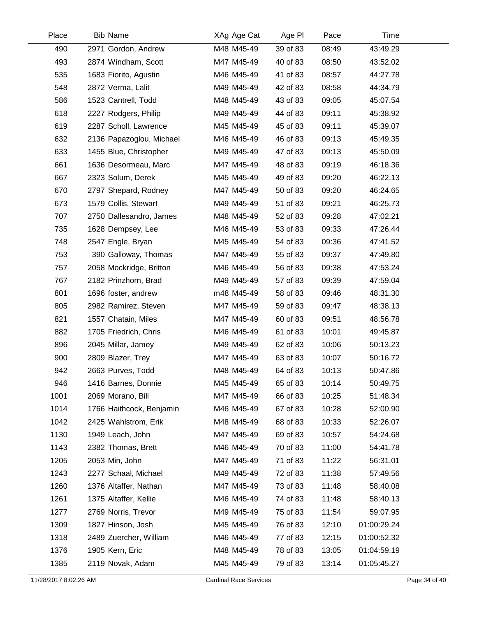| Place | <b>Bib Name</b>          | XAg Age Cat | Age PI   | Pace  | Time        |  |
|-------|--------------------------|-------------|----------|-------|-------------|--|
| 490   | 2971 Gordon, Andrew      | M48 M45-49  | 39 of 83 | 08:49 | 43:49.29    |  |
| 493   | 2874 Windham, Scott      | M47 M45-49  | 40 of 83 | 08:50 | 43:52.02    |  |
| 535   | 1683 Fiorito, Agustin    | M46 M45-49  | 41 of 83 | 08:57 | 44:27.78    |  |
| 548   | 2872 Verma, Lalit        | M49 M45-49  | 42 of 83 | 08:58 | 44:34.79    |  |
| 586   | 1523 Cantrell, Todd      | M48 M45-49  | 43 of 83 | 09:05 | 45:07.54    |  |
| 618   | 2227 Rodgers, Philip     | M49 M45-49  | 44 of 83 | 09:11 | 45:38.92    |  |
| 619   | 2287 Scholl, Lawrence    | M45 M45-49  | 45 of 83 | 09:11 | 45:39.07    |  |
| 632   | 2136 Papazoglou, Michael | M46 M45-49  | 46 of 83 | 09:13 | 45:49.35    |  |
| 633   | 1455 Blue, Christopher   | M49 M45-49  | 47 of 83 | 09:13 | 45:50.09    |  |
| 661   | 1636 Desormeau, Marc     | M47 M45-49  | 48 of 83 | 09:19 | 46:18.36    |  |
| 667   | 2323 Solum, Derek        | M45 M45-49  | 49 of 83 | 09:20 | 46:22.13    |  |
| 670   | 2797 Shepard, Rodney     | M47 M45-49  | 50 of 83 | 09:20 | 46:24.65    |  |
| 673   | 1579 Collis, Stewart     | M49 M45-49  | 51 of 83 | 09:21 | 46:25.73    |  |
| 707   | 2750 Dallesandro, James  | M48 M45-49  | 52 of 83 | 09:28 | 47:02.21    |  |
| 735   | 1628 Dempsey, Lee        | M46 M45-49  | 53 of 83 | 09:33 | 47:26.44    |  |
| 748   | 2547 Engle, Bryan        | M45 M45-49  | 54 of 83 | 09:36 | 47:41.52    |  |
| 753   | 390 Galloway, Thomas     | M47 M45-49  | 55 of 83 | 09:37 | 47:49.80    |  |
| 757   | 2058 Mockridge, Britton  | M46 M45-49  | 56 of 83 | 09:38 | 47:53.24    |  |
| 767   | 2182 Prinzhorn, Brad     | M49 M45-49  | 57 of 83 | 09:39 | 47:59.04    |  |
| 801   | 1696 foster, andrew      | m48 M45-49  | 58 of 83 | 09:46 | 48:31.30    |  |
| 805   | 2982 Ramirez, Steven     | M47 M45-49  | 59 of 83 | 09:47 | 48:38.13    |  |
| 821   | 1557 Chatain, Miles      | M47 M45-49  | 60 of 83 | 09:51 | 48:56.78    |  |
| 882   | 1705 Friedrich, Chris    | M46 M45-49  | 61 of 83 | 10:01 | 49:45.87    |  |
| 896   | 2045 Millar, Jamey       | M49 M45-49  | 62 of 83 | 10:06 | 50:13.23    |  |
| 900   | 2809 Blazer, Trey        | M47 M45-49  | 63 of 83 | 10:07 | 50:16.72    |  |
| 942   | 2663 Purves, Todd        | M48 M45-49  | 64 of 83 | 10:13 | 50:47.86    |  |
| 946   | 1416 Barnes, Donnie      | M45 M45-49  | 65 of 83 | 10:14 | 50:49.75    |  |
| 1001  | 2069 Morano, Bill        | M47 M45-49  | 66 of 83 | 10:25 | 51:48.34    |  |
| 1014  | 1766 Haithcock, Benjamin | M46 M45-49  | 67 of 83 | 10:28 | 52:00.90    |  |
| 1042  | 2425 Wahlstrom, Erik     | M48 M45-49  | 68 of 83 | 10:33 | 52:26.07    |  |
| 1130  | 1949 Leach, John         | M47 M45-49  | 69 of 83 | 10:57 | 54:24.68    |  |
| 1143  | 2382 Thomas, Brett       | M46 M45-49  | 70 of 83 | 11:00 | 54:41.78    |  |
| 1205  | 2053 Min, John           | M47 M45-49  | 71 of 83 | 11:22 | 56:31.01    |  |
| 1243  | 2277 Schaal, Michael     | M49 M45-49  | 72 of 83 | 11:38 | 57:49.56    |  |
| 1260  | 1376 Altaffer, Nathan    | M47 M45-49  | 73 of 83 | 11:48 | 58:40.08    |  |
| 1261  | 1375 Altaffer, Kellie    | M46 M45-49  | 74 of 83 | 11:48 | 58:40.13    |  |
| 1277  | 2769 Norris, Trevor      | M49 M45-49  | 75 of 83 | 11:54 | 59:07.95    |  |
| 1309  | 1827 Hinson, Josh        | M45 M45-49  | 76 of 83 | 12:10 | 01:00:29.24 |  |
| 1318  | 2489 Zuercher, William   | M46 M45-49  | 77 of 83 | 12:15 | 01:00:52.32 |  |
| 1376  | 1905 Kern, Eric          | M48 M45-49  | 78 of 83 | 13:05 | 01:04:59.19 |  |
| 1385  | 2119 Novak, Adam         | M45 M45-49  | 79 of 83 | 13:14 | 01:05:45.27 |  |
|       |                          |             |          |       |             |  |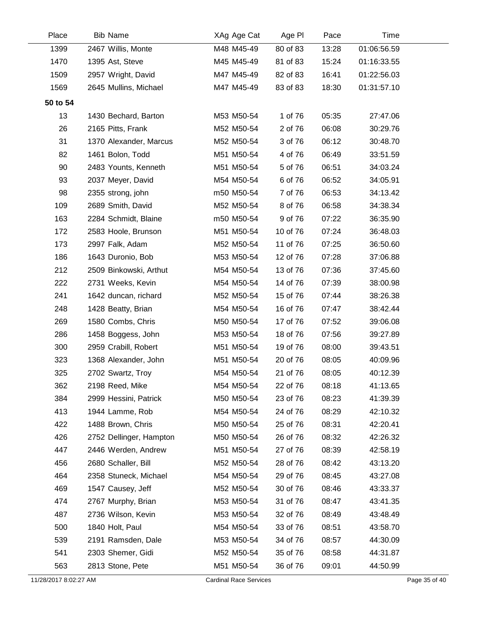| Place    | <b>Bib Name</b>         | XAg Age Cat | Age PI   | Pace  | Time        |  |
|----------|-------------------------|-------------|----------|-------|-------------|--|
| 1399     | 2467 Willis, Monte      | M48 M45-49  | 80 of 83 | 13:28 | 01:06:56.59 |  |
| 1470     | 1395 Ast, Steve         | M45 M45-49  | 81 of 83 | 15:24 | 01:16:33.55 |  |
| 1509     | 2957 Wright, David      | M47 M45-49  | 82 of 83 | 16:41 | 01:22:56.03 |  |
| 1569     | 2645 Mullins, Michael   | M47 M45-49  | 83 of 83 | 18:30 | 01:31:57.10 |  |
| 50 to 54 |                         |             |          |       |             |  |
| 13       | 1430 Bechard, Barton    | M53 M50-54  | 1 of 76  | 05:35 | 27:47.06    |  |
| 26       | 2165 Pitts, Frank       | M52 M50-54  | 2 of 76  | 06:08 | 30:29.76    |  |
| 31       | 1370 Alexander, Marcus  | M52 M50-54  | 3 of 76  | 06:12 | 30:48.70    |  |
| 82       | 1461 Bolon, Todd        | M51 M50-54  | 4 of 76  | 06:49 | 33:51.59    |  |
| 90       | 2483 Younts, Kenneth    | M51 M50-54  | 5 of 76  | 06:51 | 34:03.24    |  |
| 93       | 2037 Meyer, David       | M54 M50-54  | 6 of 76  | 06:52 | 34:05.91    |  |
| 98       | 2355 strong, john       | m50 M50-54  | 7 of 76  | 06:53 | 34:13.42    |  |
| 109      | 2689 Smith, David       | M52 M50-54  | 8 of 76  | 06:58 | 34:38.34    |  |
| 163      | 2284 Schmidt, Blaine    | m50 M50-54  | 9 of 76  | 07:22 | 36:35.90    |  |
| 172      | 2583 Hoole, Brunson     | M51 M50-54  | 10 of 76 | 07:24 | 36:48.03    |  |
| 173      | 2997 Falk, Adam         | M52 M50-54  | 11 of 76 | 07:25 | 36:50.60    |  |
| 186      | 1643 Duronio, Bob       | M53 M50-54  | 12 of 76 | 07:28 | 37:06.88    |  |
| 212      | 2509 Binkowski, Arthut  | M54 M50-54  | 13 of 76 | 07:36 | 37:45.60    |  |
| 222      | 2731 Weeks, Kevin       | M54 M50-54  | 14 of 76 | 07:39 | 38:00.98    |  |
| 241      | 1642 duncan, richard    | M52 M50-54  | 15 of 76 | 07:44 | 38:26.38    |  |
| 248      | 1428 Beatty, Brian      | M54 M50-54  | 16 of 76 | 07:47 | 38:42.44    |  |
| 269      | 1580 Combs, Chris       | M50 M50-54  | 17 of 76 | 07:52 | 39:06.08    |  |
| 286      | 1458 Boggess, John      | M53 M50-54  | 18 of 76 | 07:56 | 39:27.89    |  |
| 300      | 2959 Crabill, Robert    | M51 M50-54  | 19 of 76 | 08:00 | 39:43.51    |  |
| 323      | 1368 Alexander, John    | M51 M50-54  | 20 of 76 | 08:05 | 40:09.96    |  |
| 325      | 2702 Swartz, Troy       | M54 M50-54  | 21 of 76 | 08:05 | 40:12.39    |  |
| 362      | 2198 Reed, Mike         | M54 M50-54  | 22 of 76 | 08:18 | 41:13.65    |  |
| 384      | 2999 Hessini, Patrick   | M50 M50-54  | 23 of 76 | 08:23 | 41:39.39    |  |
| 413      | 1944 Lamme, Rob         | M54 M50-54  | 24 of 76 | 08:29 | 42:10.32    |  |
| 422      | 1488 Brown, Chris       | M50 M50-54  | 25 of 76 | 08:31 | 42:20.41    |  |
| 426      | 2752 Dellinger, Hampton | M50 M50-54  | 26 of 76 | 08:32 | 42:26.32    |  |
| 447      | 2446 Werden, Andrew     | M51 M50-54  | 27 of 76 | 08:39 | 42:58.19    |  |
| 456      | 2680 Schaller, Bill     | M52 M50-54  | 28 of 76 | 08:42 | 43:13.20    |  |
| 464      | 2358 Stuneck, Michael   | M54 M50-54  | 29 of 76 | 08:45 | 43:27.08    |  |
| 469      | 1547 Causey, Jeff       | M52 M50-54  | 30 of 76 | 08:46 | 43:33.37    |  |
| 474      | 2767 Murphy, Brian      | M53 M50-54  | 31 of 76 | 08:47 | 43:41.35    |  |
| 487      | 2736 Wilson, Kevin      | M53 M50-54  | 32 of 76 | 08:49 | 43:48.49    |  |
| 500      | 1840 Holt, Paul         | M54 M50-54  | 33 of 76 | 08:51 | 43:58.70    |  |
| 539      | 2191 Ramsden, Dale      | M53 M50-54  | 34 of 76 | 08:57 | 44:30.09    |  |
| 541      | 2303 Shemer, Gidi       | M52 M50-54  | 35 of 76 | 08:58 | 44:31.87    |  |
| 563      | 2813 Stone, Pete        | M51 M50-54  | 36 of 76 | 09:01 | 44:50.99    |  |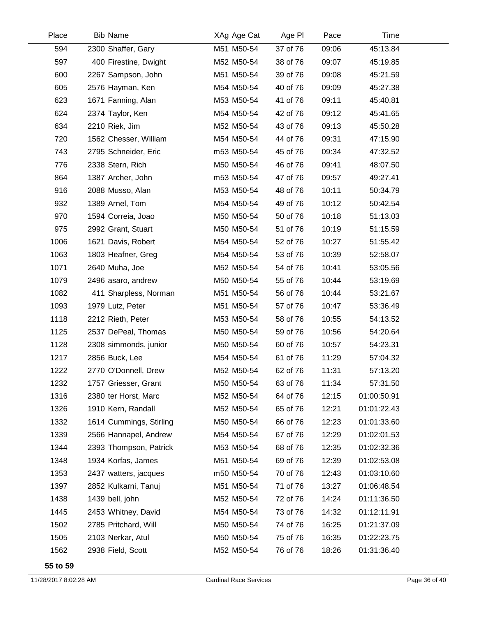| Place | <b>Bib Name</b>         | XAg Age Cat | Age PI   | Pace  | Time        |  |
|-------|-------------------------|-------------|----------|-------|-------------|--|
| 594   | 2300 Shaffer, Gary      | M51 M50-54  | 37 of 76 | 09:06 | 45:13.84    |  |
| 597   | 400 Firestine, Dwight   | M52 M50-54  | 38 of 76 | 09:07 | 45:19.85    |  |
| 600   | 2267 Sampson, John      | M51 M50-54  | 39 of 76 | 09:08 | 45:21.59    |  |
| 605   | 2576 Hayman, Ken        | M54 M50-54  | 40 of 76 | 09:09 | 45:27.38    |  |
| 623   | 1671 Fanning, Alan      | M53 M50-54  | 41 of 76 | 09:11 | 45:40.81    |  |
| 624   | 2374 Taylor, Ken        | M54 M50-54  | 42 of 76 | 09:12 | 45:41.65    |  |
| 634   | 2210 Riek, Jim          | M52 M50-54  | 43 of 76 | 09:13 | 45:50.28    |  |
| 720   | 1562 Chesser, William   | M54 M50-54  | 44 of 76 | 09:31 | 47:15.90    |  |
| 743   | 2795 Schneider, Eric    | m53 M50-54  | 45 of 76 | 09:34 | 47:32.52    |  |
| 776   | 2338 Stern, Rich        | M50 M50-54  | 46 of 76 | 09:41 | 48:07.50    |  |
| 864   | 1387 Archer, John       | m53 M50-54  | 47 of 76 | 09:57 | 49:27.41    |  |
| 916   | 2088 Musso, Alan        | M53 M50-54  | 48 of 76 | 10:11 | 50:34.79    |  |
| 932   | 1389 Arnel, Tom         | M54 M50-54  | 49 of 76 | 10:12 | 50:42.54    |  |
| 970   | 1594 Correia, Joao      | M50 M50-54  | 50 of 76 | 10:18 | 51:13.03    |  |
| 975   | 2992 Grant, Stuart      | M50 M50-54  | 51 of 76 | 10:19 | 51:15.59    |  |
| 1006  | 1621 Davis, Robert      | M54 M50-54  | 52 of 76 | 10:27 | 51:55.42    |  |
| 1063  | 1803 Heafner, Greg      | M54 M50-54  | 53 of 76 | 10:39 | 52:58.07    |  |
| 1071  | 2640 Muha, Joe          | M52 M50-54  | 54 of 76 | 10:41 | 53:05.56    |  |
| 1079  | 2496 asaro, andrew      | M50 M50-54  | 55 of 76 | 10:44 | 53:19.69    |  |
| 1082  | 411 Sharpless, Norman   | M51 M50-54  | 56 of 76 | 10:44 | 53:21.67    |  |
| 1093  | 1979 Lutz, Peter        | M51 M50-54  | 57 of 76 | 10:47 | 53:36.49    |  |
| 1118  | 2212 Rieth, Peter       | M53 M50-54  | 58 of 76 | 10:55 | 54:13.52    |  |
| 1125  | 2537 DePeal, Thomas     | M50 M50-54  | 59 of 76 | 10:56 | 54:20.64    |  |
| 1128  | 2308 simmonds, junior   | M50 M50-54  | 60 of 76 | 10:57 | 54:23.31    |  |
| 1217  | 2856 Buck, Lee          | M54 M50-54  | 61 of 76 | 11:29 | 57:04.32    |  |
| 1222  | 2770 O'Donnell, Drew    | M52 M50-54  | 62 of 76 | 11:31 | 57:13.20    |  |
| 1232  | 1757 Griesser, Grant    | M50 M50-54  | 63 of 76 | 11:34 | 57:31.50    |  |
| 1316  | 2380 ter Horst, Marc    | M52 M50-54  | 64 of 76 | 12:15 | 01:00:50.91 |  |
| 1326  | 1910 Kern, Randall      | M52 M50-54  | 65 of 76 | 12:21 | 01:01:22.43 |  |
| 1332  | 1614 Cummings, Stirling | M50 M50-54  | 66 of 76 | 12:23 | 01:01:33.60 |  |
| 1339  | 2566 Hannapel, Andrew   | M54 M50-54  | 67 of 76 | 12:29 | 01:02:01.53 |  |
| 1344  | 2393 Thompson, Patrick  | M53 M50-54  | 68 of 76 | 12:35 | 01:02:32.36 |  |
| 1348  | 1934 Korfas, James      | M51 M50-54  | 69 of 76 | 12:39 | 01:02:53.08 |  |
| 1353  | 2437 watters, jacques   | m50 M50-54  | 70 of 76 | 12:43 | 01:03:10.60 |  |
| 1397  | 2852 Kulkarni, Tanuj    | M51 M50-54  | 71 of 76 | 13:27 | 01:06:48.54 |  |
| 1438  | 1439 bell, john         | M52 M50-54  | 72 of 76 | 14:24 | 01:11:36.50 |  |
| 1445  | 2453 Whitney, David     | M54 M50-54  | 73 of 76 | 14:32 | 01:12:11.91 |  |
| 1502  | 2785 Pritchard, Will    | M50 M50-54  | 74 of 76 | 16:25 | 01:21:37.09 |  |
| 1505  | 2103 Nerkar, Atul       | M50 M50-54  | 75 of 76 | 16:35 | 01:22:23.75 |  |
| 1562  | 2938 Field, Scott       | M52 M50-54  | 76 of 76 | 18:26 | 01:31:36.40 |  |
|       |                         |             |          |       |             |  |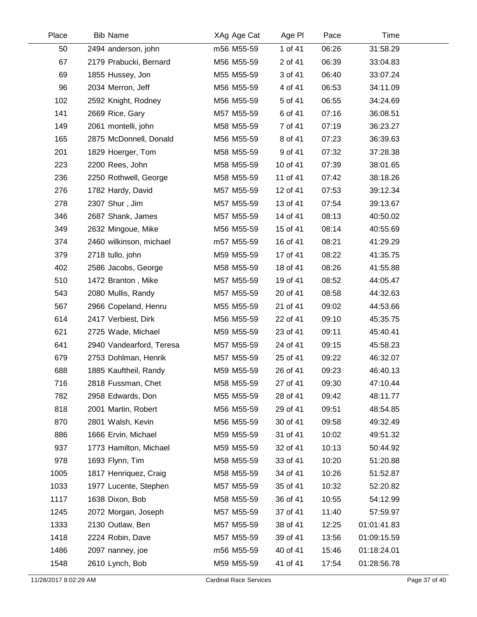| Place | <b>Bib Name</b>          | XAg Age Cat | Age PI   | Pace  | Time        |  |
|-------|--------------------------|-------------|----------|-------|-------------|--|
| 50    | 2494 anderson, john      | m56 M55-59  | 1 of 41  | 06:26 | 31:58.29    |  |
| 67    | 2179 Prabucki, Bernard   | M56 M55-59  | 2 of 41  | 06:39 | 33:04.83    |  |
| 69    | 1855 Hussey, Jon         | M55 M55-59  | 3 of 41  | 06:40 | 33:07.24    |  |
| 96    | 2034 Merron, Jeff        | M56 M55-59  | 4 of 41  | 06:53 | 34:11.09    |  |
| 102   | 2592 Knight, Rodney      | M56 M55-59  | 5 of 41  | 06:55 | 34:24.69    |  |
| 141   | 2669 Rice, Gary          | M57 M55-59  | 6 of 41  | 07:16 | 36:08.51    |  |
| 149   | 2061 montelli, john      | M58 M55-59  | 7 of 41  | 07:19 | 36:23.27    |  |
| 165   | 2875 McDonnell, Donald   | M56 M55-59  | 8 of 41  | 07:23 | 36:39.63    |  |
| 201   | 1829 Hoerger, Tom        | M58 M55-59  | 9 of 41  | 07:32 | 37:28.38    |  |
| 223   | 2200 Rees, John          | M58 M55-59  | 10 of 41 | 07:39 | 38:01.65    |  |
| 236   | 2250 Rothwell, George    | M58 M55-59  | 11 of 41 | 07:42 | 38:18.26    |  |
| 276   | 1782 Hardy, David        | M57 M55-59  | 12 of 41 | 07:53 | 39:12.34    |  |
| 278   | 2307 Shur, Jim           | M57 M55-59  | 13 of 41 | 07:54 | 39:13.67    |  |
| 346   | 2687 Shank, James        | M57 M55-59  | 14 of 41 | 08:13 | 40:50.02    |  |
| 349   | 2632 Mingoue, Mike       | M56 M55-59  | 15 of 41 | 08:14 | 40:55.69    |  |
| 374   | 2460 wilkinson, michael  | m57 M55-59  | 16 of 41 | 08:21 | 41:29.29    |  |
| 379   | 2718 tullo, john         | M59 M55-59  | 17 of 41 | 08:22 | 41:35.75    |  |
| 402   | 2586 Jacobs, George      | M58 M55-59  | 18 of 41 | 08:26 | 41:55.88    |  |
| 510   | 1472 Branton, Mike       | M57 M55-59  | 19 of 41 | 08:52 | 44:05.47    |  |
| 543   | 2080 Mullis, Randy       | M57 M55-59  | 20 of 41 | 08:58 | 44:32.63    |  |
| 567   | 2966 Copeland, Henru     | M55 M55-59  | 21 of 41 | 09:02 | 44:53.66    |  |
| 614   | 2417 Verbiest, Dirk      | M56 M55-59  | 22 of 41 | 09:10 | 45:35.75    |  |
| 621   | 2725 Wade, Michael       | M59 M55-59  | 23 of 41 | 09:11 | 45:40.41    |  |
| 641   | 2940 Vandearford, Teresa | M57 M55-59  | 24 of 41 | 09:15 | 45:58.23    |  |
| 679   | 2753 Dohlman, Henrik     | M57 M55-59  | 25 of 41 | 09:22 | 46:32.07    |  |
| 688   | 1885 Kauftheil, Randy    | M59 M55-59  | 26 of 41 | 09:23 | 46:40.13    |  |
| 716   | 2818 Fussman, Chet       | M58 M55-59  | 27 of 41 | 09:30 | 47:10.44    |  |
| 782   | 2958 Edwards, Don        | M55 M55-59  | 28 of 41 | 09:42 | 48:11.77    |  |
| 818   | 2001 Martin, Robert      | M56 M55-59  | 29 of 41 | 09:51 | 48:54.85    |  |
| 870   | 2801 Walsh, Kevin        | M56 M55-59  | 30 of 41 | 09:58 | 49:32.49    |  |
| 886   | 1666 Ervin, Michael      | M59 M55-59  | 31 of 41 | 10:02 | 49:51.32    |  |
| 937   | 1773 Hamilton, Michael   | M59 M55-59  | 32 of 41 | 10:13 | 50:44.92    |  |
| 978   | 1693 Flynn, Tim          | M58 M55-59  | 33 of 41 | 10:20 | 51:20.88    |  |
| 1005  | 1817 Henriquez, Craig    | M58 M55-59  | 34 of 41 | 10:26 | 51:52.87    |  |
| 1033  | 1977 Lucente, Stephen    | M57 M55-59  | 35 of 41 | 10:32 | 52:20.82    |  |
| 1117  | 1638 Dixon, Bob          | M58 M55-59  | 36 of 41 | 10:55 | 54:12.99    |  |
| 1245  | 2072 Morgan, Joseph      | M57 M55-59  | 37 of 41 | 11:40 | 57:59.97    |  |
| 1333  | 2130 Outlaw, Ben         | M57 M55-59  | 38 of 41 | 12:25 | 01:01:41.83 |  |
| 1418  | 2224 Robin, Dave         | M57 M55-59  | 39 of 41 | 13:56 | 01:09:15.59 |  |
| 1486  | 2097 nanney, joe         | m56 M55-59  | 40 of 41 | 15:46 | 01:18:24.01 |  |
| 1548  | 2610 Lynch, Bob          | M59 M55-59  | 41 of 41 | 17:54 | 01:28:56.78 |  |
|       |                          |             |          |       |             |  |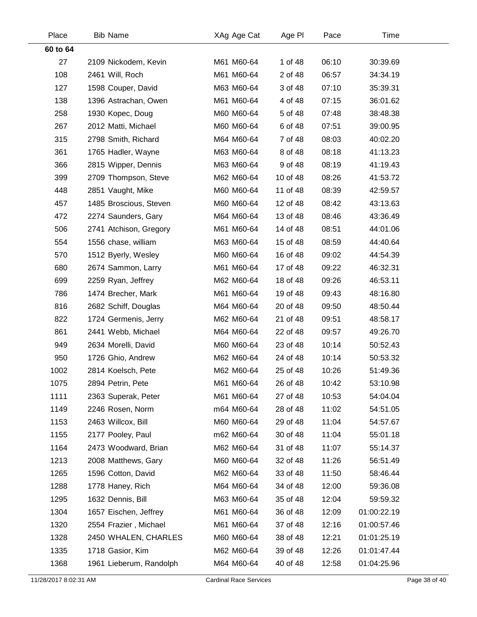| Place    | <b>Bib Name</b>         | XAg Age Cat | Age PI   | Pace  | Time        |  |
|----------|-------------------------|-------------|----------|-------|-------------|--|
| 60 to 64 |                         |             |          |       |             |  |
| 27       | 2109 Nickodem, Kevin    | M61 M60-64  | 1 of 48  | 06:10 | 30:39.69    |  |
| 108      | 2461 Will, Roch         | M61 M60-64  | 2 of 48  | 06:57 | 34:34.19    |  |
| 127      | 1598 Couper, David      | M63 M60-64  | 3 of 48  | 07:10 | 35:39.31    |  |
| 138      | 1396 Astrachan, Owen    | M61 M60-64  | 4 of 48  | 07:15 | 36:01.62    |  |
| 258      | 1930 Kopec, Doug        | M60 M60-64  | 5 of 48  | 07:48 | 38:48.38    |  |
| 267      | 2012 Matti, Michael     | M60 M60-64  | 6 of 48  | 07:51 | 39:00.95    |  |
| 315      | 2798 Smith, Richard     | M64 M60-64  | 7 of 48  | 08:03 | 40:02.20    |  |
| 361      | 1765 Hadler, Wayne      | M63 M60-64  | 8 of 48  | 08:18 | 41:13.23    |  |
| 366      | 2815 Wipper, Dennis     | M63 M60-64  | 9 of 48  | 08:19 | 41:19.43    |  |
| 399      | 2709 Thompson, Steve    | M62 M60-64  | 10 of 48 | 08:26 | 41:53.72    |  |
| 448      | 2851 Vaught, Mike       | M60 M60-64  | 11 of 48 | 08:39 | 42:59.57    |  |
| 457      | 1485 Broscious, Steven  | M60 M60-64  | 12 of 48 | 08:42 | 43:13.63    |  |
| 472      | 2274 Saunders, Gary     | M64 M60-64  | 13 of 48 | 08:46 | 43:36.49    |  |
| 506      | 2741 Atchison, Gregory  | M61 M60-64  | 14 of 48 | 08:51 | 44:01.06    |  |
| 554      | 1556 chase, william     | M63 M60-64  | 15 of 48 | 08:59 | 44:40.64    |  |
| 570      | 1512 Byerly, Wesley     | M60 M60-64  | 16 of 48 | 09:02 | 44:54.39    |  |
| 680      | 2674 Sammon, Larry      | M61 M60-64  | 17 of 48 | 09:22 | 46:32.31    |  |
| 699      | 2259 Ryan, Jeffrey      | M62 M60-64  | 18 of 48 | 09:26 | 46:53.11    |  |
| 786      | 1474 Brecher, Mark      | M61 M60-64  | 19 of 48 | 09:43 | 48:16.80    |  |
| 816      | 2682 Schiff, Douglas    | M64 M60-64  | 20 of 48 | 09:50 | 48:50.44    |  |
| 822      | 1724 Germenis, Jerry    | M62 M60-64  | 21 of 48 | 09:51 | 48:58.17    |  |
| 861      | 2441 Webb, Michael      | M64 M60-64  | 22 of 48 | 09:57 | 49:26.70    |  |
| 949      | 2634 Morelli, David     | M60 M60-64  | 23 of 48 | 10:14 | 50:52.43    |  |
| 950      | 1726 Ghio, Andrew       | M62 M60-64  | 24 of 48 | 10:14 | 50:53.32    |  |
| 1002     | 2814 Koelsch, Pete      | M62 M60-64  | 25 of 48 | 10:26 | 51:49.36    |  |
| 1075     | 2894 Petrin, Pete       | M61 M60-64  | 26 of 48 | 10:42 | 53:10.98    |  |
| 1111     | 2363 Superak, Peter     | M61 M60-64  | 27 of 48 | 10:53 | 54:04.04    |  |
| 1149     | 2246 Rosen, Norm        | m64 M60-64  | 28 of 48 | 11:02 | 54:51.05    |  |
| 1153     | 2463 Willcox, Bill      | M60 M60-64  | 29 of 48 | 11:04 | 54:57.67    |  |
| 1155     | 2177 Pooley, Paul       | m62 M60-64  | 30 of 48 | 11:04 | 55:01.18    |  |
| 1164     | 2473 Woodward, Brian    | M62 M60-64  | 31 of 48 | 11:07 | 55:14.37    |  |
| 1213     | 2008 Matthews, Gary     | M60 M60-64  | 32 of 48 | 11:26 | 56:51.49    |  |
| 1265     | 1596 Cotton, David      | M62 M60-64  | 33 of 48 | 11:50 | 58:46.44    |  |
| 1288     | 1778 Haney, Rich        | M64 M60-64  | 34 of 48 | 12:00 | 59:36.08    |  |
| 1295     | 1632 Dennis, Bill       | M63 M60-64  | 35 of 48 | 12:04 | 59:59.32    |  |
| 1304     | 1657 Eischen, Jeffrey   | M61 M60-64  | 36 of 48 | 12:09 | 01:00:22.19 |  |
| 1320     | 2554 Frazier, Michael   | M61 M60-64  | 37 of 48 | 12:16 | 01:00:57.46 |  |
| 1328     | 2450 WHALEN, CHARLES    | M60 M60-64  | 38 of 48 | 12:21 | 01:01:25.19 |  |
| 1335     | 1718 Gasior, Kim        | M62 M60-64  | 39 of 48 | 12:26 | 01:01:47.44 |  |
| 1368     | 1961 Lieberum, Randolph | M64 M60-64  | 40 of 48 | 12:58 | 01:04:25.96 |  |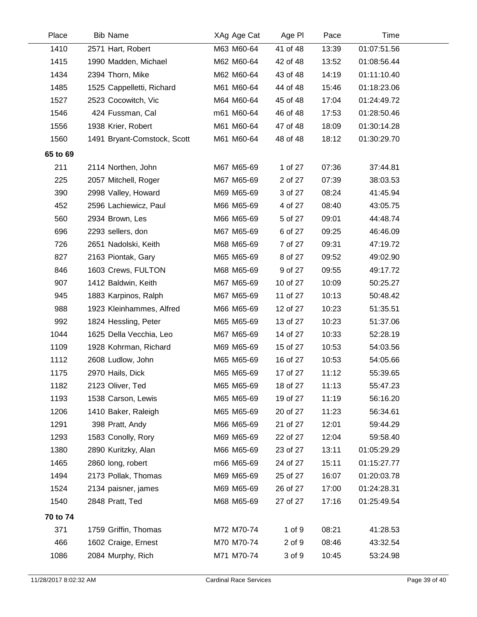| Place    | <b>Bib Name</b>             | XAg Age Cat | Age PI   | Pace  | Time        |  |
|----------|-----------------------------|-------------|----------|-------|-------------|--|
| 1410     | 2571 Hart, Robert           | M63 M60-64  | 41 of 48 | 13:39 | 01:07:51.56 |  |
| 1415     | 1990 Madden, Michael        | M62 M60-64  | 42 of 48 | 13:52 | 01:08:56.44 |  |
| 1434     | 2394 Thorn, Mike            | M62 M60-64  | 43 of 48 | 14:19 | 01:11:10.40 |  |
| 1485     | 1525 Cappelletti, Richard   | M61 M60-64  | 44 of 48 | 15:46 | 01:18:23.06 |  |
| 1527     | 2523 Cocowitch, Vic         | M64 M60-64  | 45 of 48 | 17:04 | 01:24:49.72 |  |
| 1546     | 424 Fussman, Cal            | m61 M60-64  | 46 of 48 | 17:53 | 01:28:50.46 |  |
| 1556     | 1938 Krier, Robert          | M61 M60-64  | 47 of 48 | 18:09 | 01:30:14.28 |  |
| 1560     | 1491 Bryant-Comstock, Scott | M61 M60-64  | 48 of 48 | 18:12 | 01:30:29.70 |  |
| 65 to 69 |                             |             |          |       |             |  |
| 211      | 2114 Northen, John          | M67 M65-69  | 1 of 27  | 07:36 | 37:44.81    |  |
| 225      | 2057 Mitchell, Roger        | M67 M65-69  | 2 of 27  | 07:39 | 38:03.53    |  |
| 390      | 2998 Valley, Howard         | M69 M65-69  | 3 of 27  | 08:24 | 41:45.94    |  |
| 452      | 2596 Lachiewicz, Paul       | M66 M65-69  | 4 of 27  | 08:40 | 43:05.75    |  |
| 560      | 2934 Brown, Les             | M66 M65-69  | 5 of 27  | 09:01 | 44:48.74    |  |
| 696      | 2293 sellers, don           | M67 M65-69  | 6 of 27  | 09:25 | 46:46.09    |  |
| 726      | 2651 Nadolski, Keith        | M68 M65-69  | 7 of 27  | 09:31 | 47:19.72    |  |
| 827      | 2163 Piontak, Gary          | M65 M65-69  | 8 of 27  | 09:52 | 49:02.90    |  |
| 846      | 1603 Crews, FULTON          | M68 M65-69  | 9 of 27  | 09:55 | 49:17.72    |  |
| 907      | 1412 Baldwin, Keith         | M67 M65-69  | 10 of 27 | 10:09 | 50:25.27    |  |
| 945      | 1883 Karpinos, Ralph        | M67 M65-69  | 11 of 27 | 10:13 | 50:48.42    |  |
| 988      | 1923 Kleinhammes, Alfred    | M66 M65-69  | 12 of 27 | 10:23 | 51:35.51    |  |
| 992      | 1824 Hessling, Peter        | M65 M65-69  | 13 of 27 | 10:23 | 51:37.06    |  |
| 1044     | 1625 Della Vecchia, Leo     | M67 M65-69  | 14 of 27 | 10:33 | 52:28.19    |  |
| 1109     | 1928 Kohrman, Richard       | M69 M65-69  | 15 of 27 | 10:53 | 54:03.56    |  |
| 1112     | 2608 Ludlow, John           | M65 M65-69  | 16 of 27 | 10:53 | 54:05.66    |  |
| 1175     | 2970 Hails, Dick            | M65 M65-69  | 17 of 27 | 11:12 | 55:39.65    |  |
| 1182     | 2123 Oliver, Ted            | M65 M65-69  | 18 of 27 | 11:13 | 55:47.23    |  |
| 1193     | 1538 Carson, Lewis          | M65 M65-69  | 19 of 27 | 11:19 | 56:16.20    |  |
| 1206     | 1410 Baker, Raleigh         | M65 M65-69  | 20 of 27 | 11:23 | 56:34.61    |  |
| 1291     | 398 Pratt, Andy             | M66 M65-69  | 21 of 27 | 12:01 | 59:44.29    |  |
| 1293     | 1583 Conolly, Rory          | M69 M65-69  | 22 of 27 | 12:04 | 59:58.40    |  |
| 1380     | 2890 Kuritzky, Alan         | M66 M65-69  | 23 of 27 | 13:11 | 01:05:29.29 |  |
| 1465     | 2860 long, robert           | m66 M65-69  | 24 of 27 | 15:11 | 01:15:27.77 |  |
| 1494     | 2173 Pollak, Thomas         | M69 M65-69  | 25 of 27 | 16:07 | 01:20:03.78 |  |
| 1524     | 2134 paisner, james         | M69 M65-69  | 26 of 27 | 17:00 | 01:24:28.31 |  |
| 1540     | 2848 Pratt, Ted             | M68 M65-69  | 27 of 27 | 17:16 | 01:25:49.54 |  |
| 70 to 74 |                             |             |          |       |             |  |
| 371      | 1759 Griffin, Thomas        | M72 M70-74  | 1 of 9   | 08:21 | 41:28.53    |  |
| 466      | 1602 Craige, Ernest         | M70 M70-74  | 2 of 9   | 08:46 | 43:32.54    |  |
| 1086     | 2084 Murphy, Rich           | M71 M70-74  | 3 of 9   | 10:45 | 53:24.98    |  |
|          |                             |             |          |       |             |  |